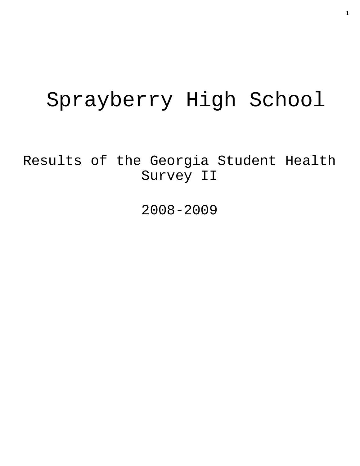# Sprayberry High School

Results of the Georgia Student Health Survey II

2008-2009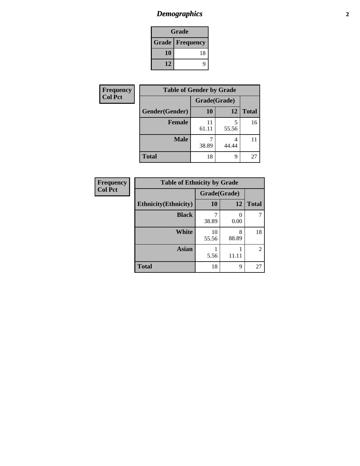# *Demographics* **2**

| Grade                    |    |  |  |
|--------------------------|----|--|--|
| <b>Grade   Frequency</b> |    |  |  |
| 10                       | 18 |  |  |
| 12                       |    |  |  |

| <b>Frequency</b> | <b>Table of Gender by Grade</b> |              |       |              |  |
|------------------|---------------------------------|--------------|-------|--------------|--|
| <b>Col Pct</b>   |                                 | Grade(Grade) |       |              |  |
|                  | Gender(Gender)                  | <b>10</b>    | 12    | <b>Total</b> |  |
|                  | <b>Female</b>                   | 11<br>61.11  | 55.56 | 16           |  |
|                  | <b>Male</b>                     | 38.89        | 44.44 | 11           |  |
|                  | <b>Total</b>                    | 18           | q     | 27           |  |

| <b>Frequency</b> |
|------------------|
| <b>Col Pct</b>   |

| <b>Table of Ethnicity by Grade</b> |             |              |                |  |  |  |
|------------------------------------|-------------|--------------|----------------|--|--|--|
|                                    |             | Grade(Grade) |                |  |  |  |
| <b>Ethnicity</b> (Ethnicity)       | 10          | 12           | <b>Total</b>   |  |  |  |
| <b>Black</b>                       | 38.89       | 0.00         |                |  |  |  |
| White                              | 10<br>55.56 | 8<br>88.89   | 18             |  |  |  |
| <b>Asian</b>                       | 5.56        | 11.11        | $\mathfrak{D}$ |  |  |  |
| <b>Total</b>                       | 18          | 9            |                |  |  |  |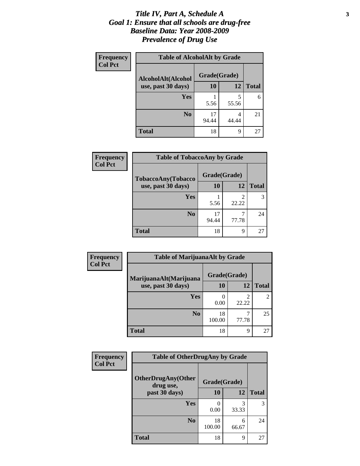#### *Title IV, Part A, Schedule A* **3** *Goal 1: Ensure that all schools are drug-free Baseline Data: Year 2008-2009 Prevalence of Drug Use*

| Frequency<br><b>Col Pct</b> | <b>Table of AlcoholAlt by Grade</b> |              |            |              |  |  |
|-----------------------------|-------------------------------------|--------------|------------|--------------|--|--|
|                             | AlcoholAlt(Alcohol                  | Grade(Grade) |            |              |  |  |
|                             | use, past 30 days)                  | <b>10</b>    | 12         | <b>Total</b> |  |  |
|                             | Yes                                 | 5.56         | 5<br>55.56 | 6            |  |  |
|                             | N <sub>0</sub>                      | 17<br>94.44  | 44.44      | 21           |  |  |
|                             | <b>Total</b>                        | 18           | 9          | 27           |  |  |

| Frequency      | <b>Table of TobaccoAny by Grade</b> |              |                         |              |  |
|----------------|-------------------------------------|--------------|-------------------------|--------------|--|
| <b>Col Pct</b> | TobaccoAny(Tobacco                  | Grade(Grade) |                         |              |  |
|                | use, past 30 days)                  | 10           | 12                      | <b>Total</b> |  |
|                | Yes                                 | 5.56         | $\mathfrak{D}$<br>22.22 | 3            |  |
|                | N <sub>0</sub>                      | 17<br>94.44  | ┑<br>77.78              | 24           |  |
|                | <b>Total</b>                        | 18           | 9                       | 27           |  |

| Frequency      | <b>Table of MarijuanaAlt by Grade</b> |              |                         |                |  |
|----------------|---------------------------------------|--------------|-------------------------|----------------|--|
| <b>Col Pct</b> | MarijuanaAlt(Marijuana                | Grade(Grade) |                         |                |  |
|                | use, past 30 days)                    | <b>10</b>    | 12                      | <b>Total</b>   |  |
|                | Yes                                   | 0<br>0.00    | $\overline{2}$<br>22.22 | $\overline{c}$ |  |
|                | N <sub>0</sub>                        | 18<br>100.00 | ℸ<br>77.78              | 25             |  |
|                | <b>Total</b>                          | 18           | 9                       | 27             |  |

| Frequency      | <b>Table of OtherDrugAny by Grade</b>  |              |            |              |  |  |
|----------------|----------------------------------------|--------------|------------|--------------|--|--|
| <b>Col Pct</b> | <b>OtherDrugAny(Other</b><br>drug use, | Grade(Grade) |            |              |  |  |
|                | past 30 days)                          | <b>10</b>    | 12         | <b>Total</b> |  |  |
|                | Yes                                    | 0.00         | 3<br>33.33 | 3            |  |  |
|                | N <sub>0</sub>                         | 18<br>100.00 | 6<br>66.67 | 24           |  |  |
|                | <b>Total</b>                           | 18           | 9          | 27           |  |  |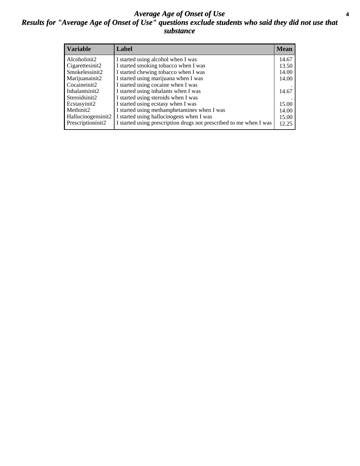#### *Average Age of Onset of Use* **4** *Results for "Average Age of Onset of Use" questions exclude students who said they did not use that substance*

| <b>Variable</b>    | Label                                                              | <b>Mean</b> |
|--------------------|--------------------------------------------------------------------|-------------|
| Alcoholinit2       | I started using alcohol when I was                                 | 14.67       |
| Cigarettesinit2    | I started smoking tobacco when I was                               | 13.50       |
| Smokelessinit2     | I started chewing tobacco when I was                               | 14.00       |
| Marijuanainit2     | I started using marijuana when I was                               | 14.00       |
| Cocaineinit2       | I started using cocaine when I was                                 |             |
| Inhalantsinit2     | I started using inhalants when I was                               | 14.67       |
| Steroidsinit2      | I started using steroids when I was                                |             |
| Ecstasyinit2       | I started using ecstasy when I was                                 | 15.00       |
| Methinit2          | I started using methamphetamines when I was                        | 14.00       |
| Hallucinogensinit2 | I started using hallucinogens when I was                           | 15.00       |
| Prescriptioninit2  | I started using prescription drugs not prescribed to me when I was | 12.25       |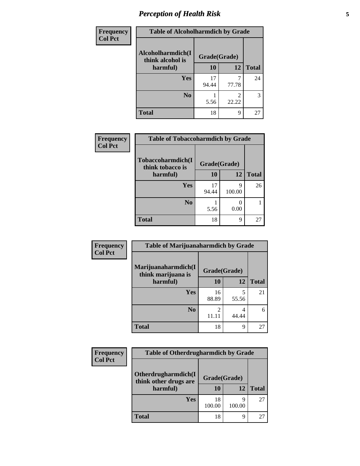# *Perception of Health Risk* **5**

| Frequency      | <b>Table of Alcoholharmdich by Grade</b> |              |       |              |  |
|----------------|------------------------------------------|--------------|-------|--------------|--|
| <b>Col Pct</b> | Alcoholharmdich(I<br>think alcohol is    | Grade(Grade) |       |              |  |
|                | harmful)                                 | 10           | 12    | <b>Total</b> |  |
|                | Yes                                      | 17<br>94.44  | 77.78 | 24           |  |
|                | N <sub>0</sub>                           | 5.56         | 22.22 | 3            |  |
|                | <b>Total</b>                             | 18           | 9     | 27           |  |

| Frequency      | <b>Table of Tobaccoharmdich by Grade</b> |              |             |              |  |
|----------------|------------------------------------------|--------------|-------------|--------------|--|
| <b>Col Pct</b> | Tobaccoharmdich(I<br>think tobacco is    | Grade(Grade) |             |              |  |
|                | harmful)                                 | 10           | 12          | <b>Total</b> |  |
|                | Yes                                      | 17<br>94.44  | 9<br>100.00 | 26           |  |
|                | N <sub>0</sub>                           | 5.56         | 0.00        |              |  |
|                | <b>Total</b>                             | 18           | 9           | 27           |  |

| Frequency      | <b>Table of Marijuanaharmdich by Grade</b> |              |            |              |  |
|----------------|--------------------------------------------|--------------|------------|--------------|--|
| <b>Col Pct</b> | Marijuanaharmdich(I<br>think marijuana is  | Grade(Grade) |            |              |  |
|                | harmful)                                   | <b>10</b>    | 12         | <b>Total</b> |  |
|                | Yes                                        | 16<br>88.89  | 55.56      | 21           |  |
|                | N <sub>0</sub>                             |              | 4<br>44.44 | 6            |  |
|                | <b>Total</b>                               | 18           | 9          | 27           |  |

| <b>Frequency</b> | <b>Table of Otherdrugharmdich by Grade</b>   |              |        |              |  |
|------------------|----------------------------------------------|--------------|--------|--------------|--|
| <b>Col Pct</b>   | Otherdrugharmdich(I<br>think other drugs are | Grade(Grade) |        |              |  |
|                  | harmful)                                     | 10           | 12     | <b>Total</b> |  |
|                  | <b>Yes</b>                                   | 18<br>100.00 | 100.00 | 27           |  |
|                  | <b>Total</b>                                 | 18           | q      | 27           |  |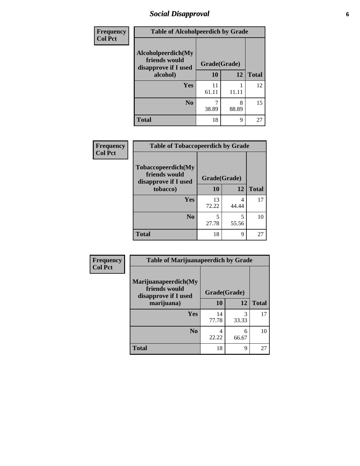### *Social Disapproval* **6**

| <b>Frequency</b> | <b>Table of Alcoholpeerdich by Grade</b>                    |              |            |              |
|------------------|-------------------------------------------------------------|--------------|------------|--------------|
| <b>Col Pct</b>   | Alcoholpeerdich(My<br>friends would<br>disapprove if I used | Grade(Grade) |            |              |
| alcohol)         |                                                             | 10           | 12         | <b>Total</b> |
|                  | <b>Yes</b>                                                  | 11<br>61.11  | 11.11      | 12           |
|                  | N <sub>0</sub>                                              | 38.89        | 8<br>88.89 | 15           |
|                  | <b>Total</b>                                                | 18           | 9          | 27           |

| <b>Frequency</b> |
|------------------|
| <b>Col Pct</b>   |

| <b>Table of Tobaccopeerdich by Grade</b>                    |              |            |              |  |  |  |
|-------------------------------------------------------------|--------------|------------|--------------|--|--|--|
| Tobaccopeerdich(My<br>friends would<br>disapprove if I used | Grade(Grade) |            |              |  |  |  |
| tobacco)                                                    | 10           | 12         | <b>Total</b> |  |  |  |
| Yes                                                         | 13<br>72.22  | 4<br>44.44 | 17           |  |  |  |
| N <sub>0</sub>                                              | 5<br>27.78   | 5<br>55.56 | 10           |  |  |  |
| <b>Total</b>                                                | 18           | 9          | 27           |  |  |  |

| Frequency      | <b>Table of Marijuanapeerdich by Grade</b>                    |             |              |              |  |  |
|----------------|---------------------------------------------------------------|-------------|--------------|--------------|--|--|
| <b>Col Pct</b> | Marijuanapeerdich(My<br>friends would<br>disapprove if I used |             | Grade(Grade) |              |  |  |
|                | marijuana)                                                    | 10          | 12           | <b>Total</b> |  |  |
|                | Yes                                                           | 14<br>77.78 | 3<br>33.33   | 17           |  |  |
|                | N <sub>0</sub>                                                | 4<br>22.22  | 6<br>66.67   | 10           |  |  |
|                | <b>Total</b>                                                  | 18          | 9            | 27           |  |  |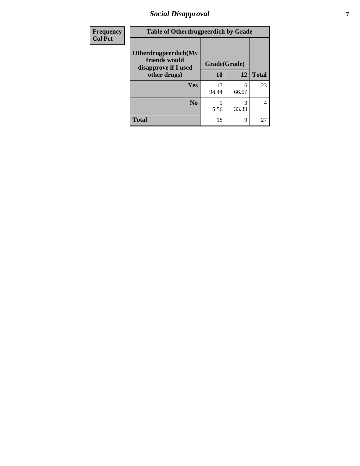### *Social Disapproval* **7**

| Frequency      | <b>Table of Otherdrugpeerdich by Grade</b>                    |             |              |                |  |  |
|----------------|---------------------------------------------------------------|-------------|--------------|----------------|--|--|
| <b>Col Pct</b> | Otherdrugpeerdich(My<br>friends would<br>disapprove if I used |             | Grade(Grade) |                |  |  |
|                | other drugs)                                                  | 10          | 12           | <b>Total</b>   |  |  |
|                | Yes                                                           | 17<br>94.44 | 6<br>66.67   | 23             |  |  |
|                | N <sub>0</sub>                                                | 5.56        | 3<br>33.33   | $\overline{4}$ |  |  |
|                | <b>Total</b>                                                  | 18          | 9            | 27             |  |  |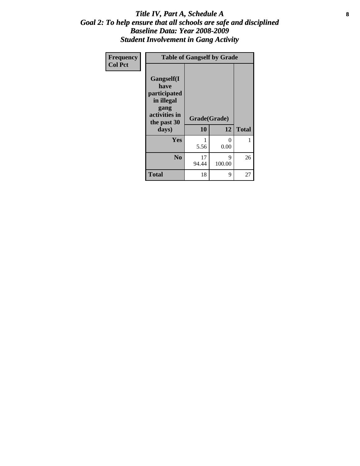#### Title IV, Part A, Schedule A **8** *Goal 2: To help ensure that all schools are safe and disciplined Baseline Data: Year 2008-2009 Student Involvement in Gang Activity*

| Frequency      | <b>Table of Gangself by Grade</b>                                                                 |                    |                  |              |
|----------------|---------------------------------------------------------------------------------------------------|--------------------|------------------|--------------|
| <b>Col Pct</b> | Gangself(I<br>have<br>participated<br>in illegal<br>gang<br>activities in<br>the past 30<br>days) | Grade(Grade)<br>10 | 12               | <b>Total</b> |
|                | Yes                                                                                               | 1<br>5.56          | $\theta$<br>0.00 | 1            |
|                | N <sub>0</sub>                                                                                    | 17<br>94.44        | 9<br>100.00      | 26           |
|                | <b>Total</b>                                                                                      | 18                 | 9                | 27           |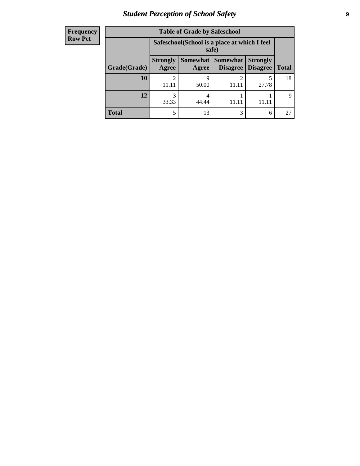# *Student Perception of School Safety* **9**

| <b>Frequency</b><br>Row Pct |
|-----------------------------|
|                             |

| <b>Table of Grade by Safeschool</b> |                                                                                                                                   |                                                        |            |            |             |  |  |
|-------------------------------------|-----------------------------------------------------------------------------------------------------------------------------------|--------------------------------------------------------|------------|------------|-------------|--|--|
|                                     |                                                                                                                                   | Safeschool (School is a place at which I feel<br>safe) |            |            |             |  |  |
| Grade(Grade)                        | <b>Somewhat   Somewhat</b><br><b>Strongly</b><br><b>Strongly</b><br><b>Disagree</b><br>Agree<br>Disagree<br><b>Total</b><br>Agree |                                                        |            |            |             |  |  |
| <b>10</b>                           | 11.11                                                                                                                             | q<br>50.00                                             | 2<br>11.11 | 5<br>27.78 | 18          |  |  |
| 12                                  | 33.33                                                                                                                             | 44.44                                                  |            |            | $\mathbf Q$ |  |  |
| Total                               | 5                                                                                                                                 | 13                                                     | 3          | 6          | 27          |  |  |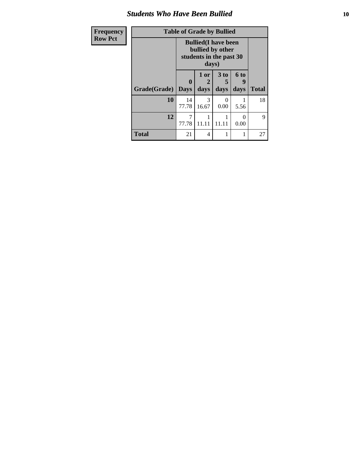#### *Students Who Have Been Bullied* **10**

| <b>Frequency</b> | <b>Table of Grade by Bullied</b> |                                                                                     |              |              |                   |              |
|------------------|----------------------------------|-------------------------------------------------------------------------------------|--------------|--------------|-------------------|--------------|
| <b>Row Pct</b>   |                                  | <b>Bullied</b> (I have been<br>bullied by other<br>students in the past 30<br>days) |              |              |                   |              |
|                  | Grade(Grade)   Days              | 0                                                                                   | 1 or<br>days | 3 to<br>days | 6 to<br>q<br>days | <b>Total</b> |
|                  | 10                               | 14<br>77.78                                                                         | 3<br>16.67   | 0<br>0.00    | 5.56              | 18           |
|                  | 12                               | 7<br>77.78                                                                          | 11.11        | 11.11        | 0<br>0.00         | 9            |
|                  | <b>Total</b>                     | 21                                                                                  | 4            |              |                   | 27           |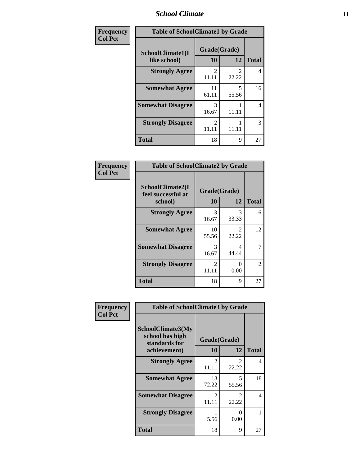#### *School Climate* **11**

| <b>Frequency</b> | <b>Table of SchoolClimate1 by Grade</b> |                         |                                      |              |  |  |
|------------------|-----------------------------------------|-------------------------|--------------------------------------|--------------|--|--|
| <b>Col Pct</b>   | SchoolClimate1(I<br>like school)        | Grade(Grade)<br>10      | 12                                   | <b>Total</b> |  |  |
|                  | <b>Strongly Agree</b>                   | $\mathfrak{D}$<br>11.11 | $\mathcal{D}_{\mathcal{A}}$<br>22.22 | 4            |  |  |
|                  | <b>Somewhat Agree</b>                   | 11<br>61.11             | 5<br>55.56                           | 16           |  |  |
|                  | <b>Somewhat Disagree</b>                | 3<br>16.67              | 11.11                                | 4            |  |  |
|                  | <b>Strongly Disagree</b>                | 2<br>11.11              | 11.11                                | 3            |  |  |
|                  | <b>Total</b>                            | 18                      | 9                                    | 27           |  |  |

#### **Frequency Col Pct**

| <b>Table of SchoolClimate2 by Grade</b>           |                        |                        |              |  |  |  |  |
|---------------------------------------------------|------------------------|------------------------|--------------|--|--|--|--|
| SchoolClimate2(I<br>feel successful at<br>school) | Grade(Grade)<br>10     | 12                     | <b>Total</b> |  |  |  |  |
| <b>Strongly Agree</b>                             | 3<br>16.67             | 3<br>33.33             | 6            |  |  |  |  |
| <b>Somewhat Agree</b>                             | 10<br>55.56            | $\mathcal{L}$<br>22.22 | 12           |  |  |  |  |
| <b>Somewhat Disagree</b>                          | 3<br>16.67             | 4<br>44.44             | 7            |  |  |  |  |
| <b>Strongly Disagree</b>                          | $\mathcal{L}$<br>11.11 | 0.00                   | 2            |  |  |  |  |
| <b>Total</b>                                      | 18                     | 9                      | 27           |  |  |  |  |

| Frequency      | <b>Table of SchoolClimate3 by Grade</b>                                      |                                      |                         |              |
|----------------|------------------------------------------------------------------------------|--------------------------------------|-------------------------|--------------|
| <b>Col Pct</b> | <b>SchoolClimate3(My</b><br>school has high<br>standards for<br>achievement) | Grade(Grade)<br><b>10</b>            | 12                      | <b>Total</b> |
|                | <b>Strongly Agree</b>                                                        | $\mathcal{D}_{\mathcal{L}}$<br>11.11 | $\mathfrak{D}$<br>22.22 | 4            |
|                | <b>Somewhat Agree</b>                                                        | 13<br>72.22                          | 5<br>55.56              | 18           |
|                | <b>Somewhat Disagree</b>                                                     | $\mathfrak{D}$<br>11.11              | 2<br>22.22              | 4            |
|                | <b>Strongly Disagree</b>                                                     | 5.56                                 | 0<br>0.00               |              |
|                | Total                                                                        | 18                                   | 9                       | 27           |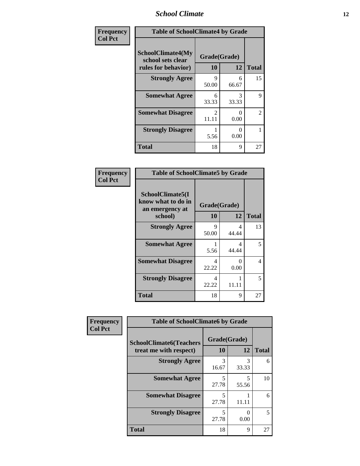#### *School Climate* **12**

| Frequency      | <b>Table of SchoolClimate4 by Grade</b>                              |                        |            |              |
|----------------|----------------------------------------------------------------------|------------------------|------------|--------------|
| <b>Col Pct</b> | <b>SchoolClimate4(My</b><br>school sets clear<br>rules for behavior) | Grade(Grade)<br>10     | 12         | <b>Total</b> |
|                | <b>Strongly Agree</b>                                                | 9<br>50.00             | 6<br>66.67 | 15           |
|                | <b>Somewhat Agree</b>                                                | 6<br>33.33             | 3<br>33.33 | 9            |
|                | <b>Somewhat Disagree</b>                                             | $\mathcal{L}$<br>11.11 | 0<br>0.00  | 2            |
|                | <b>Strongly Disagree</b>                                             | 5.56                   | 0<br>0.00  | 1            |
|                | <b>Total</b>                                                         | 18                     | 9          | 27           |

#### **Frequency Col Pct**

| <b>Table of SchoolClimate5 by Grade</b>                   |                    |              |    |  |
|-----------------------------------------------------------|--------------------|--------------|----|--|
| SchoolClimate5(I<br>know what to do in<br>an emergency at | Grade(Grade)<br>10 |              |    |  |
| school)                                                   | 12                 | <b>Total</b> |    |  |
| <b>Strongly Agree</b>                                     | 9<br>50.00         | 4<br>44.44   | 13 |  |
| <b>Somewhat Agree</b>                                     | 5.56               | Δ<br>44.44   | 5  |  |
| <b>Somewhat Disagree</b>                                  | 4<br>22.22         | 0<br>0.00    | 4  |  |
| <b>Strongly Disagree</b>                                  | 4<br>22.22         | 11.11        | 5  |  |
| <b>Total</b>                                              | 18                 | 9            | 27 |  |

| Frequency      | <b>Table of SchoolClimate6 by Grade</b>                  |                    |            |              |
|----------------|----------------------------------------------------------|--------------------|------------|--------------|
| <b>Col Pct</b> | <b>SchoolClimate6(Teachers</b><br>treat me with respect) | Grade(Grade)<br>10 | 12         | <b>Total</b> |
|                | <b>Strongly Agree</b>                                    | 3<br>16.67         | 3<br>33.33 | 6            |
|                | <b>Somewhat Agree</b>                                    | 5<br>27.78         | 5<br>55.56 | 10           |
|                | <b>Somewhat Disagree</b>                                 | 5<br>27.78         | 11.11      | 6            |
|                | <b>Strongly Disagree</b>                                 | 5<br>27.78         | ∩<br>0.00  | 5            |
|                | <b>Total</b>                                             | 18                 | 9          | 27           |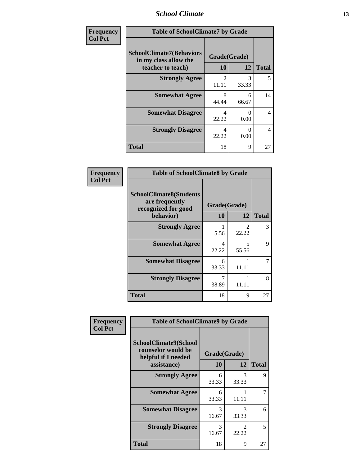#### *School Climate* **13**

| Frequency      | <b>Table of SchoolClimate7 by Grade</b>                                       |                         |            |              |
|----------------|-------------------------------------------------------------------------------|-------------------------|------------|--------------|
| <b>Col Pct</b> | <b>SchoolClimate7(Behaviors</b><br>in my class allow the<br>teacher to teach) | Grade(Grade)<br>10      | 12         | <b>Total</b> |
|                | <b>Strongly Agree</b>                                                         | $\mathfrak{D}$<br>11.11 | 3<br>33.33 | 5            |
|                | <b>Somewhat Agree</b>                                                         | 8<br>44.44              | 6<br>66.67 | 14           |
|                | <b>Somewhat Disagree</b>                                                      | 4<br>22.22              | 0<br>0.00  | 4            |
|                | <b>Strongly Disagree</b>                                                      | 4<br>22.22              | 0<br>0.00  | 4            |
|                | <b>Total</b>                                                                  | 18                      | 9          | 27           |

| Frequency      | <b>Table of SchoolClimate8 by Grade</b>                                              |                    |            |              |
|----------------|--------------------------------------------------------------------------------------|--------------------|------------|--------------|
| <b>Col Pct</b> | <b>SchoolClimate8(Students</b><br>are frequently<br>recognized for good<br>behavior) | Grade(Grade)<br>10 | 12         | <b>Total</b> |
|                | <b>Strongly Agree</b>                                                                | 5.56               | 2<br>22.22 | 3            |
|                | <b>Somewhat Agree</b>                                                                | 4<br>22.22         | 5<br>55.56 | 9            |
|                | <b>Somewhat Disagree</b>                                                             | 6<br>33.33         | 11.11      | 7            |
|                | <b>Strongly Disagree</b>                                                             | 38.89              | 11.11      | 8            |
|                | <b>Total</b>                                                                         | 18                 | 9          | 27           |

| Frequency      | <b>Table of SchoolClimate9 by Grade</b>                                           |                    |                        |              |
|----------------|-----------------------------------------------------------------------------------|--------------------|------------------------|--------------|
| <b>Col Pct</b> | SchoolClimate9(School<br>counselor would be<br>helpful if I needed<br>assistance) | Grade(Grade)<br>10 | 12                     | <b>Total</b> |
|                | <b>Strongly Agree</b>                                                             | 6<br>33.33         | 3<br>33.33             | 9            |
|                | <b>Somewhat Agree</b>                                                             | 6<br>33.33         | 11.11                  |              |
|                | <b>Somewhat Disagree</b>                                                          | 3<br>16.67         | $\mathcal{R}$<br>33.33 | 6            |
|                | <b>Strongly Disagree</b>                                                          | 3<br>16.67         | 2<br>22.22             | 5            |
|                | <b>Total</b>                                                                      | 18                 | 9                      | 27           |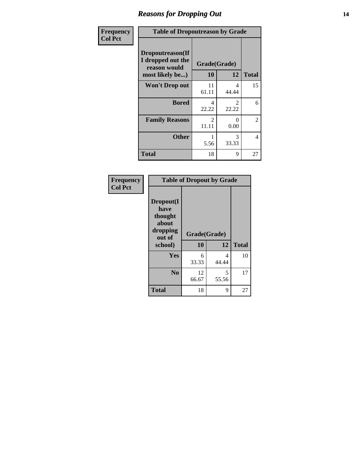#### *Reasons for Dropping Out* **14**

| Frequency      | <b>Table of Dropoutreason by Grade</b>                |                         |                         |                |
|----------------|-------------------------------------------------------|-------------------------|-------------------------|----------------|
| <b>Col Pct</b> | Dropoutreason(If<br>I dropped out the<br>reason would | Grade(Grade)            |                         |                |
|                | most likely be)                                       | <b>10</b>               | 12                      | <b>Total</b>   |
|                | <b>Won't Drop out</b>                                 | 11<br>61.11             | 4<br>44.44              | 15             |
|                | <b>Bored</b>                                          | 4<br>22.22              | $\mathfrak{D}$<br>22.22 | 6              |
|                | <b>Family Reasons</b>                                 | $\mathfrak{D}$<br>11.11 | 0<br>0.00               | $\overline{2}$ |
|                | <b>Other</b>                                          | 5.56                    | 3<br>33.33              | 4              |
|                | <b>Total</b>                                          | 18                      | 9                       | 27             |

| <b>Frequency</b><br><b>Col Pct</b> | <b>Table of Dropout by Grade</b>                                       |                    |            |              |  |
|------------------------------------|------------------------------------------------------------------------|--------------------|------------|--------------|--|
|                                    | Dropout(I<br>have<br>thought<br>about<br>dropping<br>out of<br>school) | Grade(Grade)<br>10 | 12         | <b>Total</b> |  |
|                                    | Yes                                                                    | 6<br>33.33         | 4<br>44.44 | 10           |  |
|                                    | N <sub>0</sub>                                                         | 12<br>66.67        | 5<br>55.56 | 17           |  |
|                                    | <b>Total</b>                                                           | 18                 | 9          | 27           |  |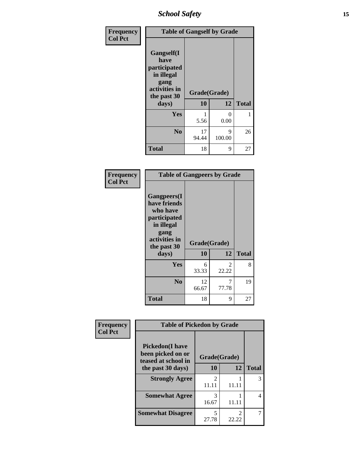*School Safety* **15**

| Frequency      | <b>Table of Gangself by Grade</b>                                                                 |                    |             |              |
|----------------|---------------------------------------------------------------------------------------------------|--------------------|-------------|--------------|
| <b>Col Pct</b> | Gangself(I<br>have<br>participated<br>in illegal<br>gang<br>activities in<br>the past 30<br>days) | Grade(Grade)<br>10 | 12          | <b>Total</b> |
|                | Yes                                                                                               | 5.56               | 0<br>0.00   | 1            |
|                | N <sub>0</sub>                                                                                    | 17<br>94.44        | 9<br>100.00 | 26           |
|                | <b>Total</b>                                                                                      | 18                 | 9           | 27           |

| Frequency<br><b>Col Pct</b> | <b>Table of Gangpeers by Grade</b>                                                                                             |                    |                         |              |
|-----------------------------|--------------------------------------------------------------------------------------------------------------------------------|--------------------|-------------------------|--------------|
|                             | <b>Gangpeers</b> (I<br>have friends<br>who have<br>participated<br>in illegal<br>gang<br>activities in<br>the past 30<br>days) | Grade(Grade)<br>10 | 12                      | <b>Total</b> |
|                             | <b>Yes</b>                                                                                                                     | 6<br>33.33         | $\mathfrak{D}$<br>22.22 | 8            |
|                             | N <sub>0</sub>                                                                                                                 | 12<br>66.67        | 7<br>77.78              | 19           |
|                             | <b>Total</b>                                                                                                                   | 18                 | 9                       | 27           |

| Frequency      | <b>Table of Pickedon by Grade</b>                                   |                                      |       |              |
|----------------|---------------------------------------------------------------------|--------------------------------------|-------|--------------|
| <b>Col Pct</b> | <b>Pickedon</b> (I have<br>been picked on or<br>teased at school in | Grade(Grade)                         |       |              |
|                | the past 30 days)                                                   | 10                                   | 12    | <b>Total</b> |
|                | <b>Strongly Agree</b>                                               | $\mathcal{D}_{\mathcal{L}}$<br>11.11 | 11.11 | 3            |
|                | <b>Somewhat Agree</b>                                               | 3<br>16.67                           | 11.11 | 4            |
|                | <b>Somewhat Disagree</b>                                            | 5<br>27.78                           | 22.22 |              |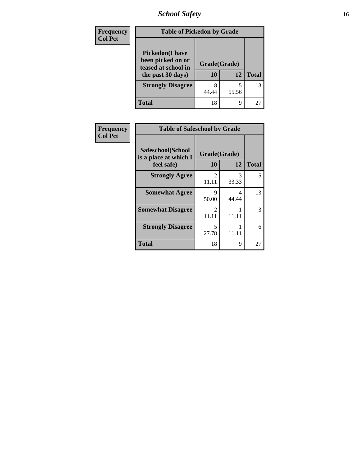*School Safety* **16**

| <b>Frequency</b> | <b>Table of Pickedon by Grade</b>                                                        |                    |            |              |  |
|------------------|------------------------------------------------------------------------------------------|--------------------|------------|--------------|--|
| <b>Col Pct</b>   | <b>Pickedon</b> (I have<br>been picked on or<br>teased at school in<br>the past 30 days) | Grade(Grade)<br>10 | 12         | <b>Total</b> |  |
|                  | <b>Strongly Disagree</b>                                                                 | 8<br>44.44         | 5<br>55.56 | 13           |  |
|                  | <b>Total</b>                                                                             | 18                 | 9          | 27           |  |

| Frequency      | <b>Table of Safeschool by Grade</b>                      |                         |            |              |
|----------------|----------------------------------------------------------|-------------------------|------------|--------------|
| <b>Col Pct</b> | Safeschool(School<br>is a place at which I<br>feel safe) | Grade(Grade)<br>10      | 12         | <b>Total</b> |
|                | <b>Strongly Agree</b>                                    | $\overline{2}$<br>11.11 | 3<br>33.33 | 5            |
|                | <b>Somewhat Agree</b>                                    | 9<br>50.00              | 4<br>44.44 | 13           |
|                | <b>Somewhat Disagree</b>                                 | $\mathfrak{D}$<br>11.11 | 11.11      | 3            |
|                | <b>Strongly Disagree</b>                                 | 5<br>27.78              | 11.11      | 6            |
|                | <b>Total</b>                                             | 18                      | 9          | 27           |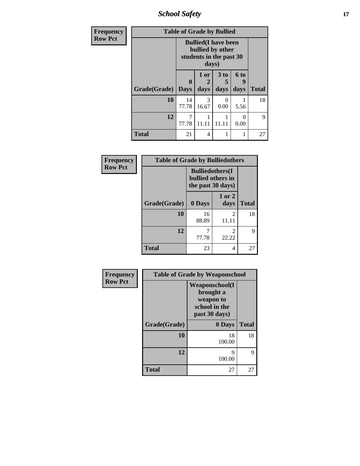*School Safety* **17**

| Frequency      | <b>Table of Grade by Bullied</b> |                                                                                     |                   |                   |                   |              |
|----------------|----------------------------------|-------------------------------------------------------------------------------------|-------------------|-------------------|-------------------|--------------|
| <b>Row Pct</b> |                                  | <b>Bullied</b> (I have been<br>bullied by other<br>students in the past 30<br>days) |                   |                   |                   |              |
|                | Grade(Grade)                     | $\bf{0}$<br><b>Days</b>                                                             | 1 or<br>2<br>days | 3 to<br>5<br>days | 6 to<br>9<br>days | <b>Total</b> |
|                | 10                               | 14<br>77.78                                                                         | 3<br>16.67        | $\Omega$<br>0.00  | 5.56              | 18           |
|                | 12                               | 77.78                                                                               | 11.11             | 11.11             | 0<br>0.00         | 9            |
|                | <b>Total</b>                     | 21                                                                                  | 4                 |                   |                   | 27           |

| Frequency      | <b>Table of Grade by Bulliedothers</b> |                                                                   |                         |              |
|----------------|----------------------------------------|-------------------------------------------------------------------|-------------------------|--------------|
| <b>Row Pct</b> |                                        | <b>Bulliedothers</b> (I<br>bullied others in<br>the past 30 days) |                         |              |
|                | Grade(Grade)                           | 0 Days                                                            | 1 or 2<br>days          | <b>Total</b> |
|                | 10                                     | 16<br>88.89                                                       | $\mathfrak{D}$<br>11.11 | 18           |
|                | 12                                     | 77.78                                                             | $\mathfrak{D}$<br>22.22 | 9            |
|                | <b>Total</b>                           | 23                                                                | 4                       | 27           |

| Frequency      | <b>Table of Grade by Weaponschool</b> |                                                                                    |              |  |
|----------------|---------------------------------------|------------------------------------------------------------------------------------|--------------|--|
| <b>Row Pct</b> |                                       | <b>Weaponschool</b> (I<br>brought a<br>weapon to<br>school in the<br>past 30 days) |              |  |
|                | Grade(Grade)                          | 0 Days                                                                             | <b>Total</b> |  |
|                | 10                                    | 18<br>100.00                                                                       | 18           |  |
|                | 12                                    | 9<br>100.00                                                                        | 9            |  |
|                | <b>Total</b>                          | 27                                                                                 | 27           |  |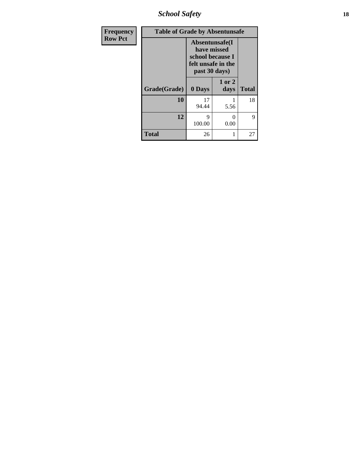*School Safety* **18**

| <b>Frequency</b> | <b>Table of Grade by Absentunsafe</b> |             |                                                                                           |              |  |
|------------------|---------------------------------------|-------------|-------------------------------------------------------------------------------------------|--------------|--|
| <b>Row Pct</b>   |                                       |             | Absentunsafe(I)<br>have missed<br>school because I<br>felt unsafe in the<br>past 30 days) |              |  |
|                  | Grade(Grade)                          | 0 Days      | 1 or 2<br>days                                                                            | <b>Total</b> |  |
|                  | 10                                    | 17<br>94.44 | 5.56                                                                                      | 18           |  |
|                  | 12                                    | 9<br>100.00 | 0<br>0.00                                                                                 | 9            |  |
|                  | <b>Total</b>                          | 26          | 1                                                                                         | 27           |  |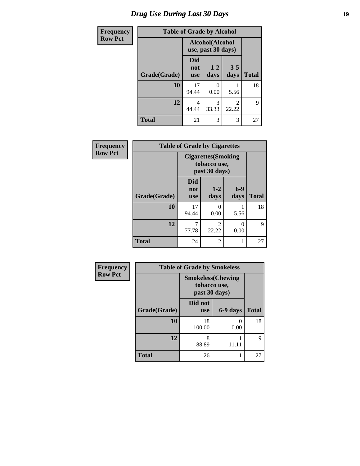### *Drug Use During Last 30 Days* **19**

| <b>Frequency</b> | <b>Table of Grade by Alcohol</b> |                                       |                 |                 |              |
|------------------|----------------------------------|---------------------------------------|-----------------|-----------------|--------------|
| <b>Row Pct</b>   |                                  | Alcohol(Alcohol<br>use, past 30 days) |                 |                 |              |
|                  | Grade(Grade)                     | Did<br>not<br><b>use</b>              | $1 - 2$<br>days | $3 - 5$<br>days | <b>Total</b> |
|                  | 10                               | 17<br>94.44                           | 0<br>0.00       | 5.56            | 18           |
|                  | 12                               | 4<br>44.44                            | 3<br>33.33      | 2<br>22.22      | 9            |
|                  | <b>Total</b>                     | 21                                    | 3               | 3               | 27           |

| Frequency      | <b>Table of Grade by Cigarettes</b> |                                                             |                         |               |              |
|----------------|-------------------------------------|-------------------------------------------------------------|-------------------------|---------------|--------------|
| <b>Row Pct</b> |                                     | <b>Cigarettes</b> (Smoking<br>tobacco use,<br>past 30 days) |                         |               |              |
|                | Grade(Grade)                        | <b>Did</b><br>not<br><b>use</b>                             | $1 - 2$<br>days         | $6-9$<br>days | <b>Total</b> |
|                | 10                                  | 17<br>94.44                                                 | $\theta$<br>0.00        | 5.56          | 18           |
|                | 12                                  | 7<br>77.78                                                  | $\mathfrak{D}$<br>22.22 | 0<br>0.00     | 9            |
|                | <b>Total</b>                        | 24                                                          | 2                       | 1             | 27           |

| Frequency      | <b>Table of Grade by Smokeless</b>                        |                       |           |              |  |
|----------------|-----------------------------------------------------------|-----------------------|-----------|--------------|--|
| <b>Row Pct</b> | <b>Smokeless(Chewing</b><br>tobacco use,<br>past 30 days) |                       |           |              |  |
|                | Grade(Grade)                                              | Did not<br><b>use</b> | 6-9 days  | <b>Total</b> |  |
|                | 10                                                        | 18<br>100.00          | 0<br>0.00 | 18           |  |
|                | 12                                                        | 8<br>88.89            | 11.11     | 9            |  |
|                | <b>Total</b>                                              | 26                    |           | 27           |  |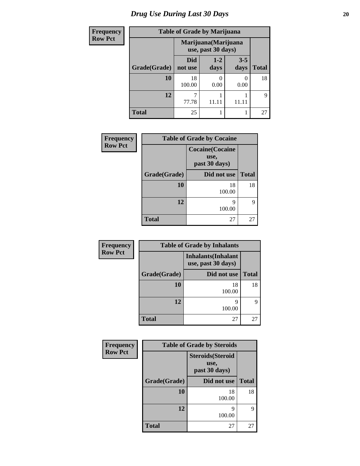# *Drug Use During Last 30 Days* 20

| <b>Frequency</b> | <b>Table of Grade by Marijuana</b> |                                            |                       |                 |              |
|------------------|------------------------------------|--------------------------------------------|-----------------------|-----------------|--------------|
| <b>Row Pct</b>   |                                    | Marijuana (Marijuana<br>use, past 30 days) |                       |                 |              |
|                  | Grade(Grade)                       | Did<br>not use                             | $1 - 2$<br>days       | $3 - 5$<br>days | <b>Total</b> |
|                  | 10                                 | 18<br>100.00                               | $\mathcal{O}$<br>0.00 | 0.00            | 18           |
|                  | 12                                 | 77.78                                      | 11.11                 |                 | 9            |
|                  | <b>Total</b>                       | 25                                         |                       |                 | 27           |

| Frequency      | <b>Table of Grade by Cocaine</b> |                                                  |              |  |
|----------------|----------------------------------|--------------------------------------------------|--------------|--|
| <b>Row Pct</b> |                                  | <b>Cocaine</b> (Cocaine<br>use,<br>past 30 days) |              |  |
|                | Grade(Grade)                     | Did not use                                      | <b>Total</b> |  |
|                | 10                               | 18<br>100.00                                     | 18           |  |
|                | 12                               | Q<br>100.00                                      | 9            |  |
|                | <b>Total</b>                     | 27                                               | 27           |  |

| Frequency      | <b>Table of Grade by Inhalants</b> |                                                  |              |  |  |
|----------------|------------------------------------|--------------------------------------------------|--------------|--|--|
| <b>Row Pct</b> |                                    | <b>Inhalants</b> (Inhalant<br>use, past 30 days) |              |  |  |
|                | Grade(Grade)                       | Did not use                                      | <b>Total</b> |  |  |
|                | <b>10</b>                          | 18<br>100.00                                     | 18           |  |  |
|                | 12                                 | 100.00                                           | 9            |  |  |
|                | <b>Total</b>                       | 27                                               | 27           |  |  |

| Frequency      |              | <b>Table of Grade by Steroids</b>                 |              |
|----------------|--------------|---------------------------------------------------|--------------|
| <b>Row Pct</b> |              | <b>Steroids</b> (Steroid<br>use,<br>past 30 days) |              |
|                | Grade(Grade) | Did not use                                       | <b>Total</b> |
|                | 10           | 18<br>100.00                                      | 18           |
|                | 12           | q<br>100.00                                       | q            |
|                | Total        | 27                                                | 27           |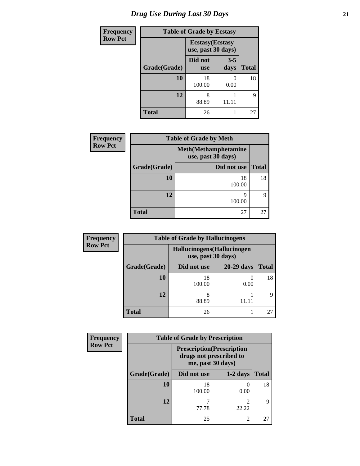# *Drug Use During Last 30 Days* **21**

| <b>Frequency</b> | <b>Table of Grade by Ecstasy</b>              |                       |                 |              |
|------------------|-----------------------------------------------|-----------------------|-----------------|--------------|
| <b>Row Pct</b>   | <b>Ecstasy</b> (Ecstasy<br>use, past 30 days) |                       |                 |              |
|                  | Grade(Grade)                                  | Did not<br><b>use</b> | $3 - 5$<br>days | <b>Total</b> |
|                  | 10                                            | 18<br>100.00          | 0.00            | 18           |
|                  | 12                                            | 8<br>88.89            | 11.11           | 9            |
|                  | <b>Total</b>                                  | 26                    |                 | 27           |

| <b>Frequency</b> |              | <b>Table of Grade by Meth</b>                      |              |  |  |
|------------------|--------------|----------------------------------------------------|--------------|--|--|
| <b>Row Pct</b>   |              | <b>Meth</b> (Methamphetamine<br>use, past 30 days) |              |  |  |
|                  | Grade(Grade) | Did not use                                        | <b>Total</b> |  |  |
|                  | 10           | 18<br>100.00                                       | 18           |  |  |
|                  | 12           | 9<br>100.00                                        |              |  |  |
|                  | <b>Total</b> | 27                                                 | 27           |  |  |

| <b>Frequency</b> | <b>Table of Grade by Hallucinogens</b> |                    |                             |       |
|------------------|----------------------------------------|--------------------|-----------------------------|-------|
| <b>Row Pct</b>   |                                        | use, past 30 days) | Hallucinogens (Hallucinogen |       |
|                  | Grade(Grade)                           | Did not use        | 20-29 days                  | Total |
|                  | 10                                     | 18<br>100.00       | 0.00                        | 18    |
|                  | 12                                     | 8<br>88.89         | 11.11                       | Q     |
|                  | <b>Total</b>                           | 26                 |                             | 27    |

| Frequency      | <b>Table of Grade by Prescription</b> |                                              |                                   |              |
|----------------|---------------------------------------|----------------------------------------------|-----------------------------------|--------------|
| <b>Row Pct</b> |                                       | drugs not prescribed to<br>me, past 30 days) | <b>Prescription</b> (Prescription |              |
|                | Grade(Grade)                          | Did not use                                  | $1-2$ days                        | <b>Total</b> |
|                | 10                                    | 18<br>100.00                                 | 0.00                              | 18           |
|                | 12                                    | 77.78                                        | റ<br>22.22                        | 9            |
|                | <b>Total</b>                          | 25                                           | $\mathfrak{D}$                    | 27           |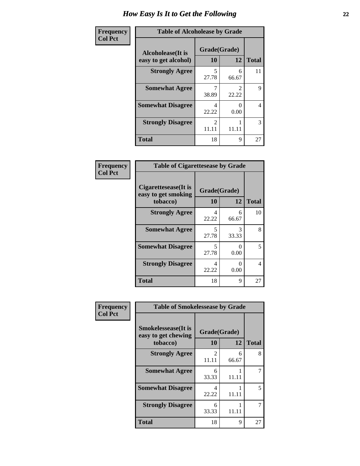| Frequency      | <b>Table of Alcoholease by Grade</b>              |                    |                         |              |
|----------------|---------------------------------------------------|--------------------|-------------------------|--------------|
| <b>Col Pct</b> | <b>Alcoholease</b> (It is<br>easy to get alcohol) | Grade(Grade)<br>10 | 12                      | <b>Total</b> |
|                | <b>Strongly Agree</b>                             | 5<br>27.78         | 6<br>66.67              | 11           |
|                | <b>Somewhat Agree</b>                             | 38.89              | $\mathfrak{D}$<br>22.22 | 9            |
|                | <b>Somewhat Disagree</b>                          | 4<br>22.22         | 0.00                    | 4            |
|                | <b>Strongly Disagree</b>                          | 2<br>11.11         | 11.11                   | 3            |
|                | <b>Total</b>                                      | 18                 | 9                       | 27           |

| Frequency      | <b>Table of Cigarettesease by Grade</b>                 |                    |            |                |
|----------------|---------------------------------------------------------|--------------------|------------|----------------|
| <b>Col Pct</b> | Cigarettesease(It is<br>easy to get smoking<br>tobacco) | Grade(Grade)<br>10 | 12         | <b>Total</b>   |
|                | <b>Strongly Agree</b>                                   | 4<br>22.22         | 6<br>66.67 | 10             |
|                | <b>Somewhat Agree</b>                                   | 5<br>27.78         | 3<br>33.33 | 8              |
|                | <b>Somewhat Disagree</b>                                | 5<br>27.78         | 0<br>0.00  | 5              |
|                | <b>Strongly Disagree</b>                                | 4<br>22.22         | 0<br>0.00  | $\overline{4}$ |
|                | <b>Total</b>                                            | 18                 | 9          | 27             |

| Frequency      | <b>Table of Smokelessease by Grade</b>                         |                    |            |              |
|----------------|----------------------------------------------------------------|--------------------|------------|--------------|
| <b>Col Pct</b> | <b>Smokelessease</b> (It is<br>easy to get chewing<br>tobacco) | Grade(Grade)<br>10 | 12         | <b>Total</b> |
|                | <b>Strongly Agree</b>                                          | 2<br>11.11         | 6<br>66.67 | 8            |
|                | <b>Somewhat Agree</b>                                          | 6<br>33.33         | 11.11      | 7            |
|                | <b>Somewhat Disagree</b>                                       | 4<br>22.22         | 11.11      | 5            |
|                | <b>Strongly Disagree</b>                                       | 6<br>33.33         | 11.11      | 7            |
|                | <b>Total</b>                                                   | 18                 | 9          | 27           |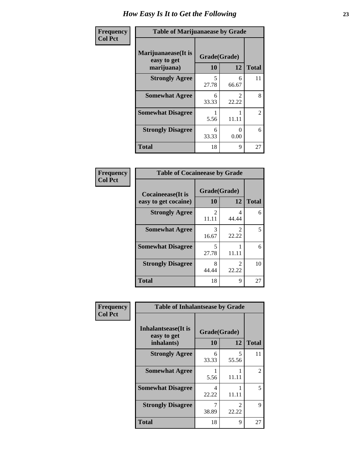| Frequency      | <b>Table of Marijuanaease by Grade</b>           |                    |                           |                |
|----------------|--------------------------------------------------|--------------------|---------------------------|----------------|
| <b>Col Pct</b> | Marijuanaease(It is<br>easy to get<br>marijuana) | Grade(Grade)<br>10 | 12                        | <b>Total</b>   |
|                | <b>Strongly Agree</b>                            | 5<br>27.78         | 6<br>66.67                | 11             |
|                | <b>Somewhat Agree</b>                            | 6<br>33.33         | $\mathfrak{D}$<br>22.22   | 8              |
|                | <b>Somewhat Disagree</b>                         | 5.56               | 11.11                     | $\overline{2}$ |
|                | <b>Strongly Disagree</b>                         | 6<br>33.33         | $\mathbf{\Omega}$<br>0.00 | 6              |
|                | <b>Total</b>                                     | 18                 | 9                         | 27             |

#### **Frequency Col Pct**

| <b>Table of Cocaineease by Grade</b>              |                         |              |    |  |  |
|---------------------------------------------------|-------------------------|--------------|----|--|--|
| <b>Cocaineease</b> (It is<br>easy to get cocaine) | Grade(Grade)<br>10      | <b>Total</b> |    |  |  |
|                                                   |                         | 12           |    |  |  |
| <b>Strongly Agree</b>                             | $\mathfrak{D}$<br>11.11 | 4<br>44.44   | 6  |  |  |
| <b>Somewhat Agree</b>                             | 3<br>16.67              | 2<br>22.22   | 5  |  |  |
| <b>Somewhat Disagree</b>                          | 5<br>27.78              | 11.11        | 6  |  |  |
| <b>Strongly Disagree</b>                          | 8<br>44.44              | 2<br>22.22   | 10 |  |  |
| <b>Total</b>                                      | 18                      | 9            | 27 |  |  |

| Frequency      | <b>Table of Inhalantsease by Grade</b>     |              |                                      |              |
|----------------|--------------------------------------------|--------------|--------------------------------------|--------------|
| <b>Col Pct</b> | <b>Inhalantsease</b> (It is<br>easy to get | Grade(Grade) |                                      |              |
|                | inhalants)                                 | 10           | 12                                   | <b>Total</b> |
|                | <b>Strongly Agree</b>                      | 6<br>33.33   | 5<br>55.56                           | 11           |
|                | <b>Somewhat Agree</b>                      | 5.56         | 11.11                                | 2            |
|                | <b>Somewhat Disagree</b>                   | 4<br>22.22   | 11.11                                | 5            |
|                | <b>Strongly Disagree</b>                   | 38.89        | $\mathcal{D}_{\mathcal{L}}$<br>22.22 | 9            |
|                | <b>Total</b>                               | 18           | 9                                    | 27           |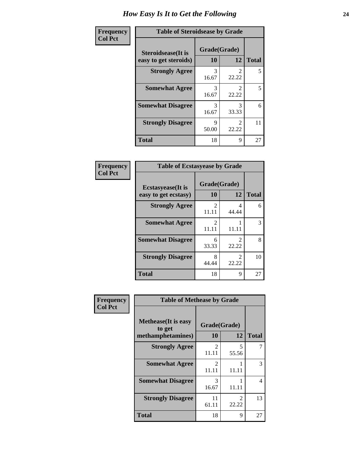| Frequency      | <b>Table of Steroidsease by Grade</b>               |                    |                         |              |
|----------------|-----------------------------------------------------|--------------------|-------------------------|--------------|
| <b>Col Pct</b> | <b>Steroidsease</b> (It is<br>easy to get steroids) | Grade(Grade)<br>10 | 12                      | <b>Total</b> |
|                | <b>Strongly Agree</b>                               | 3<br>16.67         | 22.22                   | 5            |
|                | <b>Somewhat Agree</b>                               | 3<br>16.67         | $\mathfrak{D}$<br>22.22 | 5            |
|                | <b>Somewhat Disagree</b>                            | 3<br>16.67         | 3<br>33.33              | 6            |
|                | <b>Strongly Disagree</b>                            | 9<br>50.00         | $\mathfrak{D}$<br>22.22 | 11           |
|                | <b>Total</b>                                        | 18                 | 9                       | 27           |

| Frequency      | <b>Table of Ecstasyease by Grade</b>              |                         |                                      |              |  |
|----------------|---------------------------------------------------|-------------------------|--------------------------------------|--------------|--|
| <b>Col Pct</b> | <b>Ecstasyease</b> (It is<br>easy to get ecstasy) | Grade(Grade)<br>10      | 12                                   | <b>Total</b> |  |
|                | <b>Strongly Agree</b>                             | 2<br>11.11              | 4<br>44.44                           | 6            |  |
|                | <b>Somewhat Agree</b>                             | $\mathfrak{D}$<br>11.11 | 11.11                                | 3            |  |
|                | <b>Somewhat Disagree</b>                          | 6<br>33.33              | 2<br>22.22                           | 8            |  |
|                | <b>Strongly Disagree</b>                          | 8<br>44.44              | $\mathcal{D}_{\mathcal{L}}$<br>22.22 | 10           |  |
|                | <b>Total</b>                                      | 18                      | 9                                    | 27           |  |

| <b>Frequency</b><br><b>Col Pct</b> | <b>Table of Methease by Grade</b>     |                                      |                         |              |  |  |
|------------------------------------|---------------------------------------|--------------------------------------|-------------------------|--------------|--|--|
|                                    | <b>Methease</b> (It is easy<br>to get | Grade(Grade)                         |                         |              |  |  |
|                                    | methamphetamines)                     | 10                                   | 12                      | <b>Total</b> |  |  |
|                                    | <b>Strongly Agree</b>                 | $\mathfrak{D}$<br>11.11              | 5<br>55.56              | 7            |  |  |
|                                    | <b>Somewhat Agree</b>                 | $\mathcal{D}_{\mathcal{L}}$<br>11.11 | 11.11                   | 3            |  |  |
|                                    | <b>Somewhat Disagree</b>              | 3<br>16.67                           | 11.11                   | 4            |  |  |
|                                    | <b>Strongly Disagree</b>              | 11<br>61.11                          | $\mathfrak{D}$<br>22.22 | 13           |  |  |
|                                    | <b>Total</b>                          | 18                                   | 9                       | 27           |  |  |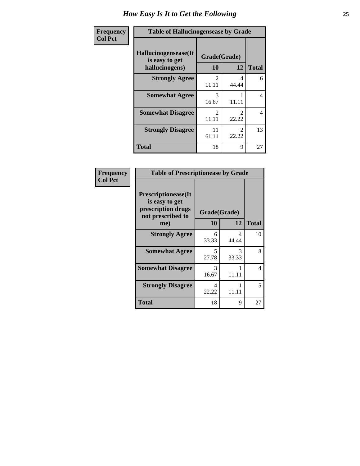| <b>Frequency</b> | <b>Table of Hallucinogensease by Grade</b>               |                                      |                                      |                |  |
|------------------|----------------------------------------------------------|--------------------------------------|--------------------------------------|----------------|--|
| <b>Col Pct</b>   | Hallucinogensease(It<br>is easy to get<br>hallucinogens) | Grade(Grade)<br>10                   | 12                                   | <b>Total</b>   |  |
|                  | <b>Strongly Agree</b>                                    | $\mathcal{D}_{\mathcal{L}}$<br>11.11 | 4<br>44.44                           | 6              |  |
|                  | <b>Somewhat Agree</b>                                    | 3<br>16.67                           | 11.11                                | $\overline{4}$ |  |
|                  | <b>Somewhat Disagree</b>                                 | $\mathcal{D}_{\mathcal{L}}$<br>11.11 | $\mathcal{D}_{\mathcal{L}}$<br>22.22 | $\overline{4}$ |  |
|                  | <b>Strongly Disagree</b>                                 | 11<br>61.11                          | $\mathcal{D}_{\mathcal{L}}$<br>22.22 | 13             |  |
|                  | <b>Total</b>                                             | 18                                   | 9                                    | 27             |  |

| Frequency<br>  Col Pct |
|------------------------|

| <b>Table of Prescriptionease by Grade</b>                                               |              |            |              |  |  |
|-----------------------------------------------------------------------------------------|--------------|------------|--------------|--|--|
| <b>Prescriptionease(It</b><br>is easy to get<br>prescription drugs<br>not prescribed to | Grade(Grade) |            |              |  |  |
| me)                                                                                     | 10           | 12         | <b>Total</b> |  |  |
| <b>Strongly Agree</b>                                                                   | 6<br>33.33   | 4<br>44.44 | 10           |  |  |
| <b>Somewhat Agree</b>                                                                   | 5<br>27.78   | 3<br>33.33 | 8            |  |  |
| <b>Somewhat Disagree</b>                                                                | 3<br>16.67   | 11.11      | 4            |  |  |
| <b>Strongly Disagree</b>                                                                | 4<br>22.22   | 11.11      | 5            |  |  |
| <b>Total</b>                                                                            | 18           | 9          | 27           |  |  |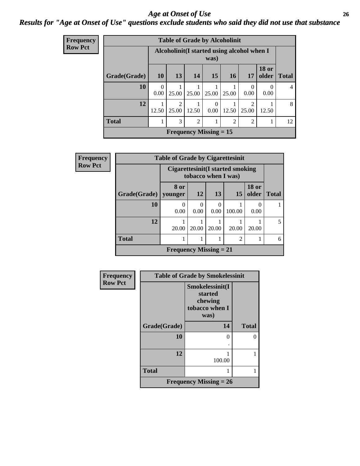#### *Age at Onset of Use* **26** *Results for "Age at Onset of Use" questions exclude students who said they did not use that substance*

| <b>Frequency</b> |              |                                                     |                                      |       | <b>Table of Grade by Alcoholinit</b> |                |                        |                       |                |
|------------------|--------------|-----------------------------------------------------|--------------------------------------|-------|--------------------------------------|----------------|------------------------|-----------------------|----------------|
| <b>Row Pct</b>   |              | Alcoholinit (I started using alcohol when I<br>was) |                                      |       |                                      |                |                        |                       |                |
|                  | Grade(Grade) | <b>10</b>                                           | 13                                   | 14    | <b>15</b>                            | <b>16</b>      | 17                     | <b>18 or</b><br>older | <b>Total</b>   |
|                  | 10           | 0<br>0.00                                           | 25.00                                | 25.00 | 25.00                                | 25.00          | $\Omega$<br>0.00       | $\mathbf{0}$<br>0.00  | $\overline{4}$ |
|                  | 12           | 12.50                                               | $\mathcal{D}_{\mathcal{A}}$<br>25.00 | 12.50 | $\Omega$<br>0.00                     | 12.50          | $\mathcal{D}$<br>25.00 | 12.50                 | 8              |
|                  | <b>Total</b> |                                                     | 3                                    | 2     |                                      | $\overline{2}$ | $\overline{2}$         |                       | 12             |
|                  |              |                                                     |                                      |       | <b>Frequency Missing = 15</b>        |                |                        |                       |                |

| <b>Frequency</b> | <b>Table of Grade by Cigarettesinit</b> |                                                         |                  |       |                |                       |                          |
|------------------|-----------------------------------------|---------------------------------------------------------|------------------|-------|----------------|-----------------------|--------------------------|
| <b>Row Pct</b>   |                                         | Cigarettesinit(I started smoking<br>tobacco when I was) |                  |       |                |                       |                          |
|                  | Grade(Grade)                            | 8 or<br>younger                                         | <b>12</b>        | 13    | 15             | <b>18 or</b><br>older | <b>Total</b>             |
|                  | 10                                      | 0.00                                                    | $\Omega$<br>0.00 | 0.00  | 100.00         | $\mathbf{0}$<br>0.00  |                          |
|                  | 12                                      | 20.00                                                   | 20.00            | 20.00 | 20.00          | 20.00                 | $\overline{\phantom{0}}$ |
|                  | <b>Total</b>                            |                                                         |                  |       | $\overline{2}$ |                       | 6                        |
|                  |                                         | <b>Frequency Missing = 21</b>                           |                  |       |                |                       |                          |

| Frequency      | <b>Table of Grade by Smokelessinit</b> |                                                                 |              |  |  |
|----------------|----------------------------------------|-----------------------------------------------------------------|--------------|--|--|
| <b>Row Pct</b> |                                        | Smokelessinit(I<br>started<br>chewing<br>tobacco when I<br>was) |              |  |  |
|                | Grade(Grade)                           | 14                                                              | <b>Total</b> |  |  |
|                | 10                                     | 0                                                               |              |  |  |
|                | 12                                     | 100.00                                                          |              |  |  |
|                | <b>Total</b>                           |                                                                 |              |  |  |
|                | <b>Frequency Missing = 26</b>          |                                                                 |              |  |  |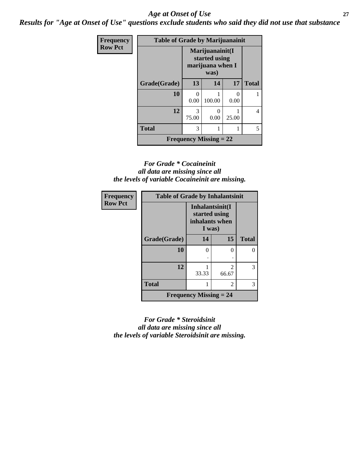#### *Age at Onset of Use* **27**

*Results for "Age at Onset of Use" questions exclude students who said they did not use that substance*

| <b>Frequency</b> | <b>Table of Grade by Marijuanainit</b> |                                                              |        |                      |              |
|------------------|----------------------------------------|--------------------------------------------------------------|--------|----------------------|--------------|
| <b>Row Pct</b>   |                                        | Marijuanainit(I<br>started using<br>marijuana when I<br>was) |        |                      |              |
|                  | Grade(Grade)                           | 13                                                           | 14     | 17                   | <b>Total</b> |
|                  | 10                                     | 0<br>0.00                                                    | 100.00 | $\mathbf{0}$<br>0.00 |              |
|                  | 12                                     | 3<br>75.00                                                   | 0.00   | 25.00                | 4            |
|                  | <b>Total</b>                           | 3                                                            |        |                      | 5            |
|                  | <b>Frequency Missing = 22</b>          |                                                              |        |                      |              |

#### *For Grade \* Cocaineinit all data are missing since all the levels of variable Cocaineinit are missing.*

| <b>Frequency</b> | <b>Table of Grade by Inhalantsinit</b> |                                                              |                         |              |
|------------------|----------------------------------------|--------------------------------------------------------------|-------------------------|--------------|
| <b>Row Pct</b>   |                                        | Inhalantsinit(I<br>started using<br>inhalants when<br>I was) |                         |              |
|                  | Grade(Grade)                           | 14                                                           | 15                      | <b>Total</b> |
|                  | 10                                     | 0                                                            | $\Omega$                | 0            |
|                  |                                        |                                                              |                         |              |
|                  | 12                                     | 33.33                                                        | $\mathfrak{D}$<br>66.67 | 3            |
|                  | <b>Total</b>                           |                                                              | $\overline{2}$          | 3            |
|                  |                                        | <b>Frequency Missing <math>= 24</math></b>                   |                         |              |

*For Grade \* Steroidsinit all data are missing since all the levels of variable Steroidsinit are missing.*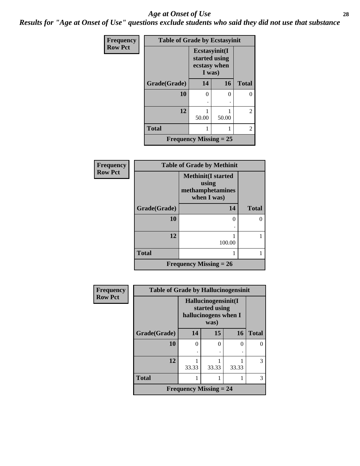#### *Age at Onset of Use* **28**

*Results for "Age at Onset of Use" questions exclude students who said they did not use that substance*

| <b>Frequency</b> | <b>Table of Grade by Ecstasyinit</b> |                                                          |       |              |
|------------------|--------------------------------------|----------------------------------------------------------|-------|--------------|
| <b>Row Pct</b>   |                                      | Ecstasyinit(I<br>started using<br>ecstasy when<br>I was) |       |              |
|                  | Grade(Grade)                         | 14                                                       | 16    | <b>Total</b> |
|                  | 10                                   | 0                                                        | 0     |              |
|                  |                                      |                                                          |       |              |
|                  | 12                                   | 50.00                                                    | 50.00 | 2            |
|                  | <b>Total</b>                         |                                                          |       | 2            |
|                  | <b>Frequency Missing = 25</b>        |                                                          |       |              |

| Frequency      | <b>Table of Grade by Methinit</b> |        |              |  |  |
|----------------|-----------------------------------|--------|--------------|--|--|
| <b>Row Pct</b> |                                   |        |              |  |  |
|                | Grade(Grade)                      | 14     | <b>Total</b> |  |  |
|                | 10                                | 0      | 0            |  |  |
|                | 12                                | 100.00 |              |  |  |
|                | <b>Total</b>                      |        |              |  |  |
|                | <b>Frequency Missing = 26</b>     |        |              |  |  |

| <b>Frequency</b> | <b>Table of Grade by Hallucinogensinit</b> |                                                                      |       |       |              |
|------------------|--------------------------------------------|----------------------------------------------------------------------|-------|-------|--------------|
| <b>Row Pct</b>   |                                            | Hallucinogensinit(I<br>started using<br>hallucinogens when I<br>was) |       |       |              |
|                  | Grade(Grade)                               | 14                                                                   | 15    | 16    | <b>Total</b> |
|                  | 10                                         | $\mathcal{O}$                                                        | ∩     | 0     |              |
|                  |                                            |                                                                      |       |       |              |
|                  | 12                                         | 33.33                                                                | 33.33 | 33.33 | 3            |
|                  | <b>Total</b>                               |                                                                      |       |       | 3            |
|                  |                                            | <b>Frequency Missing = 24</b>                                        |       |       |              |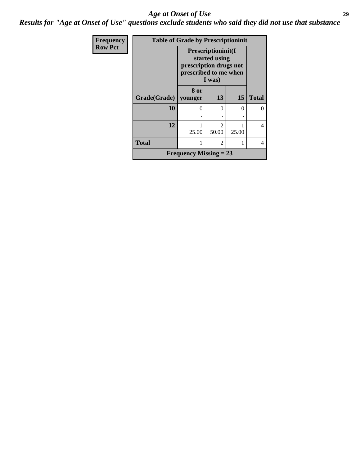#### *Age at Onset of Use* **29**

*Results for "Age at Onset of Use" questions exclude students who said they did not use that substance*

| Frequency      | <b>Table of Grade by Prescriptioninit</b> |                                                                                                  |            |       |              |
|----------------|-------------------------------------------|--------------------------------------------------------------------------------------------------|------------|-------|--------------|
| <b>Row Pct</b> |                                           | Prescriptioninit(I<br>started using<br>prescription drugs not<br>prescribed to me when<br>I was) |            |       |              |
|                | Grade(Grade)   younger                    | 8 or                                                                                             | 13         | 15    | <b>Total</b> |
|                | 10                                        | 0                                                                                                | 0          | 0     |              |
|                | 12                                        | 25.00                                                                                            | っ<br>50.00 | 25.00 | 4            |
|                | <b>Total</b>                              |                                                                                                  | 2          |       | 4            |
|                |                                           | <b>Frequency Missing = 23</b>                                                                    |            |       |              |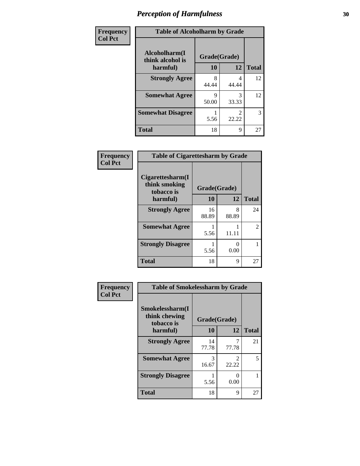| Frequency      | <b>Table of Alcoholharm by Grade</b> |              |            |              |
|----------------|--------------------------------------|--------------|------------|--------------|
| <b>Col Pct</b> | Alcoholharm(I<br>think alcohol is    | Grade(Grade) |            |              |
|                | harmful)                             | 10           | 12         | <b>Total</b> |
|                | <b>Strongly Agree</b>                | 8<br>44.44   | 4<br>44.44 | 12           |
|                | <b>Somewhat Agree</b>                | Q<br>50.00   | 3<br>33.33 | 12           |
|                | <b>Somewhat Disagree</b>             | 5.56         | 2<br>22.22 | 3            |
|                | <b>Total</b>                         | 18           | 9          | 27           |

| Frequency      | <b>Table of Cigarettesharm by Grade</b>           |              |                           |              |
|----------------|---------------------------------------------------|--------------|---------------------------|--------------|
| <b>Col Pct</b> | Cigare ttesharm(I)<br>think smoking<br>tobacco is | Grade(Grade) |                           |              |
|                | harmful)                                          | 10           | 12                        | <b>Total</b> |
|                | <b>Strongly Agree</b>                             | 16<br>88.89  | 8<br>88.89                | 24           |
|                | <b>Somewhat Agree</b>                             | 5.56         | 11.11                     | 2            |
|                | <b>Strongly Disagree</b>                          | 5.56         | $\mathbf{\Omega}$<br>0.00 |              |
|                | <b>Total</b>                                      | 18           | 9                         | 27           |

| Frequency<br><b>Col Pct</b> | <b>Table of Smokelessharm by Grade</b>         |              |                         |              |
|-----------------------------|------------------------------------------------|--------------|-------------------------|--------------|
|                             | Smokelessharm(I<br>think chewing<br>tobacco is | Grade(Grade) |                         |              |
|                             | harmful)                                       | 10           | 12                      | <b>Total</b> |
|                             | <b>Strongly Agree</b>                          | 14<br>77.78  | 77.78                   | 21           |
|                             | <b>Somewhat Agree</b>                          | 3<br>16.67   | $\mathfrak{D}$<br>22.22 | 5            |
|                             | <b>Strongly Disagree</b>                       | 5.56         | 0<br>0.00               |              |
|                             | <b>Total</b>                                   | 18           | 9                       | 27           |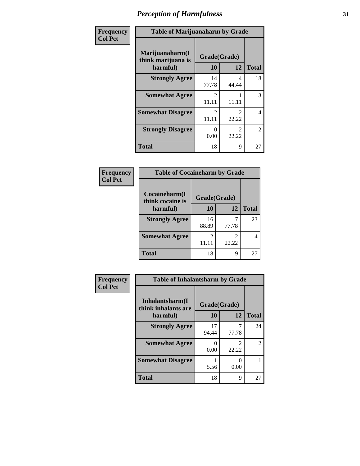| Frequency      | <b>Table of Marijuanaharm by Grade</b>            |                                      |                                      |                |
|----------------|---------------------------------------------------|--------------------------------------|--------------------------------------|----------------|
| <b>Col Pct</b> | Marijuanaharm(I<br>think marijuana is<br>harmful) | Grade(Grade)<br>10                   | 12                                   | <b>Total</b>   |
|                | <b>Strongly Agree</b>                             | 14<br>77.78                          | 4<br>44.44                           | 18             |
|                | <b>Somewhat Agree</b>                             | $\mathcal{D}_{\mathcal{L}}$<br>11.11 | 11.11                                | 3              |
|                | <b>Somewhat Disagree</b>                          | $\mathcal{D}_{\mathcal{L}}$<br>11.11 | $\mathcal{D}_{\mathcal{L}}$<br>22.22 | 4              |
|                | <b>Strongly Disagree</b>                          | $\mathbf{0}$<br>0.00                 | $\mathfrak{D}$<br>22.22              | $\overline{2}$ |
|                | <b>Total</b>                                      | 18                                   | 9                                    | 27             |

#### **Frequency Col Pct**

| <b>Table of Cocaineharm by Grade</b>              |             |            |              |  |  |  |
|---------------------------------------------------|-------------|------------|--------------|--|--|--|
| Cocaineharm(I<br>Grade(Grade)<br>think cocaine is |             |            |              |  |  |  |
| harmful)                                          | 10          | 12         | <b>Total</b> |  |  |  |
| <b>Strongly Agree</b>                             | 16<br>88.89 | 77.78      | 23           |  |  |  |
| <b>Somewhat Agree</b>                             | 2<br>11.11  | 2<br>22.22 | 4            |  |  |  |
| <b>Total</b>                                      | 18          | 9          |              |  |  |  |

| Frequency      | <b>Table of Inhalantsharm by Grade</b>  |              |       |              |
|----------------|-----------------------------------------|--------------|-------|--------------|
| <b>Col Pct</b> | Inhalantsharm(I)<br>think inhalants are | Grade(Grade) |       |              |
|                | harmful)                                | 10           | 12    | <b>Total</b> |
|                | <b>Strongly Agree</b>                   | 17<br>94.44  | 77.78 | 24           |
|                | <b>Somewhat Agree</b>                   | 0.00         | 22.22 | 2            |
|                | <b>Somewhat Disagree</b>                | 5.56         | 0.00  |              |
|                | <b>Total</b>                            | 18           | 9     | 27           |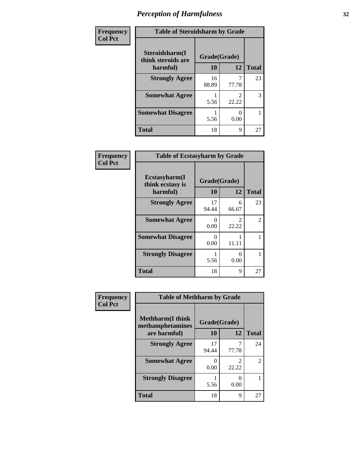| Frequency      |                                      | <b>Table of Steroidsharm by Grade</b> |       |              |  |
|----------------|--------------------------------------|---------------------------------------|-------|--------------|--|
| <b>Col Pct</b> | Steroidsharm(I<br>think steroids are | Grade(Grade)                          |       |              |  |
|                | harmful)                             | 10                                    | 12    | <b>Total</b> |  |
|                | <b>Strongly Agree</b>                | 16<br>88.89                           | 77.78 | 23           |  |
|                | <b>Somewhat Agree</b>                | 5.56                                  | 22.22 | 3            |  |
|                | <b>Somewhat Disagree</b>             | 5.56                                  | 0.00  |              |  |
|                | <b>Total</b>                         | 18                                    | 9     | 27           |  |

| Frequency      | <b>Table of Ecstasyharm by Grade</b>          |                    |                                      |              |
|----------------|-----------------------------------------------|--------------------|--------------------------------------|--------------|
| <b>Col Pct</b> | Ecstasyharm(I<br>think ecstasy is<br>harmful) | Grade(Grade)<br>10 | 12                                   | <b>Total</b> |
|                | <b>Strongly Agree</b>                         | 17<br>94.44        | 6<br>66.67                           | 23           |
|                | <b>Somewhat Agree</b>                         | 0<br>0.00          | $\mathcal{D}_{\mathcal{L}}$<br>22.22 | 2            |
|                | <b>Somewhat Disagree</b>                      | 0<br>0.00          | 11.11                                |              |
|                | <b>Strongly Disagree</b>                      | 5.56               | 0<br>0.00                            |              |
|                | <b>Total</b>                                  | 18                 | 9                                    | 27           |

| Frequency      | <b>Table of Methharm by Grade</b>            |                    |       |                |
|----------------|----------------------------------------------|--------------------|-------|----------------|
| <b>Col Pct</b> | <b>Methharm</b> (I think<br>methamphetamines | Grade(Grade)<br>10 | 12    | <b>Total</b>   |
|                | are harmful)<br><b>Strongly Agree</b>        | 17<br>94.44        | 77.78 | 24             |
|                | <b>Somewhat Agree</b>                        | 0<br>0.00          | 22.22 | $\overline{c}$ |
|                | <b>Strongly Disagree</b>                     | 5.56               | 0.00  |                |
|                | <b>Total</b>                                 | 18                 | 9     | 27             |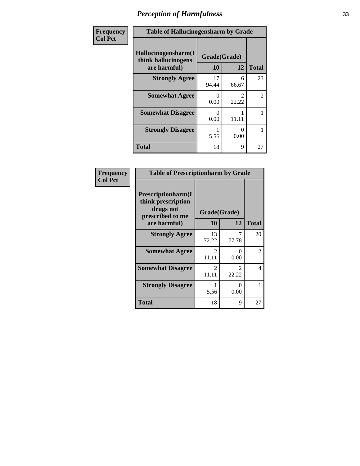| <b>Frequency</b> | <b>Table of Hallucinogensharm by Grade</b>                 |                    |                                      |                |
|------------------|------------------------------------------------------------|--------------------|--------------------------------------|----------------|
| <b>Col Pct</b>   | Hallucinogensharm(I<br>think hallucinogens<br>are harmful) | Grade(Grade)<br>10 | 12                                   | <b>Total</b>   |
|                  | <b>Strongly Agree</b>                                      | 17<br>94.44        | 6<br>66.67                           | 23             |
|                  | <b>Somewhat Agree</b>                                      | 0<br>0.00          | $\mathcal{D}_{\mathcal{L}}$<br>22.22 | $\overline{2}$ |
|                  | <b>Somewhat Disagree</b>                                   | 0<br>0.00          | 11.11                                | 1              |
|                  | <b>Strongly Disagree</b>                                   | 5.56               | 0<br>0.00                            |                |
|                  | <b>Total</b>                                               | 18                 | 9                                    | 27             |

| Frequency<br>  Col Pct |
|------------------------|

| <b>Table of Prescriptionharm by Grade</b>                                 |                        |                        |               |  |  |
|---------------------------------------------------------------------------|------------------------|------------------------|---------------|--|--|
| Prescriptionharm(I<br>think prescription<br>drugs not<br>prescribed to me |                        | Grade(Grade)           |               |  |  |
| are harmful)                                                              | 10                     | 12                     | <b>Total</b>  |  |  |
| <b>Strongly Agree</b>                                                     | 13<br>72.22            | 77.78                  | 20            |  |  |
| <b>Somewhat Agree</b>                                                     | $\mathcal{L}$<br>11.11 | 0<br>0.00              | $\mathcal{L}$ |  |  |
| <b>Somewhat Disagree</b>                                                  | $\mathcal{L}$<br>11.11 | $\mathcal{L}$<br>22.22 | 4             |  |  |
| <b>Strongly Disagree</b>                                                  | 5.56                   | ∩<br>0.00              |               |  |  |
| <b>Total</b>                                                              | 18                     | 9                      | 27            |  |  |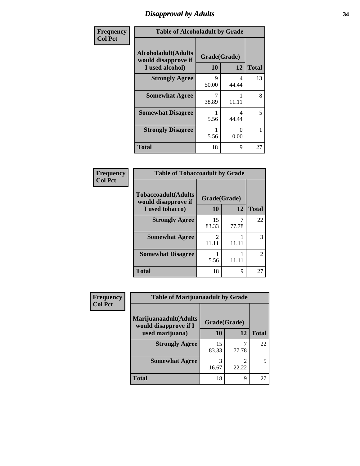### *Disapproval by Adults* **34**

| Frequency      | <b>Table of Alcoholadult by Grade</b>                                 |                    |                       |              |
|----------------|-----------------------------------------------------------------------|--------------------|-----------------------|--------------|
| <b>Col Pct</b> | <b>Alcoholadult</b> (Adults<br>would disapprove if<br>I used alcohol) | Grade(Grade)<br>10 | 12                    | <b>Total</b> |
|                | <b>Strongly Agree</b>                                                 | 9<br>50.00         | 4<br>44.44            | 13           |
|                | <b>Somewhat Agree</b>                                                 | 7<br>38.89         | 11.11                 | 8            |
|                | <b>Somewhat Disagree</b>                                              | 5.56               | 4<br>44.44            | 5            |
|                | <b>Strongly Disagree</b>                                              | 1<br>5.56          | $\mathcal{O}$<br>0.00 | 1            |
|                | <b>Total</b>                                                          | 18                 | 9                     | 27           |

#### **Frequency Col Pct**

| <b>Table of Tobaccoadult by Grade</b>             |                        |            |                             |  |  |
|---------------------------------------------------|------------------------|------------|-----------------------------|--|--|
| <b>Tobaccoadult(Adults</b><br>would disapprove if |                        |            |                             |  |  |
| I used tobacco)                                   | 10                     | 12         | <b>Total</b>                |  |  |
| <b>Strongly Agree</b>                             | 15<br>83.33            | 7<br>77.78 | 22                          |  |  |
| <b>Somewhat Agree</b>                             | $\mathcal{L}$<br>11.11 | 11.11      |                             |  |  |
| <b>Somewhat Disagree</b>                          | 5.56                   | 11.11      | $\mathcal{D}_{\mathcal{L}}$ |  |  |
| <b>Total</b>                                      | 18                     | 9          | 27                          |  |  |

| <b>Frequency</b> | <b>Table of Marijuanaadult by Grade</b>        |              |       |              |
|------------------|------------------------------------------------|--------------|-------|--------------|
| <b>Col Pct</b>   | Marijuanaadult(Adults<br>would disapprove if I | Grade(Grade) |       |              |
|                  | used marijuana)                                | 10           | 12    | <b>Total</b> |
|                  | <b>Strongly Agree</b>                          | 15<br>83.33  | 77.78 | 22           |
|                  | <b>Somewhat Agree</b>                          | 16.67        | 22.22 |              |
|                  | <b>Total</b>                                   | 18           | 9     | 27           |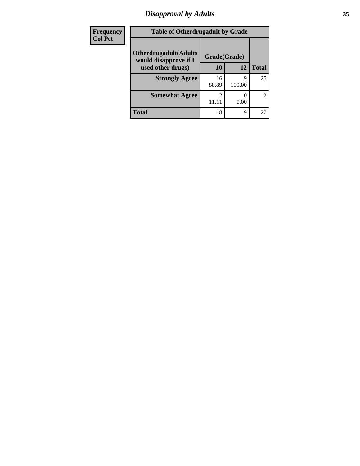### *Disapproval by Adults* **35**

| Frequency      | <b>Table of Otherdrugadult by Grade</b>                |              |             |              |
|----------------|--------------------------------------------------------|--------------|-------------|--------------|
| <b>Col Pct</b> | <b>Otherdrugadult</b> (Adults<br>would disapprove if I | Grade(Grade) |             |              |
|                | used other drugs)                                      | 10           | 12          | <b>Total</b> |
|                | <b>Strongly Agree</b>                                  | 16<br>88.89  | 9<br>100.00 | 25           |
|                | <b>Somewhat Agree</b>                                  |              | 0.00        | 2            |
|                | <b>Total</b>                                           | 18           | 9           | 27           |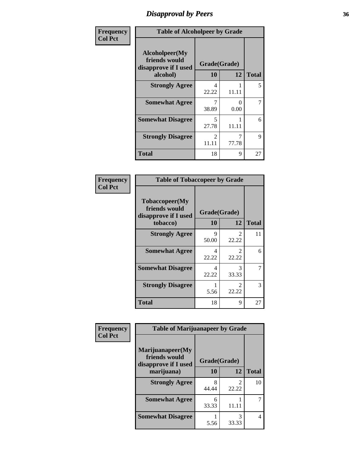### *Disapproval by Peers* **36**

| Frequency      | <b>Table of Alcoholpeer by Grade</b>                    |              |           |              |
|----------------|---------------------------------------------------------|--------------|-----------|--------------|
| <b>Col Pct</b> | Alcoholpeer(My<br>friends would<br>disapprove if I used | Grade(Grade) |           |              |
|                | alcohol)                                                | 10           | 12        | <b>Total</b> |
|                | <b>Strongly Agree</b>                                   | 4<br>22.22   | 11.11     | 5            |
|                | <b>Somewhat Agree</b>                                   | 7<br>38.89   | 0<br>0.00 | 7            |
|                | <b>Somewhat Disagree</b>                                | 5<br>27.78   | 11.11     | 6            |
|                | <b>Strongly Disagree</b>                                | 2<br>11.11   | 77.78     | 9            |
|                | Total                                                   | 18           | 9         | 27           |

| Frequency      | <b>Table of Tobaccopeer by Grade</b>                                |                    |                         |              |
|----------------|---------------------------------------------------------------------|--------------------|-------------------------|--------------|
| <b>Col Pct</b> | Tobaccopeer(My<br>friends would<br>disapprove if I used<br>tobacco) | Grade(Grade)<br>10 | 12                      | <b>Total</b> |
|                | <b>Strongly Agree</b>                                               | 9<br>50.00         | 2<br>22.22              | 11           |
|                | <b>Somewhat Agree</b>                                               | 4<br>22.22         | $\mathfrak{D}$<br>22.22 | 6            |
|                | <b>Somewhat Disagree</b>                                            | 4<br>22.22         | 3<br>33.33              |              |
|                | <b>Strongly Disagree</b>                                            | 5.56               | $\mathfrak{D}$<br>22.22 | 3            |
|                | <b>Total</b>                                                        | 18                 | 9                       | 27           |

| Frequency      | <b>Table of Marijuanapeer by Grade</b>                    |              |            |              |
|----------------|-----------------------------------------------------------|--------------|------------|--------------|
| <b>Col Pct</b> | Marijuanapeer(My<br>friends would<br>disapprove if I used | Grade(Grade) |            |              |
|                | marijuana)                                                | 10           | 12         | <b>Total</b> |
|                | <b>Strongly Agree</b>                                     | 8<br>44.44   | 2<br>22.22 | 10           |
|                | <b>Somewhat Agree</b>                                     | 6<br>33.33   | 11.11      |              |
|                | <b>Somewhat Disagree</b>                                  | 5.56         | 3<br>33.33 | 4            |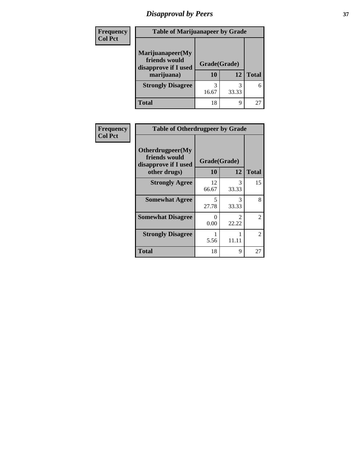# *Disapproval by Peers* **37**

| Frequency<br><b>Col Pct</b> | <b>Table of Marijuanapeer by Grade</b>                                  |                    |       |              |
|-----------------------------|-------------------------------------------------------------------------|--------------------|-------|--------------|
|                             | Marijuanapeer(My<br>friends would<br>disapprove if I used<br>marijuana) | Grade(Grade)<br>10 | 12    | <b>Total</b> |
|                             | <b>Strongly Disagree</b>                                                | 3<br>16.67         | 33.33 | 6            |
|                             | Total                                                                   | 18                 | 9     | 27           |

| Frequency      | <b>Table of Otherdrugpeer by Grade</b>                                    |                    |            |              |
|----------------|---------------------------------------------------------------------------|--------------------|------------|--------------|
| <b>Col Pct</b> | Otherdrugpeer(My<br>friends would<br>disapprove if I used<br>other drugs) | Grade(Grade)<br>10 | 12         | <b>Total</b> |
|                | <b>Strongly Agree</b>                                                     | 12<br>66.67        | 3<br>33.33 | 15           |
|                | <b>Somewhat Agree</b>                                                     | 5<br>27.78         | 3<br>33.33 | 8            |
|                | <b>Somewhat Disagree</b>                                                  | 0<br>0.00          | 2<br>22.22 | 2            |
|                | <b>Strongly Disagree</b>                                                  | 5.56               | 11.11      | 2            |
|                | <b>Total</b>                                                              | 18                 | 9          | 27           |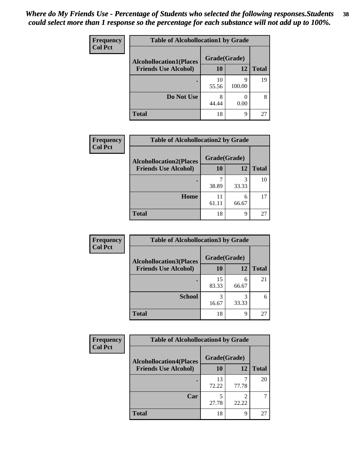| Frequency<br><b>Col Pct</b> | <b>Table of Alcohollocation1 by Grade</b> |             |             |              |  |
|-----------------------------|-------------------------------------------|-------------|-------------|--------------|--|
|                             | <b>Alcohollocation1(Places</b>            |             |             |              |  |
|                             | <b>Friends Use Alcohol)</b>               | 10          | 12          | <b>Total</b> |  |
|                             |                                           | 10<br>55.56 | q<br>100.00 | 19           |  |
|                             | Do Not Use                                | 8<br>44.44  | 0.00        | 8            |  |
|                             | <b>Total</b>                              | 18          | 9           | 27           |  |

| Frequency      | <b>Table of Alcohollocation2 by Grade</b> |              |            |              |
|----------------|-------------------------------------------|--------------|------------|--------------|
| <b>Col Pct</b> | <b>Alcohollocation2(Places</b>            | Grade(Grade) |            |              |
|                | <b>Friends Use Alcohol)</b>               | 10           | 12         | <b>Total</b> |
|                |                                           | 38.89        | 3<br>33.33 | 10           |
|                | Home                                      | 11<br>61.11  | 6<br>66.67 | 17           |
|                | <b>Total</b>                              | 18           | q          | 27           |

| Frequency      | <b>Table of Alcohollocation 3 by Grade</b> |              |            |              |
|----------------|--------------------------------------------|--------------|------------|--------------|
| <b>Col Pct</b> | <b>Alcohollocation3(Places</b>             | Grade(Grade) |            |              |
|                | <b>Friends Use Alcohol)</b>                | 10           | 12         | <b>Total</b> |
|                |                                            | 15<br>83.33  | 6<br>66.67 | 21           |
|                | <b>School</b>                              | 16.67        | 3<br>33.33 | 6            |
|                | Total                                      | 18           | 9          | 27           |

| <b>Frequency</b> | <b>Table of Alcohollocation4 by Grade</b> |              |            |              |  |
|------------------|-------------------------------------------|--------------|------------|--------------|--|
| <b>Col Pct</b>   | <b>Alcohollocation4(Places</b>            | Grade(Grade) |            |              |  |
|                  | <b>Friends Use Alcohol)</b>               | 10           | 12         | <b>Total</b> |  |
|                  |                                           | 13<br>72.22  | 77.78      | 20           |  |
|                  | Car                                       | 5<br>27.78   | っ<br>22.22 |              |  |
|                  | <b>Total</b>                              | 18           | 9          | 27           |  |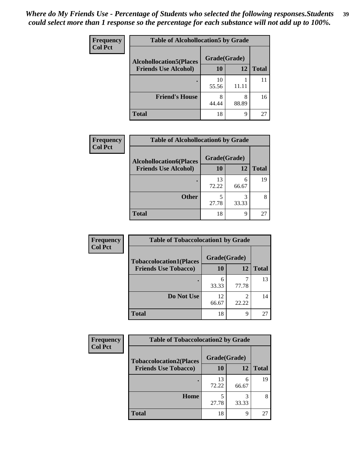| Frequency<br><b>Col Pct</b> | <b>Table of Alcohollocation5 by Grade</b>      |             |            |              |  |
|-----------------------------|------------------------------------------------|-------------|------------|--------------|--|
|                             | Grade(Grade)<br><b>Alcohollocation5(Places</b> |             |            |              |  |
|                             | <b>Friends Use Alcohol)</b>                    | 10          | 12         | <b>Total</b> |  |
|                             |                                                | 10<br>55.56 | 11.11      | 11           |  |
|                             | <b>Friend's House</b>                          | 8<br>44.44  | 8<br>88.89 | 16           |  |
|                             | <b>Total</b>                                   | 18          | 9          | 27           |  |

| <b>Frequency</b> | <b>Table of Alcohollocation6 by Grade</b> |              |            |              |
|------------------|-------------------------------------------|--------------|------------|--------------|
| <b>Col Pct</b>   | <b>Alcohollocation6(Places</b>            | Grade(Grade) |            |              |
|                  | <b>Friends Use Alcohol)</b>               | 10           | 12         | <b>Total</b> |
|                  |                                           | 13<br>72.22  | 6<br>66.67 | 19           |
|                  | <b>Other</b>                              | 27.78        | 33.33      |              |
|                  | <b>Total</b>                              | 18           | 9          | 27           |

| <b>Frequency</b> | <b>Table of Tobaccolocation1 by Grade</b> |              |       |              |
|------------------|-------------------------------------------|--------------|-------|--------------|
| <b>Col Pct</b>   | <b>Tobaccolocation1(Places</b>            | Grade(Grade) |       |              |
|                  | <b>Friends Use Tobacco)</b>               | 10           | 12    | <b>Total</b> |
|                  |                                           | 33.33        | 77.78 | 13           |
|                  | Do Not Use                                | 12<br>66.67  | 22.22 | 14           |
|                  | <b>Total</b>                              | 18           | 9     | 27           |

| Frequency      | <b>Table of Tobaccolocation2 by Grade</b> |              |            |              |
|----------------|-------------------------------------------|--------------|------------|--------------|
| <b>Col Pct</b> | <b>Tobaccolocation2(Places</b>            | Grade(Grade) |            |              |
|                | <b>Friends Use Tobacco)</b>               | 10           | 12         | <b>Total</b> |
|                |                                           | 13<br>72.22  | 6<br>66.67 | 19           |
|                | Home                                      | 5<br>27.78   | 3<br>33.33 |              |
|                | <b>Total</b>                              | 18           | 9          | 27           |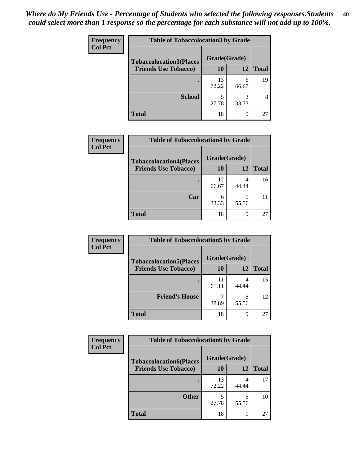| Frequency      | <b>Table of Tobaccolocation 3 by Grade</b> |              |            |              |
|----------------|--------------------------------------------|--------------|------------|--------------|
| <b>Col Pct</b> | <b>Tobaccolocation3(Places</b>             | Grade(Grade) |            |              |
|                | <b>Friends Use Tobacco)</b>                | 10           | <b>12</b>  | <b>Total</b> |
|                |                                            | 13<br>72.22  | 6<br>66.67 | 19           |
|                | <b>School</b>                              | 5<br>27.78   | 33.33      | 8            |
|                | <b>Total</b>                               | 18           | 9          | 27           |

| <b>Frequency</b> | <b>Table of Tobaccolocation4 by Grade</b> |              |       |              |
|------------------|-------------------------------------------|--------------|-------|--------------|
| <b>Col Pct</b>   | <b>Tobaccolocation4(Places</b>            | Grade(Grade) |       |              |
|                  | <b>Friends Use Tobacco)</b>               | 10           | 12    | <b>Total</b> |
|                  |                                           | 12<br>66.67  | 44.44 | 16           |
|                  | Car                                       | 6<br>33.33   | 55.56 |              |
|                  | <b>Total</b>                              | 18           | 9     | 27           |

| Frequency      | <b>Table of Tobaccolocation5 by Grade</b> |              |       |              |  |
|----------------|-------------------------------------------|--------------|-------|--------------|--|
| <b>Col Pct</b> | <b>Tobaccolocation5(Places</b>            | Grade(Grade) |       |              |  |
|                | <b>Friends Use Tobacco)</b>               | 10           | 12    | <b>Total</b> |  |
|                |                                           | 11<br>61.11  | 44.44 | 15           |  |
|                | <b>Friend's House</b>                     | 38.89        | 55.56 | 12           |  |
|                | <b>Total</b>                              | 18           | 9     | 27           |  |

| <b>Frequency</b> | <b>Table of Tobaccolocation6 by Grade</b> |              |            |              |  |
|------------------|-------------------------------------------|--------------|------------|--------------|--|
| <b>Col Pct</b>   | <b>Tobaccolocation6(Places</b>            | Grade(Grade) |            |              |  |
|                  | <b>Friends Use Tobacco)</b>               | 10           | 12         | <b>Total</b> |  |
|                  |                                           | 13<br>72.22  | 4<br>44.44 | 17           |  |
|                  | <b>Other</b>                              | 27.78        | 5<br>55.56 | 10           |  |
|                  | <b>Total</b>                              | 18           | 9          | 27           |  |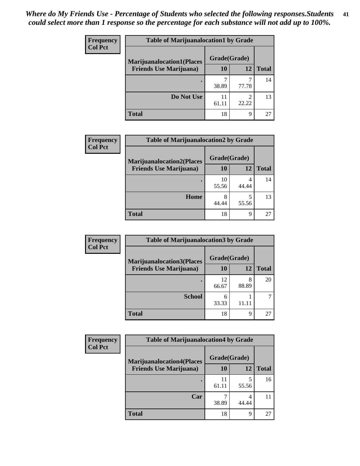| <b>Frequency</b> | <b>Table of Marijuanalocation1 by Grade</b> |              |            |              |
|------------------|---------------------------------------------|--------------|------------|--------------|
| <b>Col Pct</b>   | <b>Marijuanalocation1(Places</b>            | Grade(Grade) |            |              |
|                  | <b>Friends Use Marijuana</b> )              | 10           | 12         | <b>Total</b> |
|                  |                                             | 38.89        | 77.78      | 14           |
|                  | Do Not Use                                  | 61.11        | ◠<br>22.22 | 13           |
|                  | Total                                       | 18           | Q          | 27           |

| <b>Frequency</b> | <b>Table of Marijuanalocation2 by Grade</b> |              |       |              |
|------------------|---------------------------------------------|--------------|-------|--------------|
| <b>Col Pct</b>   | <b>Marijuanalocation2(Places</b>            | Grade(Grade) |       |              |
|                  | <b>Friends Use Marijuana</b> )              | 10           | 12    | <b>Total</b> |
|                  |                                             | 10           | 4     | 14           |
|                  |                                             | 55.56        | 44.44 |              |
|                  | Home                                        | 8            |       | 13           |
|                  |                                             | 44.44        | 55.56 |              |
|                  | <b>Total</b>                                | 18           | 9     | 27           |

| <b>Frequency</b><br><b>Col Pct</b> | <b>Table of Marijuanalocation3 by Grade</b> |              |            |       |
|------------------------------------|---------------------------------------------|--------------|------------|-------|
|                                    | <b>Marijuanalocation3</b> (Places           | Grade(Grade) |            |       |
|                                    | <b>Friends Use Marijuana</b> )              | 10           | 12         | Total |
|                                    |                                             | 12<br>66.67  | 8<br>88.89 | 20    |
|                                    | <b>School</b>                               | 6<br>33.33   | 11.11      |       |
|                                    | <b>Total</b>                                | 18           | 9          | 27    |

| Frequency      | <b>Table of Marijuanalocation4 by Grade</b> |              |       |              |  |
|----------------|---------------------------------------------|--------------|-------|--------------|--|
| <b>Col Pct</b> | <b>Marijuanalocation4(Places</b>            | Grade(Grade) |       |              |  |
|                | <b>Friends Use Marijuana</b> )              | <b>10</b>    | 12    | <b>Total</b> |  |
|                |                                             | 11<br>61.11  | 55.56 | 16           |  |
|                | Car                                         | 38.89        | 44.44 |              |  |
|                | <b>Total</b>                                | 18           | 9     | 27           |  |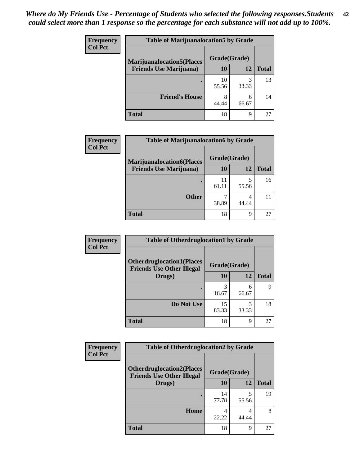| <b>Frequency</b> | <b>Table of Marijuanalocation5 by Grade</b>                         |              |            |              |
|------------------|---------------------------------------------------------------------|--------------|------------|--------------|
| <b>Col Pct</b>   | <b>Marijuanalocation5(Places)</b><br><b>Friends Use Marijuana</b> ) | Grade(Grade) |            |              |
|                  |                                                                     | 10           | 12         | <b>Total</b> |
|                  |                                                                     | 10<br>55.56  | 33.33      | 13           |
|                  | <b>Friend's House</b>                                               | 8<br>44.44   | 6<br>66.67 | 14           |
|                  | <b>Total</b>                                                        | 18           | Q          | 27           |

| <b>Frequency</b> | <b>Table of Marijuanalocation6 by Grade</b>                        |                    |            |              |
|------------------|--------------------------------------------------------------------|--------------------|------------|--------------|
| <b>Col Pct</b>   | <b>Marijuanalocation6(Places</b><br><b>Friends Use Marijuana</b> ) | Grade(Grade)<br>10 | 12         | <b>Total</b> |
|                  |                                                                    | 11<br>61.11        | 55.56      | 16           |
|                  | <b>Other</b>                                                       | 38.89              | 4<br>44.44 |              |
|                  | <b>Total</b>                                                       | 18                 | 9          | 27           |

| Frequency      | <b>Table of Otherdruglocation1 by Grade</b>                          |              |            |              |
|----------------|----------------------------------------------------------------------|--------------|------------|--------------|
| <b>Col Pct</b> | <b>Otherdruglocation1(Places</b><br><b>Friends Use Other Illegal</b> | Grade(Grade) |            |              |
|                | Drugs)                                                               | 10           | 12         | <b>Total</b> |
|                |                                                                      | 3<br>16.67   | 6<br>66.67 | 9            |
|                | Do Not Use                                                           | 15<br>83.33  | 33.33      | 18           |
|                | <b>Total</b>                                                         | 18           | 9          | 27           |

| Frequency      | <b>Table of Otherdruglocation2 by Grade</b>                          |              |            |              |
|----------------|----------------------------------------------------------------------|--------------|------------|--------------|
| <b>Col Pct</b> | <b>Otherdruglocation2(Places</b><br><b>Friends Use Other Illegal</b> | Grade(Grade) |            |              |
|                | Drugs)                                                               | 10           | 12         | <b>Total</b> |
|                |                                                                      | 14<br>77.78  | 5<br>55.56 | 19           |
|                | Home                                                                 | 4<br>22.22   | 4<br>44.44 | 8            |
|                | <b>Total</b>                                                         | 18           | 9          | 27           |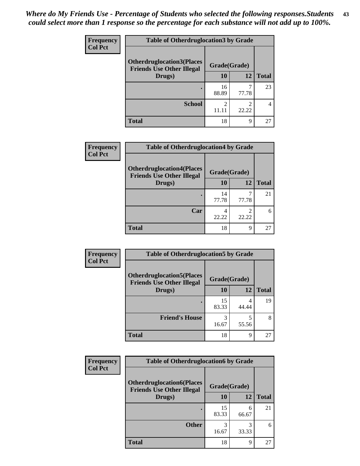| <b>Frequency</b> | <b>Table of Otherdruglocation 3 by Grade</b>                         |              |       |              |
|------------------|----------------------------------------------------------------------|--------------|-------|--------------|
| <b>Col Pct</b>   | <b>Otherdruglocation3(Places</b><br><b>Friends Use Other Illegal</b> | Grade(Grade) |       |              |
|                  | Drugs)                                                               | 10           | 12    | <b>Total</b> |
|                  |                                                                      | 16<br>88.89  | 77.78 | 23           |
|                  | <b>School</b>                                                        | 2<br>11.11   | 22.22 |              |
|                  | <b>Total</b>                                                         | 18           | Q     | 27           |

| <b>Frequency</b> | <b>Table of Otherdruglocation4 by Grade</b>                          |              |       |              |
|------------------|----------------------------------------------------------------------|--------------|-------|--------------|
| <b>Col Pct</b>   | <b>Otherdruglocation4(Places</b><br><b>Friends Use Other Illegal</b> | Grade(Grade) |       |              |
|                  | Drugs)                                                               | 10           | 12    | <b>Total</b> |
|                  |                                                                      | 14<br>77.78  | 77.78 | 21           |
|                  | Car                                                                  | 22.22        | 22.22 | 6            |
|                  | <b>Total</b>                                                         | 18           | Q     | 27           |

| Frequency      | <b>Table of Otherdruglocation5 by Grade</b>                          |              |       |              |
|----------------|----------------------------------------------------------------------|--------------|-------|--------------|
| <b>Col Pct</b> | <b>Otherdruglocation5(Places</b><br><b>Friends Use Other Illegal</b> | Grade(Grade) |       |              |
|                | Drugs)                                                               | 10           | 12    | <b>Total</b> |
|                |                                                                      | 15<br>83.33  | 44.44 | 19           |
|                | <b>Friend's House</b>                                                | 3<br>16.67   | 55.56 | 8            |
|                | <b>Total</b>                                                         | 18           | 9     | 27           |

| <b>Frequency</b> | <b>Table of Otherdruglocation6 by Grade</b>                          |              |            |              |
|------------------|----------------------------------------------------------------------|--------------|------------|--------------|
| <b>Col Pct</b>   | <b>Otherdruglocation6(Places</b><br><b>Friends Use Other Illegal</b> | Grade(Grade) |            |              |
|                  | Drugs)                                                               | 10           | 12         | <b>Total</b> |
|                  |                                                                      | 15<br>83.33  | 6<br>66.67 | 21           |
|                  | <b>Other</b>                                                         | 3<br>16.67   | 3<br>33.33 | 6            |
|                  | <b>Total</b>                                                         | 18           | 9          | 27           |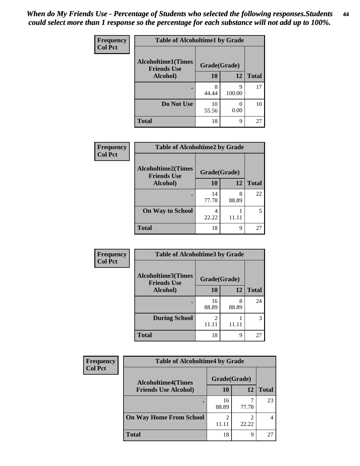| Frequency      | <b>Table of Alcoholtime1 by Grade</b>           |              |             |              |
|----------------|-------------------------------------------------|--------------|-------------|--------------|
| <b>Col Pct</b> | <b>Alcoholtime1(Times</b><br><b>Friends Use</b> | Grade(Grade) |             |              |
|                | Alcohol)                                        | 10           | 12          | <b>Total</b> |
|                |                                                 | 8<br>44.44   | 9<br>100.00 | 17           |
|                | Do Not Use                                      | 10<br>55.56  | 0.00        | 10           |
|                | <b>Total</b>                                    | 18           | 9           | 27           |

| Frequency      | <b>Table of Alcoholtime2 by Grade</b>           |              |            |              |  |
|----------------|-------------------------------------------------|--------------|------------|--------------|--|
| <b>Col Pct</b> | <b>Alcoholtime2(Times</b><br><b>Friends Use</b> | Grade(Grade) |            |              |  |
|                | Alcohol)                                        | 10           | 12         | <b>Total</b> |  |
|                |                                                 | 14<br>77.78  | 8<br>88.89 | 22           |  |
|                | <b>On Way to School</b>                         | 22.22        | 11.11      |              |  |
|                | <b>Total</b>                                    | 18           | 9          | 27           |  |

| Frequency      | <b>Table of Alcoholtime3 by Grade</b>           |                         |            |              |  |
|----------------|-------------------------------------------------|-------------------------|------------|--------------|--|
| <b>Col Pct</b> | <b>Alcoholtime3(Times</b><br><b>Friends Use</b> | Grade(Grade)            |            |              |  |
|                | Alcohol)                                        | 10                      | 12         | <b>Total</b> |  |
|                |                                                 | 16<br>88.89             | 8<br>88.89 | 24           |  |
|                | <b>During School</b>                            | $\mathfrak{D}$<br>11.11 | 11.11      | 3            |  |
|                | <b>Total</b>                                    | 18                      | 9          | 27           |  |

| <b>Frequency</b><br><b>Col Pct</b> | <b>Table of Alcoholtime4 by Grade</b> |              |                         |              |  |
|------------------------------------|---------------------------------------|--------------|-------------------------|--------------|--|
|                                    | <b>Alcoholtime4(Times</b>             | Grade(Grade) |                         |              |  |
|                                    | <b>Friends Use Alcohol)</b>           | 10           | 12                      | <b>Total</b> |  |
|                                    |                                       | 16<br>88.89  | 77.78                   | 23           |  |
|                                    | <b>On Way Home From School</b>        | ↑<br>11.11   | $\overline{c}$<br>22.22 |              |  |
|                                    | <b>Total</b>                          | 18           | 9                       | 27           |  |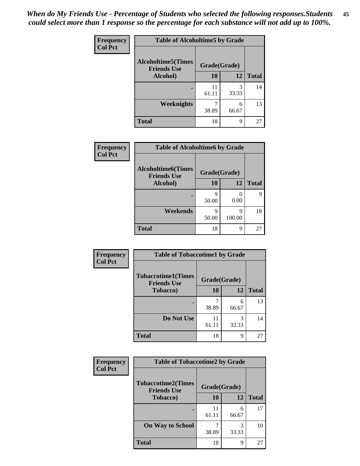*When do My Friends Use - Percentage of Students who selected the following responses.Students could select more than 1 response so the percentage for each substance will not add up to 100%.* **45**

| Frequency      | <b>Table of Alcoholtime5 by Grade</b>           |              |            |              |
|----------------|-------------------------------------------------|--------------|------------|--------------|
| <b>Col Pct</b> | <b>Alcoholtime5(Times</b><br><b>Friends Use</b> | Grade(Grade) |            |              |
|                | Alcohol)                                        | 10           | 12         | <b>Total</b> |
|                |                                                 | 11<br>61.11  | 3<br>33.33 | 14           |
|                | <b>Weeknights</b>                               | 38.89        | 6<br>66.67 | 13           |
|                | <b>Total</b>                                    | 18           | 9          | 27           |

| <b>Frequency</b> | <b>Table of Alcoholtime6 by Grade</b>           |              |             |              |
|------------------|-------------------------------------------------|--------------|-------------|--------------|
| <b>Col Pct</b>   | <b>Alcoholtime6(Times</b><br><b>Friends Use</b> | Grade(Grade) |             |              |
|                  | Alcohol)                                        | 10           | 12          | <b>Total</b> |
|                  |                                                 | 9<br>50.00   | 0.00        | Q            |
|                  | Weekends                                        | Q<br>50.00   | q<br>100.00 | 18           |
|                  | <b>Total</b>                                    | 18           | 9           | 27           |

| <b>Frequency</b> | <b>Table of Tobaccotime1 by Grade</b>           |              |            |              |
|------------------|-------------------------------------------------|--------------|------------|--------------|
| <b>Col Pct</b>   | <b>Tobaccotime1(Times</b><br><b>Friends Use</b> | Grade(Grade) |            |              |
|                  | <b>Tobacco</b> )                                | 10           | 12         | <b>Total</b> |
|                  | $\bullet$                                       | 38.89        | 6<br>66.67 | 13           |
|                  | Do Not Use                                      | 11<br>61.11  | 3<br>33.33 | 14           |
|                  | <b>Total</b>                                    | 18           | 9          | 27           |

| <b>Frequency</b> | <b>Table of Tobaccotime2 by Grade</b>           |              |            |              |
|------------------|-------------------------------------------------|--------------|------------|--------------|
| <b>Col Pct</b>   | <b>Tobaccotime2(Times</b><br><b>Friends Use</b> | Grade(Grade) |            |              |
|                  | <b>Tobacco</b> )                                | 10           | 12         | <b>Total</b> |
|                  |                                                 | 11<br>61.11  | 6<br>66.67 | 17           |
|                  | <b>On Way to School</b>                         | 38.89        | 33.33      | 10           |
|                  | <b>Total</b>                                    | 18           | 9          | 27           |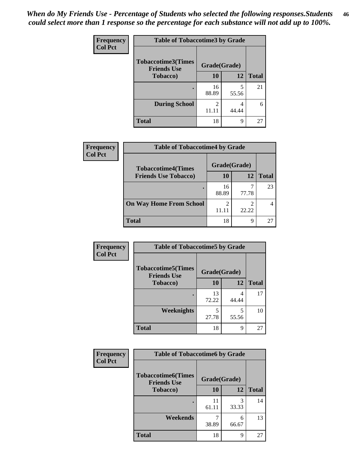| <b>Frequency</b> | <b>Table of Tobaccotime3 by Grade</b>           |              |            |              |
|------------------|-------------------------------------------------|--------------|------------|--------------|
| <b>Col Pct</b>   | <b>Tobaccotime3(Times</b><br><b>Friends Use</b> | Grade(Grade) |            |              |
|                  | <b>Tobacco</b> )                                | 10           | 12         | <b>Total</b> |
|                  |                                                 | 16<br>88.89  | 5<br>55.56 | 21           |
|                  | <b>During School</b>                            | 11.11        | 4<br>44.44 | 6            |
|                  | <b>Total</b>                                    | 18           | 9          | 27           |

| <b>Frequency</b> | <b>Table of Tobaccotime4 by Grade</b>                    |              |       |              |  |
|------------------|----------------------------------------------------------|--------------|-------|--------------|--|
| <b>Col Pct</b>   | <b>Tobaccotime4(Times</b><br><b>Friends Use Tobacco)</b> | Grade(Grade) |       |              |  |
|                  |                                                          | 10           | 12    | <b>Total</b> |  |
|                  |                                                          | 16<br>88.89  | 77.78 | 23           |  |
|                  | <b>On Way Home From School</b>                           | 2<br>11.11   | 22.22 |              |  |
|                  | <b>Total</b>                                             | 18           | 9     | 27           |  |

| Frequency      | <b>Table of Tobaccotime5 by Grade</b>            |              |            |              |
|----------------|--------------------------------------------------|--------------|------------|--------------|
| <b>Col Pct</b> | <b>Tobaccotime5</b> (Times<br><b>Friends Use</b> | Grade(Grade) |            |              |
|                | Tobacco)                                         | 10           | 12         | <b>Total</b> |
|                |                                                  | 13<br>72.22  | 4<br>44.44 | 17           |
|                | Weeknights                                       | 27.78        | 5<br>55.56 | 10           |
|                | <b>Total</b>                                     | 18           | 9          | 27           |

| Frequency      | <b>Table of Tobaccotime6 by Grade</b>           |              |            |              |
|----------------|-------------------------------------------------|--------------|------------|--------------|
| <b>Col Pct</b> | <b>Tobaccotime6(Times</b><br><b>Friends Use</b> | Grade(Grade) |            |              |
|                | <b>Tobacco</b> )                                | 10           | 12         | <b>Total</b> |
|                |                                                 | 11<br>61.11  | 3<br>33.33 | 14           |
|                | Weekends                                        | 38.89        | 6<br>66.67 | 13           |
|                | <b>Total</b>                                    | 18           | 9          | 27           |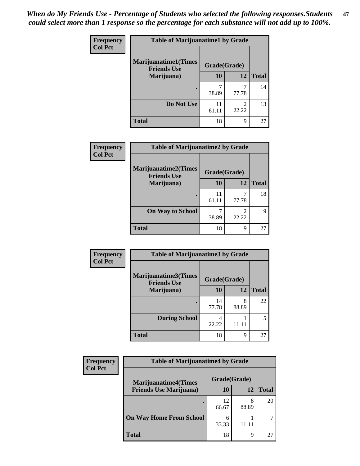| Frequency      | <b>Table of Marijuanatime1 by Grade</b>           |              |                         |              |
|----------------|---------------------------------------------------|--------------|-------------------------|--------------|
| <b>Col Pct</b> | <b>Marijuanatime1(Times</b><br><b>Friends Use</b> | Grade(Grade) |                         |              |
|                | Marijuana)                                        | 10           | 12                      | <b>Total</b> |
|                |                                                   | 7<br>38.89   | 77.78                   | 14           |
|                | Do Not Use                                        | 11<br>61.11  | $\mathfrak{D}$<br>22.22 | 13           |
|                | <b>Total</b>                                      | 18           | 9                       | 27           |

| Frequency      | <b>Table of Marijuanatime2 by Grade</b>           |              |       |              |
|----------------|---------------------------------------------------|--------------|-------|--------------|
| <b>Col Pct</b> | <b>Marijuanatime2(Times</b><br><b>Friends Use</b> | Grade(Grade) |       |              |
|                | Marijuana)                                        | 10           | 12    | <b>Total</b> |
|                |                                                   | 11<br>61.11  | 77.78 | 18           |
|                | <b>On Way to School</b>                           | 38.89        | 22.22 | 9            |
|                | <b>Total</b>                                      | 18           | 9     | 27           |

| <b>Frequency</b> | <b>Table of Marijuanatime3 by Grade</b>    |              |            |              |
|------------------|--------------------------------------------|--------------|------------|--------------|
| <b>Col Pct</b>   | Marijuanatime3(Times<br><b>Friends Use</b> | Grade(Grade) |            |              |
|                  | Marijuana)                                 | 10           | 12         | <b>Total</b> |
|                  |                                            | 14<br>77.78  | 8<br>88.89 | 22           |
|                  | <b>During School</b>                       | 4<br>22.22   | 11 1       | 5            |
|                  | <b>Total</b>                               | 18           | 9          | 27           |

| <b>Frequency</b> | <b>Table of Marijuanatime4 by Grade</b>                       |              |            |              |
|------------------|---------------------------------------------------------------|--------------|------------|--------------|
| <b>Col Pct</b>   | <b>Marijuanatime4(Times</b><br><b>Friends Use Marijuana</b> ) | Grade(Grade) |            |              |
|                  |                                                               | 10           | 12         | <b>Total</b> |
|                  |                                                               | 12<br>66.67  | 8<br>88.89 | 20           |
|                  | <b>On Way Home From School</b>                                | 6<br>33.33   | 11.1       |              |
|                  | <b>Total</b>                                                  | 18           | Q          | 27           |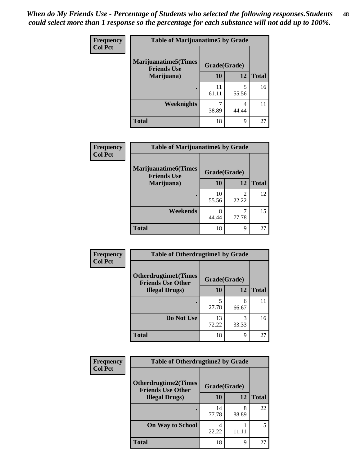| Frequency      | <b>Table of Marijuanatime5 by Grade</b>            |              |            |              |
|----------------|----------------------------------------------------|--------------|------------|--------------|
| <b>Col Pct</b> | <b>Marijuanatime5</b> (Times<br><b>Friends Use</b> | Grade(Grade) |            |              |
|                | Marijuana)                                         | 10           | 12         | <b>Total</b> |
|                |                                                    | 11<br>61.11  | 5<br>55.56 | 16           |
|                | Weeknights                                         | 38.89        | 4<br>44.44 |              |
|                | <b>Total</b>                                       | 18           | 9          | 27           |

| Frequency      | <b>Table of Marijuanatime6 by Grade</b>            |              |                                   |              |
|----------------|----------------------------------------------------|--------------|-----------------------------------|--------------|
| <b>Col Pct</b> | <b>Marijuanatime6</b> (Times<br><b>Friends Use</b> | Grade(Grade) |                                   |              |
|                | Marijuana)                                         | 10           | 12                                | <b>Total</b> |
|                |                                                    | 10<br>55.56  | $\overline{\mathcal{L}}$<br>22.22 | 12           |
|                | Weekends                                           | 8<br>44.44   | 77.78                             | 15           |
|                | <b>Total</b>                                       | 18           | 9                                 | 27           |

| <b>Frequency</b> | <b>Table of Otherdrugtime1 by Grade</b>                 |              |            |              |
|------------------|---------------------------------------------------------|--------------|------------|--------------|
| <b>Col Pct</b>   | <b>Otherdrugtime1(Times</b><br><b>Friends Use Other</b> | Grade(Grade) |            |              |
|                  | <b>Illegal Drugs</b> )                                  | 10           | 12         | <b>Total</b> |
|                  |                                                         | 5<br>27.78   | 6<br>66.67 | 11           |
|                  | Do Not Use                                              | 13<br>72.22  | 3<br>33.33 | 16           |
|                  | Total                                                   | 18           | 9          | 27           |

| Frequency      | <b>Table of Otherdrugtime2 by Grade</b>                 |              |            |              |
|----------------|---------------------------------------------------------|--------------|------------|--------------|
| <b>Col Pct</b> | <b>Otherdrugtime2(Times</b><br><b>Friends Use Other</b> | Grade(Grade) |            |              |
|                | <b>Illegal Drugs</b> )                                  | 10           | 12         | <b>Total</b> |
|                |                                                         | 14<br>77.78  | 8<br>88.89 | 22           |
|                | <b>On Way to School</b>                                 | 4<br>22.22   | 11.11      | 5            |
|                | <b>Total</b>                                            | 18           | 9          | 27           |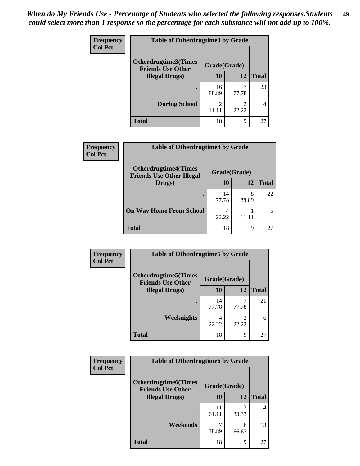| <b>Frequency</b> | <b>Table of Otherdrugtime3 by Grade</b>          |                                      |            |              |
|------------------|--------------------------------------------------|--------------------------------------|------------|--------------|
| <b>Col Pct</b>   | Otherdrugtime3(Times<br><b>Friends Use Other</b> | Grade(Grade)                         |            |              |
|                  | <b>Illegal Drugs</b> )                           | 10                                   | 12         | <b>Total</b> |
|                  |                                                  | 16<br>88.89                          | ℸ<br>77.78 | 23           |
|                  | <b>During School</b>                             | $\mathcal{D}_{\mathcal{L}}$<br>11.11 | 2<br>22.22 | 4            |
|                  | Total                                            | 18                                   | 9          | 27           |

| Frequency      | <b>Table of Otherdrugtime4 by Grade</b>                         |              |            |              |
|----------------|-----------------------------------------------------------------|--------------|------------|--------------|
| <b>Col Pct</b> | <b>Otherdrugtime4(Times</b><br><b>Friends Use Other Illegal</b> | Grade(Grade) |            |              |
|                | Drugs)                                                          | 10           | 12         | <b>Total</b> |
|                | ٠                                                               | 14<br>77.78  | 8<br>88.89 | 22           |
|                | <b>On Way Home From School</b>                                  | 4<br>22.22   | 11.11      |              |
|                | <b>Total</b>                                                    | 18           | 9          | 27           |

| Frequency      | <b>Table of Otherdrugtime5 by Grade</b>                  |              |                         |              |
|----------------|----------------------------------------------------------|--------------|-------------------------|--------------|
| <b>Col Pct</b> | <b>Otherdrugtime5</b> (Times<br><b>Friends Use Other</b> | Grade(Grade) |                         |              |
|                | <b>Illegal Drugs</b> )                                   | 10           | 12                      | <b>Total</b> |
|                |                                                          | 14<br>77.78  | 77.78                   | 21           |
|                | Weeknights                                               | 4<br>22.22   | $\mathfrak{D}$<br>22.22 | 6            |
|                | <b>Total</b>                                             | 18           | 9                       | 27           |

| <b>Frequency</b> | <b>Table of Otherdrugtime6 by Grade</b>                  |              |            |              |
|------------------|----------------------------------------------------------|--------------|------------|--------------|
| <b>Col Pct</b>   | <b>Otherdrugtime6</b> (Times<br><b>Friends Use Other</b> | Grade(Grade) |            |              |
|                  | <b>Illegal Drugs</b> )                                   | 10           | 12         | <b>Total</b> |
|                  |                                                          | 61.11        | 3<br>33.33 | 14           |
|                  | Weekends                                                 | 38.89        | 6<br>66.67 | 13           |
|                  | Total                                                    | 18           | 9          | 27           |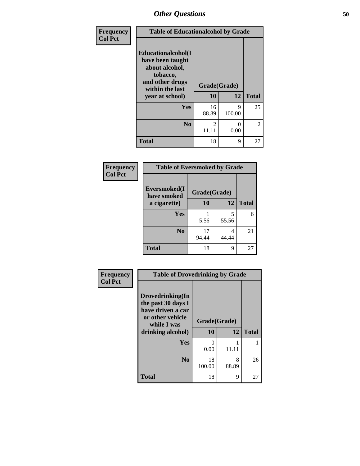| Frequency<br><b>Col Pct</b> | <b>Table of Educationalcohol by Grade</b>                                                                  |                         |             |                |
|-----------------------------|------------------------------------------------------------------------------------------------------------|-------------------------|-------------|----------------|
|                             | Educationalcohol(I<br>have been taught<br>about alcohol,<br>tobacco,<br>and other drugs<br>within the last | Grade(Grade)            |             |                |
|                             | year at school)                                                                                            | 10                      | 12          | <b>Total</b>   |
|                             | Yes                                                                                                        | 16<br>88.89             | Q<br>100.00 | 25             |
|                             | N <sub>0</sub>                                                                                             | $\mathfrak{D}$<br>11.11 | 0<br>0.00   | $\overline{2}$ |
|                             | <b>Total</b>                                                                                               | 18                      | 9           | 27             |

| Frequency      | <b>Table of Eversmoked by Grade</b> |              |            |              |  |
|----------------|-------------------------------------|--------------|------------|--------------|--|
| <b>Col Pct</b> | Eversmoked(I<br>have smoked         | Grade(Grade) |            |              |  |
|                | a cigarette)                        | 10           | 12         | <b>Total</b> |  |
|                | Yes                                 | 5.56         | 5<br>55.56 | 6            |  |
|                | N <sub>0</sub>                      | 17<br>94.44  | 4<br>44.44 | 21           |  |
|                | <b>Total</b>                        | 18           | 9          | 27           |  |

| Frequency      | <b>Table of Drovedrinking by Grade</b>                                                                              |                    |            |              |
|----------------|---------------------------------------------------------------------------------------------------------------------|--------------------|------------|--------------|
| <b>Col Pct</b> | Drovedrinking(In<br>the past 30 days I<br>have driven a car<br>or other vehicle<br>while I was<br>drinking alcohol) | Grade(Grade)<br>10 | 12         | <b>Total</b> |
|                | <b>Yes</b>                                                                                                          | 0<br>0.00          | 11.11      |              |
|                | N <sub>0</sub>                                                                                                      | 18<br>100.00       | 8<br>88.89 | 26           |
|                | <b>Total</b>                                                                                                        | 18                 | 9          | 27           |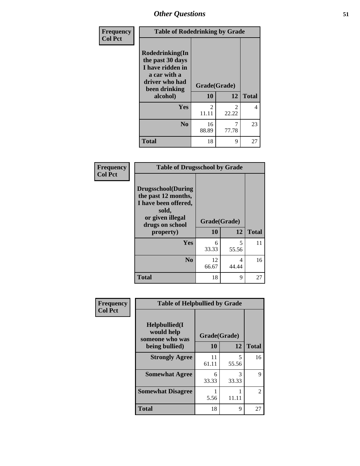| <b>Frequency</b> | <b>Table of Rodedrinking by Grade</b>                                                                                  |                    |                |                |  |
|------------------|------------------------------------------------------------------------------------------------------------------------|--------------------|----------------|----------------|--|
| <b>Col Pct</b>   | Rodedrinking(In<br>the past 30 days<br>I have ridden in<br>a car with a<br>driver who had<br>been drinking<br>alcohol) | Grade(Grade)<br>10 | 12             | <b>Total</b>   |  |
|                  | <b>Yes</b>                                                                                                             | $\mathfrak{D}$     | $\mathfrak{D}$ | $\overline{4}$ |  |
|                  |                                                                                                                        | 11.11              | 22.22          |                |  |
|                  | N <sub>0</sub>                                                                                                         | 16<br>88.89        | 7<br>77.78     | 23             |  |
|                  | <b>Total</b>                                                                                                           | 18                 | 9              | 27             |  |

#### **Frequency Col Pct**

| <b>Table of Drugsschool by Grade</b>                                                                                                   |                    |            |              |  |
|----------------------------------------------------------------------------------------------------------------------------------------|--------------------|------------|--------------|--|
| <b>Drugsschool</b> (During<br>the past 12 months,<br>I have been offered,<br>sold,<br>or given illegal<br>drugs on school<br>property) | Grade(Grade)<br>10 | 12         | <b>Total</b> |  |
| Yes                                                                                                                                    | 6<br>33.33         | 5<br>55.56 | 11           |  |
| N <sub>0</sub>                                                                                                                         | 12<br>66.67        | 4<br>44.44 | 16           |  |
| <b>Total</b>                                                                                                                           | 18                 | 9          |              |  |

| Frequency      | <b>Table of Helpbullied by Grade</b>                 |              |            |              |
|----------------|------------------------------------------------------|--------------|------------|--------------|
| <b>Col Pct</b> | $Helpb$ ullied $(I$<br>would help<br>someone who was | Grade(Grade) |            |              |
|                | being bullied)                                       | 10           | 12         | <b>Total</b> |
|                | <b>Strongly Agree</b>                                | 11<br>61.11  | 5<br>55.56 | 16           |
|                | <b>Somewhat Agree</b>                                | 6<br>33.33   | 3<br>33.33 | 9            |
|                | <b>Somewhat Disagree</b>                             | 5.56         | 11.11      | 2            |
|                | <b>Total</b>                                         | 18           | 9          | 27           |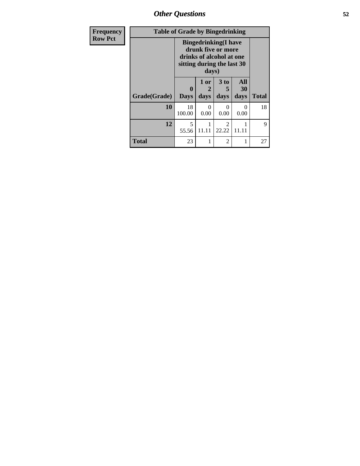*Other Questions* **52**

| Frequency      | <b>Table of Grade by Bingedrinking</b> |                                                                                                                       |              |                         |                   |              |
|----------------|----------------------------------------|-----------------------------------------------------------------------------------------------------------------------|--------------|-------------------------|-------------------|--------------|
| <b>Row Pct</b> |                                        | <b>Bingedrinking</b> (I have<br>drunk five or more<br>drinks of alcohol at one<br>sitting during the last 30<br>days) |              |                         |                   |              |
|                | Grade(Grade)                           | 0<br><b>Days</b>                                                                                                      | 1 or<br>days | 3 to<br>5<br>days       | All<br>30<br>days | <b>Total</b> |
|                | 10                                     | 18<br>100.00                                                                                                          | 0<br>0.00    | $\Omega$<br>0.00        | 0<br>0.00         | 18           |
|                | 12                                     | $\overline{\phantom{0}}$<br>55.56                                                                                     | 11.11        | $\overline{2}$<br>22.22 | 11.11             | $\mathbf Q$  |
|                | <b>Total</b>                           | 23                                                                                                                    |              | $\overline{2}$          | 1                 | 27           |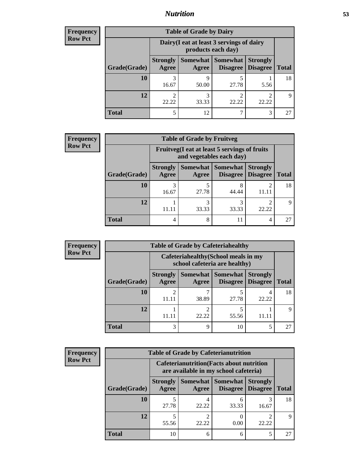## *Nutrition* **53**

| <b>Frequency</b> |
|------------------|
| Row Pct          |

| <b>Table of Grade by Dairy</b> |                                 |                                                                                                  |            |       |    |  |  |
|--------------------------------|---------------------------------|--------------------------------------------------------------------------------------------------|------------|-------|----|--|--|
|                                |                                 | Dairy (I eat at least 3 servings of dairy<br>products each day)                                  |            |       |    |  |  |
| Grade(Grade)                   | <b>Strongly</b><br><b>Agree</b> | Somewhat   Somewhat  <br><b>Strongly</b><br><b>Disagree</b><br>Disagree<br><b>Total</b><br>Agree |            |       |    |  |  |
| <b>10</b>                      | 3<br>16.67                      | Q<br>50.00                                                                                       | 5<br>27.78 | 5.56  | 18 |  |  |
| 12                             | 2<br>22.22                      | 3<br>33.33                                                                                       | ി<br>22.22 | 22.22 | Q  |  |  |
| <b>Total</b>                   | 5                               | 12                                                                                               |            | 3     |    |  |  |

| <b>Frequency</b> |
|------------------|
| <b>Row Pct</b>   |

| $\mathbf{y}$ | <b>Table of Grade by Fruitveg</b> |                                 |                                                                          |                     |                                        |              |  |
|--------------|-----------------------------------|---------------------------------|--------------------------------------------------------------------------|---------------------|----------------------------------------|--------------|--|
|              |                                   |                                 | Fruitveg(I eat at least 5 servings of fruits<br>and vegetables each day) |                     |                                        |              |  |
|              | Grade(Grade)                      | <b>Strongly</b><br><b>Agree</b> | Agree                                                                    | Somewhat   Somewhat | <b>Strongly</b><br>Disagree   Disagree | <b>Total</b> |  |
|              | 10                                | 16.67                           | 5<br>27.78                                                               | 44.44               |                                        | 18           |  |
|              | 12                                |                                 | 3<br>33.33                                                               | 33.33               | 22.22                                  |              |  |
|              | <b>Total</b>                      | 4                               | 8                                                                        | 11                  | 4                                      | 27           |  |

| Frequency      | <b>Table of Grade by Cafeteriahealthy</b> |                                                                       |            |                     |                                        |              |  |  |  |
|----------------|-------------------------------------------|-----------------------------------------------------------------------|------------|---------------------|----------------------------------------|--------------|--|--|--|
| <b>Row Pct</b> |                                           | Cafeteriahealthy (School meals in my<br>school cafeteria are healthy) |            |                     |                                        |              |  |  |  |
|                | Grade(Grade)                              | <b>Strongly</b><br>Agree                                              | Agree      | Somewhat   Somewhat | <b>Strongly</b><br>Disagree   Disagree | <b>Total</b> |  |  |  |
|                | 10                                        | 11.11                                                                 | 7<br>38.89 | 27.78               | 22.22                                  | 18           |  |  |  |
|                | 12                                        | 11.11                                                                 | 2<br>22.22 | 55.56               | 11.11                                  | 9            |  |  |  |
|                | <b>Total</b>                              | 3                                                                     | 9          | 10                  | 5                                      | 27           |  |  |  |

| <b>Frequency</b> |
|------------------|
| <b>Row Pct</b>   |

| <b>Table of Grade by Cafeterianutrition</b> |                          |                                                                                           |                                 |                                    |              |  |  |
|---------------------------------------------|--------------------------|-------------------------------------------------------------------------------------------|---------------------------------|------------------------------------|--------------|--|--|
|                                             |                          | <b>Cafeterianutrition</b> (Facts about nutrition<br>are available in my school cafeteria) |                                 |                                    |              |  |  |
| Grade(Grade)                                | <b>Strongly</b><br>Agree | Agree                                                                                     | Somewhat   Somewhat<br>Disagree | <b>Strongly</b><br><b>Disagree</b> | <b>Total</b> |  |  |
| 10                                          | 27.78                    | 22.22                                                                                     | 6<br>33.33                      | 16.67                              | 18           |  |  |
| 12                                          | 55.56                    | 22.22                                                                                     | 0.00                            | 22.22                              |              |  |  |
| <b>Total</b>                                | 10                       | 6                                                                                         | 6                               | 5                                  | 27           |  |  |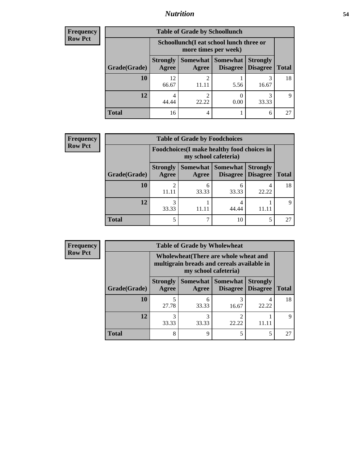## *Nutrition* **54**

| <b>Frequency</b> |
|------------------|
| Row Pct          |

| <b>Table of Grade by Schoollunch</b> |                          |                                                                 |                                   |                                    |              |  |  |
|--------------------------------------|--------------------------|-----------------------------------------------------------------|-----------------------------------|------------------------------------|--------------|--|--|
|                                      |                          | Schoollunch(I eat school lunch three or<br>more times per week) |                                   |                                    |              |  |  |
| Grade(Grade)                         | <b>Strongly</b><br>Agree | Agree                                                           | Somewhat   Somewhat  <br>Disagree | <b>Strongly</b><br><b>Disagree</b> | <b>Total</b> |  |  |
| 10                                   | 12<br>66.67              | 2                                                               | 5.56                              | 3<br>16.67                         | 18           |  |  |
| 12                                   | 4<br>44.44               | ∍<br>22.22                                                      | 0.00                              | 3<br>33.33                         | Q            |  |  |
| <b>Total</b>                         | 16                       | 4                                                               |                                   | 6                                  | 27           |  |  |

| <b>Frequency</b> |  |
|------------------|--|
| <b>Row Pct</b>   |  |

| <b>Table of Grade by Foodchoices</b> |                          |                                                                            |                                        |                                    |              |
|--------------------------------------|--------------------------|----------------------------------------------------------------------------|----------------------------------------|------------------------------------|--------------|
|                                      |                          | <b>Foodchoices</b> (I make healthy food choices in<br>my school cafeteria) |                                        |                                    |              |
| Grade(Grade)                         | <b>Strongly</b><br>Agree | Agree                                                                      | Somewhat   Somewhat<br><b>Disagree</b> | <b>Strongly</b><br><b>Disagree</b> | <b>Total</b> |
| 10                                   | 11.11                    | 6<br>33.33                                                                 | 33.33                                  | 4<br>22.22                         | 18           |
| 12                                   | 33.33                    |                                                                            | 44.44                                  |                                    | Q            |
| <b>Total</b>                         | 5                        |                                                                            | 10                                     |                                    | 27           |

| <b>Frequency</b> | <b>Table of Grade by Wholewheat</b> |                                                                                                             |            |                                        |                                    |              |  |  |
|------------------|-------------------------------------|-------------------------------------------------------------------------------------------------------------|------------|----------------------------------------|------------------------------------|--------------|--|--|
| <b>Row Pct</b>   |                                     | Wholewheat (There are whole wheat and<br>multigrain breads and cereals available in<br>my school cafeteria) |            |                                        |                                    |              |  |  |
|                  | Grade(Grade)                        | <b>Strongly</b><br>Agree                                                                                    | Agree      | Somewhat   Somewhat<br><b>Disagree</b> | <b>Strongly</b><br><b>Disagree</b> | <b>Total</b> |  |  |
|                  | 10                                  | 27.78                                                                                                       | 6<br>33.33 | 16.67                                  | 22.22                              | 18           |  |  |
|                  | 12                                  | 3<br>33.33                                                                                                  | 3<br>33.33 | ◠<br>22.22                             | 11.11                              | 9            |  |  |
|                  | <b>Total</b>                        | 8                                                                                                           | 9          |                                        |                                    | 27           |  |  |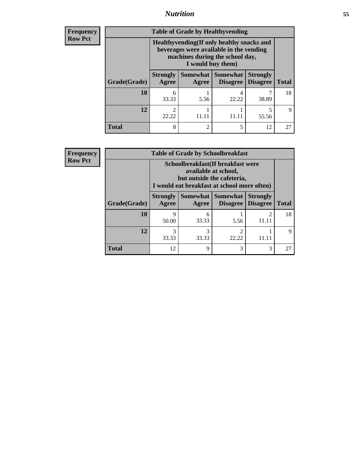## *Nutrition* **55**

**Frequency Row Pct**

| <b>Table of Grade by Healthyvending</b> |                                                                                                                                               |                                                                                                                                                                 |                             |                                    |              |  |  |
|-----------------------------------------|-----------------------------------------------------------------------------------------------------------------------------------------------|-----------------------------------------------------------------------------------------------------------------------------------------------------------------|-----------------------------|------------------------------------|--------------|--|--|
|                                         | Healthyvending (If only healthy snacks and<br>beverages were available in the vending<br>machines during the school day,<br>I would buy them) |                                                                                                                                                                 |                             |                                    |              |  |  |
| Grade(Grade)                            | <b>Strongly</b><br>Agree                                                                                                                      | Somewhat  <br>Agree                                                                                                                                             | <b>Somewhat</b><br>Disagree | <b>Strongly</b><br><b>Disagree</b> | <b>Total</b> |  |  |
| 10                                      | 6<br>33.33                                                                                                                                    | 5.56                                                                                                                                                            | 4<br>22.22                  | 38.89                              | 18           |  |  |
| 12                                      | 22.22                                                                                                                                         | 11.11                                                                                                                                                           |                             | 5<br>55.56                         | Q            |  |  |
| <b>Total</b>                            | 8                                                                                                                                             | $\mathcal{D}_{\mathcal{A}}^{\mathcal{A}}(\mathcal{A})=\mathcal{D}_{\mathcal{A}}^{\mathcal{A}}(\mathcal{A})\mathcal{D}_{\mathcal{A}}^{\mathcal{A}}(\mathcal{A})$ | 5                           | 12                                 | 27           |  |  |

**Frequency Row Pct**

| <b>Table of Grade by Schoolbreakfast</b> |                          |                                                                                                                                        |                               |                                    |              |  |  |
|------------------------------------------|--------------------------|----------------------------------------------------------------------------------------------------------------------------------------|-------------------------------|------------------------------------|--------------|--|--|
|                                          |                          | Schoolbreakfast(If breakfast were<br>available at school,<br>but outside the cafeteria,<br>I would eat breakfast at school more often) |                               |                                    |              |  |  |
| Grade(Grade)                             | <b>Strongly</b><br>Agree | Agree                                                                                                                                  | Somewhat Somewhat<br>Disagree | <b>Strongly</b><br><b>Disagree</b> | <b>Total</b> |  |  |
| 10                                       | 9<br>50.00               | 6<br>33.33                                                                                                                             | 5.56                          | $\mathfrak{D}$<br>11.11            | 18           |  |  |
| 12                                       | 3<br>33.33               | 3<br>33.33                                                                                                                             | $\mathfrak{D}$<br>22.22       |                                    | 9            |  |  |
| <b>Total</b>                             | 12                       | Q                                                                                                                                      | 3                             | 3                                  | 27           |  |  |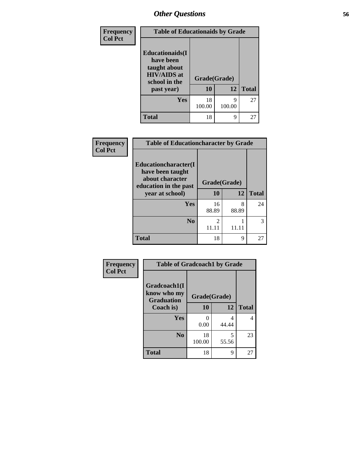| Frequency      | <b>Table of Educationaids by Grade</b>                                                                    |                    |              |    |
|----------------|-----------------------------------------------------------------------------------------------------------|--------------------|--------------|----|
| <b>Col Pct</b> | <b>Educationaids</b> (I<br>have been<br>taught about<br><b>HIV/AIDS</b> at<br>school in the<br>past year) | Grade(Grade)<br>10 | <b>Total</b> |    |
|                | Yes                                                                                                       | 18<br>100.00       | Q<br>100.00  | 27 |
|                | <b>Total</b>                                                                                              | 18                 | 9            | 27 |

#### **Frequency Col Pct**

| <b>Table of Educationcharacter by Grade</b>                                                                     |                        |            |              |
|-----------------------------------------------------------------------------------------------------------------|------------------------|------------|--------------|
| <b>Educationcharacter</b> (I<br>have been taught<br>about character<br>education in the past<br>year at school) | Grade(Grade)<br>10     | 12         | <b>Total</b> |
| Yes                                                                                                             | 16<br>88.89            | 8<br>88.89 | 24           |
| N <sub>0</sub>                                                                                                  | $\mathcal{L}$<br>11.11 | 11.11      | 3            |
| <b>Total</b>                                                                                                    | 18                     | 9          | 27           |

| <b>Frequency</b> | <b>Table of Gradcoach1 by Grade</b> |                    |            |              |
|------------------|-------------------------------------|--------------------|------------|--------------|
| <b>Col Pct</b>   | Gradcoach1(I<br>know who my         |                    |            |              |
|                  | <b>Graduation</b><br>Coach is)      | Grade(Grade)<br>10 | 12         | <b>Total</b> |
|                  | Yes                                 | 0<br>0.00          | 4<br>44.44 | 4            |
|                  | N <sub>0</sub>                      | 18<br>100.00       | 5<br>55.56 | 23           |
|                  | <b>Total</b>                        | 18                 | 9          | 27           |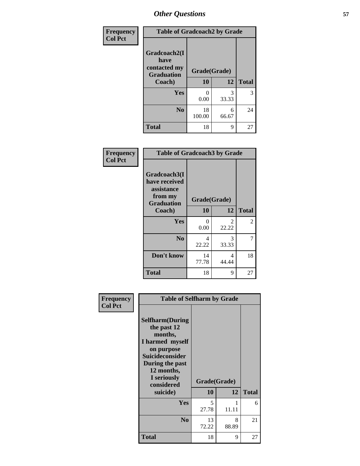| Frequency      | <b>Table of Gradcoach2 by Grade</b>       |              |            |              |
|----------------|-------------------------------------------|--------------|------------|--------------|
| <b>Col Pct</b> |                                           |              |            |              |
|                | Gradcoach2(I                              |              |            |              |
|                | have<br>contacted my<br><b>Graduation</b> | Grade(Grade) |            |              |
|                | Coach)                                    | 10           | 12         | <b>Total</b> |
|                | Yes                                       | 0<br>0.00    | 3<br>33.33 | 3            |
|                | N <sub>0</sub>                            | 18<br>100.00 | 6<br>66.67 | 24           |
|                | <b>Total</b>                              | 18           | 9          | 27           |

| Frequency<br><b>Col Pct</b> | <b>Table of Gradcoach3 by Grade</b>                    |                  |            |              |
|-----------------------------|--------------------------------------------------------|------------------|------------|--------------|
|                             | Gradcoach3(I<br>have received<br>assistance<br>from my | Grade(Grade)     |            |              |
|                             | <b>Graduation</b><br>Coach)                            | 10               | 12         | <b>Total</b> |
|                             | Yes                                                    | $\Omega$<br>0.00 | 2<br>22.22 | 2            |
|                             | N <sub>0</sub>                                         | 4<br>22.22       | 3<br>33.33 | 7            |
|                             | Don't know                                             | 14<br>77.78      | 4<br>44.44 | 18           |
|                             | <b>Total</b>                                           | 18               | 9          | 27           |

| Frequency      | <b>Table of Selfharm by Grade</b>                                                                                                                                                      |                    |            |              |
|----------------|----------------------------------------------------------------------------------------------------------------------------------------------------------------------------------------|--------------------|------------|--------------|
| <b>Col Pct</b> | <b>Selfharm</b> (During<br>the past 12<br>months,<br>I harmed myself<br>on purpose<br><b>Suicideconsider</b><br>During the past<br>12 months,<br>I seriously<br>considered<br>suicide) | Grade(Grade)<br>10 | 12         | <b>Total</b> |
|                | Yes                                                                                                                                                                                    | 5<br>27.78         | 1<br>11.11 | 6            |
|                | N <sub>0</sub>                                                                                                                                                                         | 13<br>72.22        | 8<br>88.89 | 21           |
|                | Total                                                                                                                                                                                  | 18                 | 9          | 27           |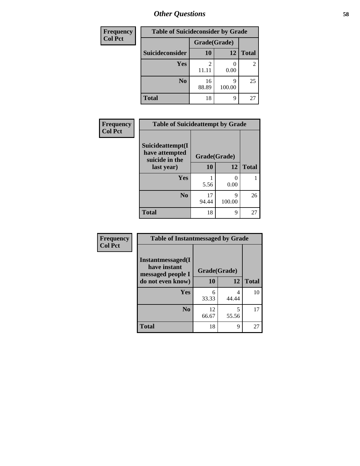| <b>Frequency</b> | <b>Table of Suicideconsider by Grade</b> |              |             |              |
|------------------|------------------------------------------|--------------|-------------|--------------|
| <b>Col Pct</b>   |                                          | Grade(Grade) |             |              |
|                  | Suicideconsider                          | <b>10</b>    | 12          | <b>Total</b> |
|                  | Yes                                      | 11.11        | 0.00        | 2            |
|                  | N <sub>0</sub>                           | 16<br>88.89  | q<br>100.00 | 25           |
|                  | <b>Total</b>                             | 18           | 9           | 27           |

| Frequency      | <b>Table of Suicideattempt by Grade</b>              |              |             |              |
|----------------|------------------------------------------------------|--------------|-------------|--------------|
| <b>Col Pct</b> | Suicideattempt(I<br>have attempted<br>suicide in the | Grade(Grade) |             |              |
|                | last year)                                           | <b>10</b>    | 12          | <b>Total</b> |
|                | Yes                                                  | 5.56         | 0<br>0.00   |              |
|                | N <sub>0</sub>                                       | 17<br>94.44  | q<br>100.00 | 26           |
|                | <b>Total</b>                                         | 18           | 9           | 27           |

| Frequency      | <b>Table of Instantmessaged by Grade</b>               |              |            |              |
|----------------|--------------------------------------------------------|--------------|------------|--------------|
| <b>Col Pct</b> | Instantmessaged(I<br>have instant<br>messaged people I | Grade(Grade) |            |              |
|                | do not even know)                                      | 10           | 12         | <b>Total</b> |
|                | Yes                                                    | 6<br>33.33   | 4<br>44.44 | 10           |
|                | N <sub>0</sub>                                         | 12<br>66.67  | 5<br>55.56 | 17           |
|                | <b>Total</b>                                           | 18           | 9          | 27           |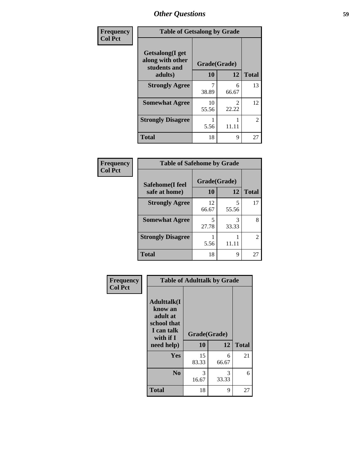| Frequency      | <b>Table of Getsalong by Grade</b>                          |              |                         |              |
|----------------|-------------------------------------------------------------|--------------|-------------------------|--------------|
| <b>Col Pct</b> | <b>Getsalong</b> (I get<br>along with other<br>students and | Grade(Grade) |                         |              |
|                | adults)                                                     | 10           | 12                      | <b>Total</b> |
|                | <b>Strongly Agree</b>                                       | 38.89        | 6<br>66.67              | 13           |
|                | <b>Somewhat Agree</b>                                       | 10<br>55.56  | $\mathfrak{D}$<br>22.22 | 12           |
|                | <b>Strongly Disagree</b>                                    | 5.56         | 11.11                   | 2            |
|                | <b>Total</b>                                                | 18           | 9                       | 27           |

| <b>Frequency</b> |
|------------------|
| $ $ Col Pct      |

Л

**Frequency Col Pct**

| <b>Table of Safehome by Grade</b> |              |            |              |  |
|-----------------------------------|--------------|------------|--------------|--|
| Safehome(I feel                   | Grade(Grade) |            |              |  |
| safe at home)                     | 10           | 12         | <b>Total</b> |  |
| <b>Strongly Agree</b>             | 12<br>66.67  | 5<br>55.56 | 17           |  |
| <b>Somewhat Agree</b>             | 5<br>27.78   | 3<br>33.33 | 8            |  |
| <b>Strongly Disagree</b>          | 5.56         | 11.11      | 2            |  |
| <b>Total</b>                      | 18           | 9          | 2.           |  |

|                                                                         | <b>Table of Adulttalk by Grade</b> |            |              |  |
|-------------------------------------------------------------------------|------------------------------------|------------|--------------|--|
| <b>Adulttalk</b> (I<br>know an<br>adult at<br>school that<br>I can talk | Grade(Grade)                       |            |              |  |
| with if I                                                               |                                    |            |              |  |
| need help)                                                              | 10                                 | 12         | <b>Total</b> |  |
| Yes                                                                     | 15<br>83.33                        | 6<br>66.67 | 21           |  |
| N <sub>0</sub>                                                          | 3<br>16.67                         | 3<br>33.33 | 6            |  |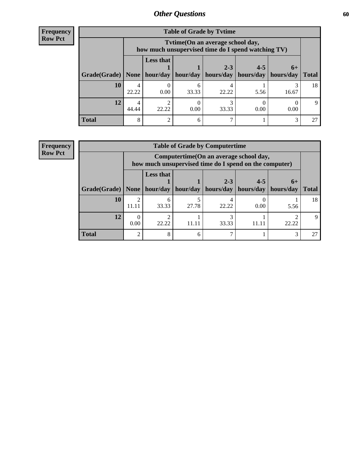| <b>Frequency</b> |
|------------------|
| <b>Row Pct</b>   |

| <b>Table of Grade by Tytime</b> |            |                                                                                                                                                                                                                                                |       |       |      |       |    |  |  |
|---------------------------------|------------|------------------------------------------------------------------------------------------------------------------------------------------------------------------------------------------------------------------------------------------------|-------|-------|------|-------|----|--|--|
|                                 |            | Tvtime (On an average school day,<br>how much unsupervised time do I spend watching TV)<br><b>Less that</b><br>$4 - 5$<br>$2 - 3$<br>$6+$<br>Grade(Grade)   None   hour/day<br>hour/day<br>hours/day<br>hours/day<br>hours/day<br><b>Total</b> |       |       |      |       |    |  |  |
|                                 |            |                                                                                                                                                                                                                                                |       |       |      |       |    |  |  |
| 10                              | 22.22      | 0.00                                                                                                                                                                                                                                           | 33.33 | 22.22 | 5.56 | 16.67 | 18 |  |  |
| 12                              | 4<br>44.44 | 22.22                                                                                                                                                                                                                                          | 0.00  | 33.33 | 0.00 | 0.00  | 9  |  |  |
| <b>Total</b>                    | 8          | $\mathcal{D}_{\mathcal{L}}$                                                                                                                                                                                                                    |       |       |      | 3     | 27 |  |  |

#### **Frequency Row Pct**

| <b>Table of Grade by Computertime</b> |                         |                                                                                                                                                                                                                                    |       |       |      |      |    |  |  |
|---------------------------------------|-------------------------|------------------------------------------------------------------------------------------------------------------------------------------------------------------------------------------------------------------------------------|-------|-------|------|------|----|--|--|
|                                       |                         | Computertime (On an average school day,<br>how much unsupervised time do I spend on the computer)<br><b>Less that</b><br>$2 - 3$<br>$4 - 5$<br>$6+$<br>hour/day<br>hours/day<br>hours/day<br>hour/day<br>hours/day<br><b>Total</b> |       |       |      |      |    |  |  |
| Grade(Grade)   None                   |                         |                                                                                                                                                                                                                                    |       |       |      |      |    |  |  |
| 10                                    | $\mathfrak{D}$<br>11.11 | 6<br>33.33                                                                                                                                                                                                                         | 27.78 | 22.22 | 0.00 | 5.56 | 18 |  |  |
| 12                                    | 0.00                    | 22.22<br>33.33<br>22.22<br>11.11<br>11.11                                                                                                                                                                                          |       |       |      |      |    |  |  |
| <b>Total</b>                          | $\mathcal{D}$           | 8                                                                                                                                                                                                                                  |       |       |      | 3    |    |  |  |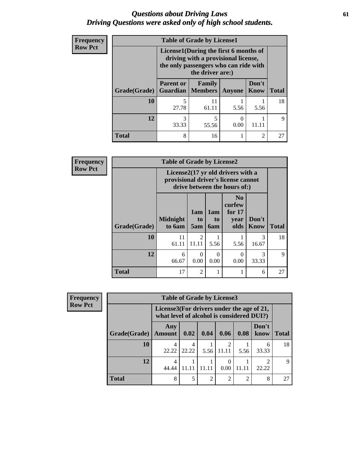### *Questions about Driving Laws* **61** *Driving Questions were asked only of high school students.*

| <b>Frequency</b> |              | <b>Table of Grade by License1</b>                                                                                                         |             |                           |                |              |  |  |  |  |
|------------------|--------------|-------------------------------------------------------------------------------------------------------------------------------------------|-------------|---------------------------|----------------|--------------|--|--|--|--|
| <b>Row Pct</b>   |              | License1(During the first 6 months of<br>driving with a provisional license,<br>the only passengers who can ride with<br>the driver are:) |             |                           |                |              |  |  |  |  |
|                  | Grade(Grade) | <b>Parent or</b><br><b>Guardian</b>   Members                                                                                             | Family      | <b>Anyone</b>             | Don't<br>Know  | <b>Total</b> |  |  |  |  |
|                  | 10           | 5<br>27.78                                                                                                                                | 11<br>61.11 | 5.56                      | 5.56           | 18           |  |  |  |  |
|                  | 12           | 3<br>33.33                                                                                                                                | 55.56       | $\mathbf{\Omega}$<br>0.00 |                | $\mathbf Q$  |  |  |  |  |
|                  | <b>Total</b> | 8                                                                                                                                         | 16          |                           | $\mathfrak{D}$ | 27           |  |  |  |  |

| <b>Frequency</b> |                     | <b>Table of Grade by License2</b>                                                                        |                  |                         |                                                      |                      |              |
|------------------|---------------------|----------------------------------------------------------------------------------------------------------|------------------|-------------------------|------------------------------------------------------|----------------------|--------------|
| Row Pct          |                     | License2(17 yr old drivers with a<br>provisional driver's license cannot<br>drive between the hours of:) |                  |                         |                                                      |                      |              |
|                  | <b>Grade(Grade)</b> | <b>Midnight</b><br>to 6am                                                                                | 1am<br>to<br>5am | 1am<br>to<br><b>6am</b> | N <sub>0</sub><br>curfew<br>for $17$<br>year<br>olds | Don't<br><b>Know</b> | <b>Total</b> |
|                  | 10                  | 11<br>61.11                                                                                              | 2<br>11.11       | 5.56                    | 5.56                                                 | 3<br>16.67           | 18           |
|                  | 12                  | 6<br>66.67                                                                                               | $\Omega$<br>0.00 | $\Omega$<br>0.00        | $\Omega$<br>0.00                                     | 3<br>33.33           | 9            |
|                  | <b>Total</b>        | 17                                                                                                       | $\overline{2}$   | 1                       |                                                      | 6                    | 27           |

| <b>Frequency</b> | <b>Table of Grade by License3</b> |                      |                                                                                        |               |       |       |               |              |  |
|------------------|-----------------------------------|----------------------|----------------------------------------------------------------------------------------|---------------|-------|-------|---------------|--------------|--|
| <b>Row Pct</b>   |                                   |                      | License3(For drivers under the age of 21,<br>what level of alcohol is considered DUI?) |               |       |       |               |              |  |
|                  | Grade(Grade)                      | Any<br><b>Amount</b> | 0.02                                                                                   | 0.04          | 0.06  | 0.08  | Don't<br>know | <b>Total</b> |  |
|                  | 10                                | 22.22                | 4<br>22.22                                                                             | 5.56          | 11.11 | 5.56  | 6<br>33.33    | 18           |  |
|                  | 12                                | 44.44                | 11.11                                                                                  | 11.11         | 0.00  | 11 11 | ◠<br>22.22    | $\mathbf Q$  |  |
|                  | Total                             | 8                    | 5                                                                                      | $\mathcal{D}$ | ↑     | ◠     | 8             | 27           |  |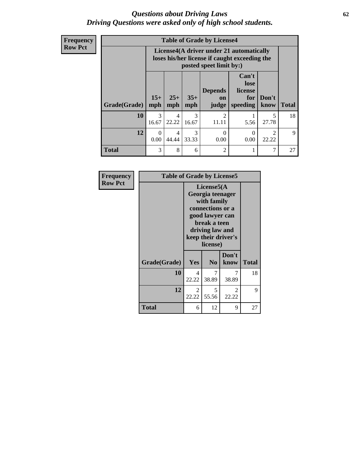### *Questions about Driving Laws* **62** *Driving Questions were asked only of high school students.*

**Frequency Row Pct**

| <b>Table of Grade by License4</b> |            |                                                                                                                                                        |                        |                         |           |                         |    |  |  |
|-----------------------------------|------------|--------------------------------------------------------------------------------------------------------------------------------------------------------|------------------------|-------------------------|-----------|-------------------------|----|--|--|
|                                   |            | License4(A driver under 21 automatically<br>loses his/her license if caught exceeding the<br>posted speet limit by:)                                   |                        |                         |           |                         |    |  |  |
| Grade(Grade)                      | mph        | Can't<br>lose<br><b>Depends</b><br>license<br>$15+$<br>$25+$<br>$35+$<br>Don't<br>for<br>on<br>mph<br><b>Total</b><br>speeding<br>know<br>mph<br>judge |                        |                         |           |                         |    |  |  |
| 10                                | 3<br>16.67 | 4<br>22.22                                                                                                                                             | $\mathcal{R}$<br>16.67 | $\mathfrak{D}$<br>11.11 | 5.56      | 5<br>27.78              | 18 |  |  |
| 12                                | 0<br>0.00  | 4<br>44.44                                                                                                                                             | $\mathcal{F}$<br>33.33 | $\Omega$<br>0.00        | 0<br>0.00 | $\mathfrak{D}$<br>22.22 | 9  |  |  |
| <b>Total</b>                      | 3          | 8                                                                                                                                                      | 6                      | $\mathfrak{D}$          |           | 7                       | 27 |  |  |

| Frequency      | <b>Table of Grade by License5</b> |            |                                                                                                                                      |                     |              |
|----------------|-----------------------------------|------------|--------------------------------------------------------------------------------------------------------------------------------------|---------------------|--------------|
| <b>Row Pct</b> |                                   |            | License5(A)<br>Georgia teenager<br>with family<br>connections or a<br>good lawyer can<br>break a teen<br>driving law and<br>license) | keep their driver's |              |
|                | Grade(Grade)                      | Yes        | N <sub>0</sub>                                                                                                                       | Don't<br>know       | <b>Total</b> |
|                | 10                                | 4<br>22.22 | 38.89                                                                                                                                | 7<br>38.89          | 18           |
|                | 12                                | 2<br>22.22 | 5<br>55.56                                                                                                                           | 2<br>22.22          | 9            |
|                | Total                             | 6          | 12                                                                                                                                   | 9                   | 27           |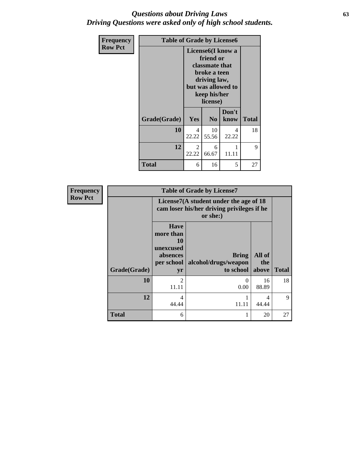### *Questions about Driving Laws* **63** *Driving Questions were asked only of high school students.*

| Frequency      | <b>Table of Grade by License6</b> |                                                     |                                                                                                                                                        |            |              |  |  |
|----------------|-----------------------------------|-----------------------------------------------------|--------------------------------------------------------------------------------------------------------------------------------------------------------|------------|--------------|--|--|
| <b>Row Pct</b> |                                   |                                                     | License <sub>6</sub> (I know a<br>friend or<br><b>classmate that</b><br>broke a teen<br>driving law,<br>but was allowed to<br>keep his/her<br>license) |            |              |  |  |
|                | Grade(Grade)                      | Don't<br>Yes<br>N <sub>0</sub><br>know              |                                                                                                                                                        |            | <b>Total</b> |  |  |
|                | 10                                | 4<br>22.22                                          | 10<br>55.56                                                                                                                                            | 4<br>22.22 | 18           |  |  |
|                | 12                                | $\overline{2}$<br>1<br>6<br>22.22<br>11.11<br>66.67 |                                                                                                                                                        |            | 9            |  |  |
|                | Total                             | 6                                                   | 16                                                                                                                                                     | 5          | 27           |  |  |

| <b>Frequency</b> |              | <b>Table of Grade by License7</b>                                                                                              |                                                                                                  |            |                    |  |  |  |
|------------------|--------------|--------------------------------------------------------------------------------------------------------------------------------|--------------------------------------------------------------------------------------------------|------------|--------------------|--|--|--|
| <b>Row Pct</b>   |              |                                                                                                                                | License7(A student under the age of 18<br>cam loser his/her driving privileges if he<br>or she:) |            |                    |  |  |  |
|                  | Grade(Grade) | <b>Have</b><br>more than<br>10<br>unexcused<br>All of<br><b>Bring</b><br>absences<br>alcohol/drugs/weapon<br>per school<br>the |                                                                                                  |            |                    |  |  |  |
|                  | 10           | yr<br>$\mathfrak{D}$                                                                                                           | to school   above<br>0                                                                           | 16         | <b>Total</b><br>18 |  |  |  |
|                  |              | 11.11                                                                                                                          | 0.00                                                                                             | 88.89      |                    |  |  |  |
|                  | 12           | 4<br>44.44                                                                                                                     | 11.11                                                                                            | 4<br>44.44 | 9                  |  |  |  |
|                  | <b>Total</b> | 6                                                                                                                              |                                                                                                  | 20         | 27                 |  |  |  |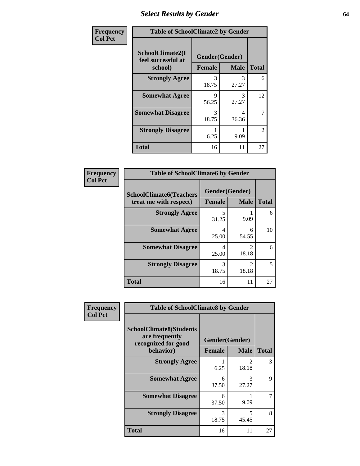# *Select Results by Gender* **64**

| Frequency      | <b>Table of SchoolClimate2 by Gender</b> |                             |                           |                   |  |  |
|----------------|------------------------------------------|-----------------------------|---------------------------|-------------------|--|--|
| <b>Col Pct</b> | SchoolClimate2(I<br>feel successful at   | Gender(Gender)              |                           |                   |  |  |
|                | school)<br><b>Strongly Agree</b>         | <b>Female</b><br>3<br>18.75 | <b>Male</b><br>3<br>27.27 | <b>Total</b><br>6 |  |  |
|                | <b>Somewhat Agree</b>                    | Q<br>56.25                  | 3<br>27.27                | 12                |  |  |
|                | <b>Somewhat Disagree</b>                 | 3<br>18.75                  | 4<br>36.36                | 7                 |  |  |
|                | <b>Strongly Disagree</b>                 | 6.25                        | 9.09                      | $\overline{2}$    |  |  |
|                | <b>Total</b>                             | 16                          | 11                        | 27                |  |  |

| Frequency      | <b>Table of SchoolClimate6 by Gender</b>                 |               |                                      |              |  |  |
|----------------|----------------------------------------------------------|---------------|--------------------------------------|--------------|--|--|
| <b>Col Pct</b> | <b>SchoolClimate6(Teachers</b><br>treat me with respect) | <b>Female</b> | Gender(Gender)<br><b>Male</b>        | <b>Total</b> |  |  |
|                | <b>Strongly Agree</b>                                    | 5<br>31.25    | 9.09                                 | 6            |  |  |
|                | <b>Somewhat Agree</b>                                    | 4<br>25.00    | 6<br>54.55                           | 10           |  |  |
|                | <b>Somewhat Disagree</b>                                 | 4<br>25.00    | っ<br>18.18                           | 6            |  |  |
|                | <b>Strongly Disagree</b>                                 | 3<br>18.75    | $\mathcal{D}_{\mathcal{L}}$<br>18.18 | 5            |  |  |
|                | <b>Total</b>                                             | 16            | 11                                   | 27           |  |  |

| <b>Frequency</b> | <b>Table of SchoolClimate8 by Gender</b>                                             |                                 |               |              |  |
|------------------|--------------------------------------------------------------------------------------|---------------------------------|---------------|--------------|--|
| <b>Col Pct</b>   | <b>SchoolClimate8(Students</b><br>are frequently<br>recognized for good<br>behavior) | Gender(Gender)<br><b>Female</b> | <b>Male</b>   | <b>Total</b> |  |
|                  | <b>Strongly Agree</b>                                                                |                                 | $\mathcal{D}$ | 3            |  |
|                  |                                                                                      | 6.25                            | 18.18         |              |  |
|                  | <b>Somewhat Agree</b>                                                                | 6<br>37.50                      | 3<br>27.27    | 9            |  |
|                  | <b>Somewhat Disagree</b>                                                             | 6<br>37.50                      | 9.09          |              |  |
|                  | <b>Strongly Disagree</b>                                                             | 3<br>18.75                      | 5<br>45.45    | 8            |  |
|                  | <b>Total</b>                                                                         | 16                              | 11            | 27           |  |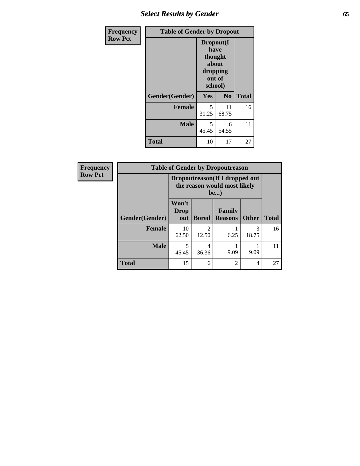# *Select Results by Gender* **65**

| <b>Frequency</b> | <b>Table of Gender by Dropout</b> |                                                                        |                |              |
|------------------|-----------------------------------|------------------------------------------------------------------------|----------------|--------------|
| <b>Row Pct</b>   |                                   | Dropout(I<br>have<br>thought<br>about<br>dropping<br>out of<br>school) |                |              |
|                  | Gender(Gender)                    | Yes                                                                    | N <sub>0</sub> | <b>Total</b> |
|                  | <b>Female</b>                     | 5<br>31.25                                                             | 11<br>68.75    | 16           |
|                  | <b>Male</b>                       | 5<br>45.45                                                             | 6<br>54.55     | 11           |
|                  | <b>Total</b>                      | 10                                                                     | 17             | 27           |

| Frequency      | <b>Table of Gender by Dropoutreason</b> |                                                                       |              |                                 |              |              |
|----------------|-----------------------------------------|-----------------------------------------------------------------------|--------------|---------------------------------|--------------|--------------|
| <b>Row Pct</b> |                                         | Dropoutreason (If I dropped out<br>the reason would most likely<br>be |              |                                 |              |              |
|                | <b>Gender</b> (Gender)                  | Won't<br><b>Drop</b><br>out                                           | <b>Bored</b> | <b>Family</b><br><b>Reasons</b> | <b>Other</b> | <b>Total</b> |
|                | <b>Female</b>                           | 10<br>62.50                                                           | 12.50        | 6.25                            | 3<br>18.75   | 16           |
|                | <b>Male</b>                             | 45.45                                                                 | 36.36        | 9.09                            | 9.09         | 11           |
|                | <b>Total</b>                            | 15                                                                    | 6            | $\mathfrak{D}$                  | 4            | 27           |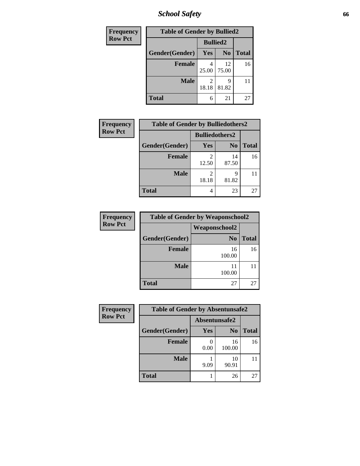*School Safety* **66**

| Frequency      | <b>Table of Gender by Bullied2</b> |                 |                |              |
|----------------|------------------------------------|-----------------|----------------|--------------|
| <b>Row Pct</b> |                                    | <b>Bullied2</b> |                |              |
|                | Gender(Gender)                     | Yes             | N <sub>0</sub> | <b>Total</b> |
|                | <b>Female</b>                      | 25.00           | 12<br>75.00    | 16           |
|                | <b>Male</b>                        | 18.18           | 9<br>81.82     |              |
|                | <b>Total</b>                       | 6               | 21             | 27           |

| <b>Frequency</b> | <b>Table of Gender by Bulliedothers2</b> |                        |                |              |
|------------------|------------------------------------------|------------------------|----------------|--------------|
| <b>Row Pct</b>   |                                          | <b>Bulliedothers2</b>  |                |              |
|                  | Gender(Gender)                           | <b>Yes</b>             | N <sub>0</sub> | <b>Total</b> |
|                  | <b>Female</b>                            | 12.50                  | 14<br>87.50    | 16           |
|                  | <b>Male</b>                              | $\mathcal{L}$<br>18.18 | Q<br>81.82     |              |
|                  | <b>Total</b>                             | 4                      | 23             | 27           |

| Frequency      | <b>Table of Gender by Weaponschool2</b> |                      |              |  |  |
|----------------|-----------------------------------------|----------------------|--------------|--|--|
| <b>Row Pct</b> |                                         | <b>Weaponschool2</b> |              |  |  |
|                | Gender(Gender)                          | N <sub>0</sub>       | <b>Total</b> |  |  |
|                | <b>Female</b>                           | 16<br>100.00         | 16           |  |  |
|                | <b>Male</b>                             | 11<br>100.00         |              |  |  |
|                | <b>Total</b>                            | 27                   | 27           |  |  |

| Frequency      | <b>Table of Gender by Absentunsafe2</b> |               |                |              |
|----------------|-----------------------------------------|---------------|----------------|--------------|
| <b>Row Pct</b> |                                         | Absentunsafe2 |                |              |
|                | Gender(Gender)                          | Yes           | N <sub>0</sub> | <b>Total</b> |
|                | <b>Female</b>                           | 0.00          | 16<br>100.00   | 16           |
|                | <b>Male</b>                             | 9.09          | 10<br>90.91    | 11           |
|                | <b>Total</b>                            |               | 26             | 27           |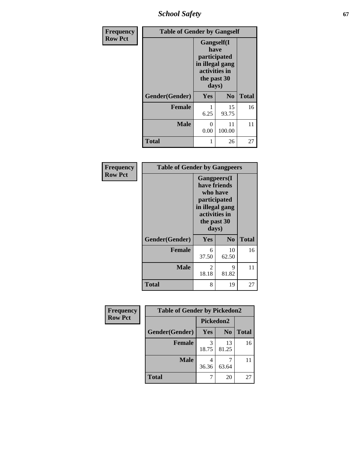*School Safety* **67**

| Frequency      | <b>Table of Gender by Gangself</b> |                                                                                                        |                |              |
|----------------|------------------------------------|--------------------------------------------------------------------------------------------------------|----------------|--------------|
| <b>Row Pct</b> |                                    | <b>Gangself</b> (I<br>have<br>participated<br>in illegal gang<br>activities in<br>the past 30<br>days) |                |              |
|                | Gender(Gender)                     | Yes                                                                                                    | N <sub>0</sub> | <b>Total</b> |
|                | <b>Female</b>                      | 6.25                                                                                                   | 15<br>93.75    | 16           |
|                | <b>Male</b>                        | 0<br>0.00                                                                                              | 11<br>100.00   | 11           |
|                | <b>Total</b>                       |                                                                                                        | 26             | 27           |

| Frequency      | <b>Table of Gender by Gangpeers</b> |                                                                                                                             |                |              |
|----------------|-------------------------------------|-----------------------------------------------------------------------------------------------------------------------------|----------------|--------------|
| <b>Row Pct</b> |                                     | <b>Gangpeers</b> (I<br>have friends<br>who have<br>participated<br>in illegal gang<br>activities in<br>the past 30<br>days) |                |              |
|                | Gender(Gender)                      | <b>Yes</b>                                                                                                                  | N <sub>0</sub> | <b>Total</b> |
|                | <b>Female</b>                       | 6<br>37.50                                                                                                                  | 10<br>62.50    | 16           |
|                | <b>Male</b>                         | 2<br>18.18                                                                                                                  | 9<br>81.82     | 11           |
|                | <b>Total</b>                        | 8                                                                                                                           | 19             | 27           |

| Frequency      | <b>Table of Gender by Pickedon2</b> |            |                |              |
|----------------|-------------------------------------|------------|----------------|--------------|
| <b>Row Pct</b> |                                     | Pickedon2  |                |              |
|                | Gender(Gender)                      | <b>Yes</b> | N <sub>0</sub> | <b>Total</b> |
|                | <b>Female</b>                       | 3<br>18.75 | 13<br>81.25    | 16           |
|                | <b>Male</b>                         | 36.36      | 63.64          | 11           |
|                | <b>Total</b>                        |            | 20             | 27           |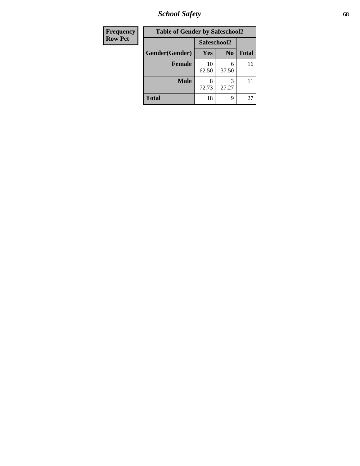*School Safety* **68**

| Frequency      | <b>Table of Gender by Safeschool2</b> |             |                |              |
|----------------|---------------------------------------|-------------|----------------|--------------|
| <b>Row Pct</b> |                                       | Safeschool2 |                |              |
|                | Gender(Gender)                        | Yes         | N <sub>0</sub> | <b>Total</b> |
|                | <b>Female</b>                         | 10<br>62.50 | 6<br>37.50     | 16           |
|                | <b>Male</b>                           | 72.73       | 27.27          | 11           |
|                | <b>Total</b>                          | 18          | 9              | 27           |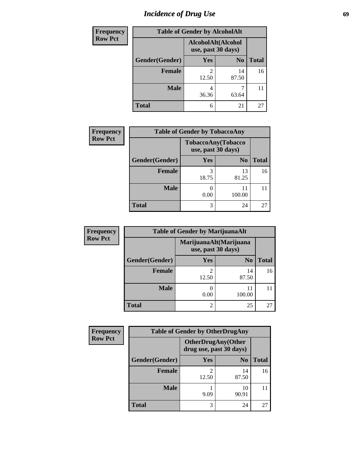# *Incidence of Drug Use* 69

| Frequency      | <b>Table of Gender by AlcoholAlt</b> |                                          |                |              |  |
|----------------|--------------------------------------|------------------------------------------|----------------|--------------|--|
| <b>Row Pct</b> |                                      | AlcoholAlt(Alcohol<br>use, past 30 days) |                |              |  |
|                | Gender(Gender)                       | Yes                                      | N <sub>0</sub> | <b>Total</b> |  |
|                | <b>Female</b>                        | 2<br>12.50                               | 14<br>87.50    | 16           |  |
|                | <b>Male</b>                          | 4<br>36.36                               | 63.64          | 11           |  |
|                | <b>Total</b>                         | 6                                        | 21             | 27           |  |

| Frequency      | <b>Table of Gender by TobaccoAny</b> |                                          |                |              |  |
|----------------|--------------------------------------|------------------------------------------|----------------|--------------|--|
| <b>Row Pct</b> |                                      | TobaccoAny(Tobacco<br>use, past 30 days) |                |              |  |
|                | Gender(Gender)                       | Yes                                      | N <sub>0</sub> | <b>Total</b> |  |
|                | <b>Female</b>                        | 18.75                                    | 13<br>81.25    | 16           |  |
|                | <b>Male</b>                          | 0.00                                     | 11<br>100.00   |              |  |
|                | <b>Total</b>                         | 3                                        | 24             | 27           |  |

| <b>Frequency</b> | <b>Table of Gender by MarijuanaAlt</b> |                    |                        |              |  |
|------------------|----------------------------------------|--------------------|------------------------|--------------|--|
| <b>Row Pct</b>   |                                        | use, past 30 days) | MarijuanaAlt(Marijuana |              |  |
|                  | Gender(Gender)                         | <b>Yes</b>         | N <sub>0</sub>         | <b>Total</b> |  |
|                  | Female                                 | 2<br>12.50         | 14<br>87.50            | 16           |  |
|                  | <b>Male</b>                            | 0.00               | 100.00                 | 11           |  |
|                  | <b>Total</b>                           | $\overline{2}$     | 25                     | 27           |  |

| <b>Frequency</b> | <b>Table of Gender by OtherDrugAny</b> |                         |                           |              |  |
|------------------|----------------------------------------|-------------------------|---------------------------|--------------|--|
| <b>Row Pct</b>   |                                        | drug use, past 30 days) | <b>OtherDrugAny(Other</b> |              |  |
|                  | Gender(Gender)                         | <b>Yes</b>              | N <sub>0</sub>            | <b>Total</b> |  |
|                  | <b>Female</b>                          | 12.50                   | 14<br>87.50               | 16           |  |
|                  | <b>Male</b>                            | 9.09                    | 10<br>90.91               |              |  |
|                  | <b>Total</b>                           | 3                       | 24                        | 27           |  |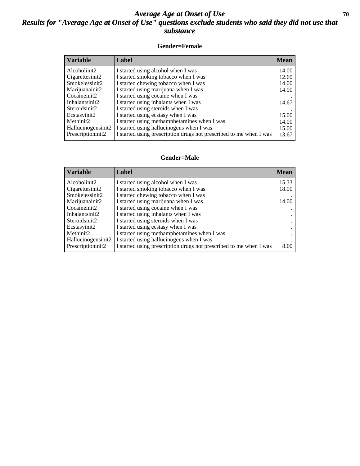### *Average Age at Onset of Use* 70 *Results for "Average Age at Onset of Use" questions exclude students who said they did not use that substance*

### **Gender=Female**

| <b>Variable</b>    | <b>Label</b>                                                       | <b>Mean</b> |
|--------------------|--------------------------------------------------------------------|-------------|
| Alcoholinit2       | I started using alcohol when I was                                 | 14.00       |
| Cigarettesinit2    | I started smoking tobacco when I was                               | 12.60       |
| Smokelessinit2     | I started chewing tobacco when I was                               | 14.00       |
| Marijuanainit2     | I started using marijuana when I was                               | 14.00       |
| Cocaineinit2       | I started using cocaine when I was                                 |             |
| Inhalantsinit2     | I started using inhalants when I was                               | 14.67       |
| Steroidsinit2      | I started using steroids when I was                                |             |
| Ecstasyinit2       | I started using ecstasy when I was                                 | 15.00       |
| Methinit2          | I started using methamphetamines when I was                        | 14.00       |
| Hallucinogensinit2 | I started using hallucinogens when I was                           | 15.00       |
| Prescription in t2 | I started using prescription drugs not prescribed to me when I was | 13.67       |

#### **Gender=Male**

| <b>Variable</b>     | Label                                                              | <b>Mean</b> |
|---------------------|--------------------------------------------------------------------|-------------|
| Alcoholinit2        | I started using alcohol when I was                                 | 15.33       |
| Cigarettesinit2     | I started smoking tobacco when I was                               | 18.00       |
| Smokelessinit2      | I started chewing tobacco when I was                               |             |
| Marijuanainit2      | I started using marijuana when I was                               | 14.00       |
| Cocaineinit2        | I started using cocaine when I was                                 |             |
| Inhalantsinit2      | I started using inhalants when I was                               |             |
| Steroidsinit2       | I started using steroids when I was                                |             |
| Ecstasyinit2        | I started using ecstasy when I was                                 |             |
| Methinit2           | I started using methamphetamines when I was                        |             |
| Hallucinogensinit2  | I started using hallucinogens when I was                           |             |
| Prescription in it2 | I started using prescription drugs not prescribed to me when I was | 8.00        |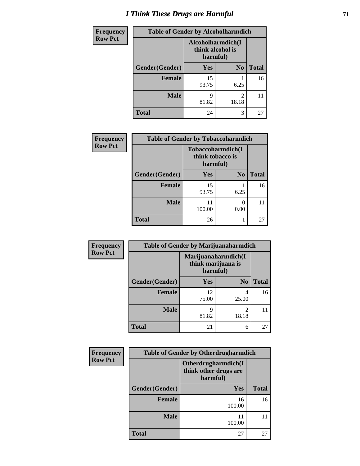# *I Think These Drugs are Harmful* **71**

| <b>Frequency</b> | <b>Table of Gender by Alcoholharmdich</b> |                                                   |                |              |  |
|------------------|-------------------------------------------|---------------------------------------------------|----------------|--------------|--|
| <b>Row Pct</b>   |                                           | Alcoholharmdich(I<br>think alcohol is<br>harmful) |                |              |  |
|                  | Gender(Gender)                            | <b>Yes</b>                                        | N <sub>0</sub> | <b>Total</b> |  |
|                  | <b>Female</b>                             | 15<br>93.75                                       | 6.25           | 16           |  |
|                  | <b>Male</b>                               | 9<br>81.82                                        | 2<br>18.18     | 11           |  |
|                  | <b>Total</b>                              | 24                                                | 3              | 27           |  |

| Frequency      | <b>Table of Gender by Tobaccoharmdich</b> |                  |                               |              |
|----------------|-------------------------------------------|------------------|-------------------------------|--------------|
| <b>Row Pct</b> |                                           | think tobacco is | Tobaccoharmdich(I<br>harmful) |              |
|                | Gender(Gender)                            | Yes              | N <sub>0</sub>                | <b>Total</b> |
|                | <b>Female</b>                             | 15<br>93.75      | 6.25                          | 16           |
|                | <b>Male</b>                               | 11<br>100.00     | 0<br>0.00                     | 11           |
|                | <b>Total</b>                              | 26               |                               | 27           |

| Frequency      | <b>Table of Gender by Marijuanaharmdich</b> |             |                                           |              |  |
|----------------|---------------------------------------------|-------------|-------------------------------------------|--------------|--|
| <b>Row Pct</b> |                                             | harmful)    | Marijuanaharmdich(I<br>think marijuana is |              |  |
|                | Gender(Gender)                              | <b>Yes</b>  | N <sub>0</sub>                            | <b>Total</b> |  |
|                | <b>Female</b>                               | 12<br>75.00 | 4<br>25.00                                | 16           |  |
|                | <b>Male</b>                                 | 9<br>81.82  | $\mathfrak{D}$<br>18.18                   | 11           |  |
|                | <b>Total</b>                                | 21          | 6                                         | 27           |  |

| <b>Frequency</b> | <b>Table of Gender by Otherdrugharmdich</b> |                                                          |              |  |
|------------------|---------------------------------------------|----------------------------------------------------------|--------------|--|
| <b>Row Pct</b>   |                                             | Otherdrugharmdich(I<br>think other drugs are<br>harmful) |              |  |
|                  | Gender(Gender)                              | Yes                                                      | <b>Total</b> |  |
|                  | <b>Female</b>                               | 16<br>100.00                                             | 16           |  |
|                  | <b>Male</b>                                 | 11<br>100.00                                             | 11           |  |
|                  | <b>Total</b>                                | 27                                                       | 27           |  |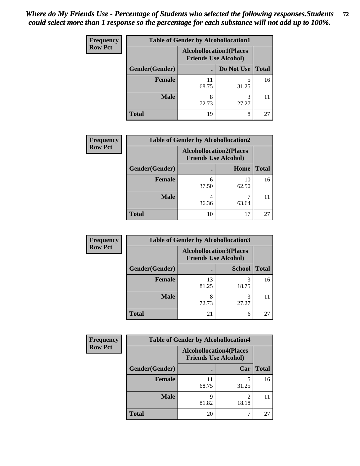| <b>Frequency</b> | <b>Table of Gender by Alcohollocation1</b> |                                                               |            |              |
|------------------|--------------------------------------------|---------------------------------------------------------------|------------|--------------|
| <b>Row Pct</b>   |                                            | <b>Alcohollocation1(Places</b><br><b>Friends Use Alcohol)</b> |            |              |
|                  | Gender(Gender)                             |                                                               | Do Not Use | <b>Total</b> |
|                  | <b>Female</b>                              | 11<br>68.75                                                   | 31.25      | 16           |
|                  | <b>Male</b>                                | 8<br>72.73                                                    | 3<br>27.27 |              |
|                  | <b>Total</b>                               | 19                                                            | 8          | 27           |

| <b>Frequency</b> | <b>Table of Gender by Alcohollocation2</b> |                                                               |             |              |  |
|------------------|--------------------------------------------|---------------------------------------------------------------|-------------|--------------|--|
| <b>Row Pct</b>   |                                            | <b>Alcohollocation2(Places</b><br><b>Friends Use Alcohol)</b> |             |              |  |
|                  | Gender(Gender)                             |                                                               | Home        | <b>Total</b> |  |
|                  | <b>Female</b>                              | 6<br>37.50                                                    | 10<br>62.50 | 16           |  |
|                  | <b>Male</b>                                | 4<br>36.36                                                    | 63.64       |              |  |
|                  | <b>Total</b>                               | 10                                                            | 17          | 27           |  |

| Frequency      | <b>Table of Gender by Alcohollocation3</b> |                                                               |               |              |
|----------------|--------------------------------------------|---------------------------------------------------------------|---------------|--------------|
| <b>Row Pct</b> |                                            | <b>Alcohollocation3(Places</b><br><b>Friends Use Alcohol)</b> |               |              |
|                | Gender(Gender)                             |                                                               | <b>School</b> | <b>Total</b> |
|                | <b>Female</b>                              | 13<br>81.25                                                   | 18.75         | 16           |
|                | <b>Male</b>                                | 8<br>72.73                                                    | 3<br>27.27    |              |
|                | <b>Total</b>                               | 21                                                            | 6             | 27           |

| <b>Frequency</b> | <b>Table of Gender by Alcohollocation4</b> |                                                               |                         |              |
|------------------|--------------------------------------------|---------------------------------------------------------------|-------------------------|--------------|
| <b>Row Pct</b>   |                                            | <b>Alcohollocation4(Places</b><br><b>Friends Use Alcohol)</b> |                         |              |
|                  | Gender(Gender)                             |                                                               | Car                     | <b>Total</b> |
|                  | <b>Female</b>                              | 68.75                                                         | 31.25                   | 16           |
|                  | <b>Male</b>                                | 81.82                                                         | $\mathfrak{D}$<br>18.18 |              |
|                  | <b>Total</b>                               | 20                                                            |                         | 27           |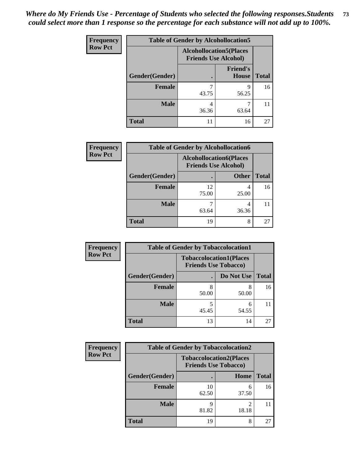| <b>Frequency</b> | <b>Table of Gender by Alcohollocation5</b> |                                                                |                                 |              |
|------------------|--------------------------------------------|----------------------------------------------------------------|---------------------------------|--------------|
| <b>Row Pct</b>   |                                            | <b>Alcohollocation5</b> (Places<br><b>Friends Use Alcohol)</b> |                                 |              |
|                  | Gender(Gender)                             |                                                                | <b>Friend's</b><br><b>House</b> | <b>Total</b> |
|                  | <b>Female</b>                              | 43.75                                                          | q<br>56.25                      | 16           |
|                  | <b>Male</b>                                | 4<br>36.36                                                     | 63.64                           |              |
|                  | <b>Total</b>                               |                                                                | 16                              | 27           |

| <b>Frequency</b> | <b>Table of Gender by Alcohollocation6</b> |                                                               |              |              |  |
|------------------|--------------------------------------------|---------------------------------------------------------------|--------------|--------------|--|
| <b>Row Pct</b>   |                                            | <b>Alcohollocation6(Places</b><br><b>Friends Use Alcohol)</b> |              |              |  |
|                  | Gender(Gender)                             |                                                               | <b>Other</b> | <b>Total</b> |  |
|                  | <b>Female</b>                              | 12<br>75.00                                                   | 4<br>25.00   | 16           |  |
|                  | <b>Male</b>                                | 63.64                                                         | 4<br>36.36   |              |  |
|                  | <b>Total</b>                               | 19                                                            | 8            | 27           |  |

| Frequency      | <b>Table of Gender by Tobaccolocation1</b>                    |       |            |              |
|----------------|---------------------------------------------------------------|-------|------------|--------------|
| <b>Row Pct</b> | <b>Tobaccolocation1(Places</b><br><b>Friends Use Tobacco)</b> |       |            |              |
|                | Gender(Gender)                                                |       | Do Not Use | <b>Total</b> |
|                | Female                                                        | 50.00 | 8<br>50.00 | 16           |
|                | <b>Male</b>                                                   | 45.45 | 6<br>54.55 |              |
|                | <b>Total</b>                                                  | 13    | 14         | 27           |

| <b>Frequency</b> | <b>Table of Gender by Tobaccolocation2</b> |                             |                                |              |
|------------------|--------------------------------------------|-----------------------------|--------------------------------|--------------|
| <b>Row Pct</b>   |                                            | <b>Friends Use Tobacco)</b> | <b>Tobaccolocation2(Places</b> |              |
|                  | Gender(Gender)                             |                             | Home                           | <b>Total</b> |
|                  | Female                                     | 10<br>62.50                 | 6<br>37.50                     | 16           |
|                  | <b>Male</b>                                | 81.82                       | 18.18                          |              |
|                  | <b>Total</b>                               | 19                          | 8                              | 27           |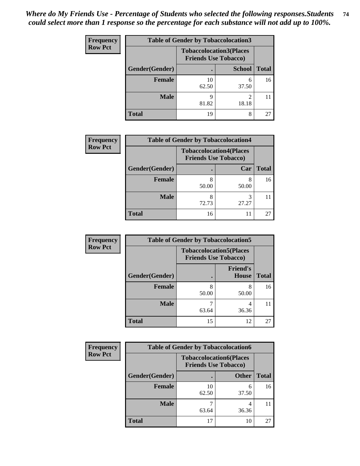| <b>Frequency</b> | <b>Table of Gender by Tobaccolocation3</b>                    |             |               |              |
|------------------|---------------------------------------------------------------|-------------|---------------|--------------|
| <b>Row Pct</b>   | <b>Tobaccolocation3(Places</b><br><b>Friends Use Tobacco)</b> |             |               |              |
|                  | Gender(Gender)                                                |             | <b>School</b> | <b>Total</b> |
|                  | Female                                                        | 10<br>62.50 | 6<br>37.50    | 16           |
|                  | <b>Male</b>                                                   | Q<br>81.82  | ◠<br>18.18    |              |
|                  | <b>Total</b>                                                  | 19          | 8             | 27           |

| <b>Frequency</b> |                | <b>Table of Gender by Tobaccolocation4</b>                    |       |              |
|------------------|----------------|---------------------------------------------------------------|-------|--------------|
| <b>Row Pct</b>   |                | <b>Tobaccolocation4(Places</b><br><b>Friends Use Tobacco)</b> |       |              |
|                  | Gender(Gender) |                                                               | Car   | <b>Total</b> |
|                  | <b>Female</b>  | 50.00                                                         | 50.00 | 16           |
|                  | <b>Male</b>    | 72.73                                                         | 27.27 |              |
|                  | <b>Total</b>   | 16                                                            | 11    | 27           |

| <b>Frequency</b> | <b>Table of Gender by Tobaccolocation5</b> |                                                               |                                 |              |
|------------------|--------------------------------------------|---------------------------------------------------------------|---------------------------------|--------------|
| <b>Row Pct</b>   |                                            | <b>Tobaccolocation5(Places</b><br><b>Friends Use Tobacco)</b> |                                 |              |
|                  | Gender(Gender)                             |                                                               | <b>Friend's</b><br><b>House</b> | <b>Total</b> |
|                  | Female                                     | 50.00                                                         | 8<br>50.00                      | 16           |
|                  | <b>Male</b>                                | 63.64                                                         | 4<br>36.36                      | 11           |
|                  | <b>Total</b>                               | 15                                                            | 12                              | 27           |

| Frequency      | <b>Table of Gender by Tobaccolocation6</b> |                             |                                |              |  |
|----------------|--------------------------------------------|-----------------------------|--------------------------------|--------------|--|
| <b>Row Pct</b> |                                            | <b>Friends Use Tobacco)</b> | <b>Tobaccolocation6(Places</b> |              |  |
|                | Gender(Gender)                             |                             | <b>Other</b>                   | <b>Total</b> |  |
|                | Female                                     | 10<br>62.50                 | 6<br>37.50                     | 16           |  |
|                | <b>Male</b>                                | 63.64                       | 36.36                          |              |  |
|                | <b>Total</b>                               | 17                          | 10                             | 27           |  |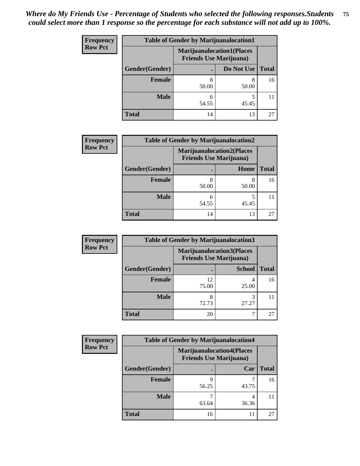| <b>Frequency</b> | <b>Table of Gender by Marijuanalocation1</b> |                                                                    |            |              |
|------------------|----------------------------------------------|--------------------------------------------------------------------|------------|--------------|
| <b>Row Pct</b>   |                                              | <b>Marijuanalocation1(Places</b><br><b>Friends Use Marijuana</b> ) |            |              |
|                  | Gender(Gender)                               |                                                                    | Do Not Use | <b>Total</b> |
|                  | <b>Female</b>                                | 50.00                                                              | 8<br>50.00 | 16           |
|                  | <b>Male</b>                                  | 54.55                                                              | 45.45      |              |
|                  | <b>Total</b>                                 | 14                                                                 | 13         | 27           |

| <b>Frequency</b> | <b>Table of Gender by Marijuanalocation2</b> |                                                                    |            |              |
|------------------|----------------------------------------------|--------------------------------------------------------------------|------------|--------------|
| <b>Row Pct</b>   |                                              | <b>Marijuanalocation2(Places</b><br><b>Friends Use Marijuana</b> ) |            |              |
|                  | Gender(Gender)                               |                                                                    | Home       | <b>Total</b> |
|                  | Female                                       | 50.00                                                              | 8<br>50.00 | 16           |
|                  | <b>Male</b>                                  | 54.55                                                              | 45.45      |              |
|                  | <b>Total</b>                                 | 14                                                                 | 13         | 27           |

| Frequency      | <b>Table of Gender by Marijuanalocation3</b> |             |                                                                    |              |  |
|----------------|----------------------------------------------|-------------|--------------------------------------------------------------------|--------------|--|
| <b>Row Pct</b> |                                              |             | <b>Marijuanalocation3(Places</b><br><b>Friends Use Marijuana</b> ) |              |  |
|                | Gender(Gender)                               |             | <b>School</b>                                                      | <b>Total</b> |  |
|                | Female                                       | 12<br>75.00 | 25.00                                                              | 16           |  |
|                | <b>Male</b>                                  | 8<br>72.73  | 3<br>27.27                                                         |              |  |
|                | <b>Total</b>                                 | 20          |                                                                    | 27           |  |

| Frequency      | <b>Table of Gender by Marijuanalocation4</b> |                                |                                  |              |
|----------------|----------------------------------------------|--------------------------------|----------------------------------|--------------|
| <b>Row Pct</b> |                                              | <b>Friends Use Marijuana</b> ) | <b>Marijuanalocation4(Places</b> |              |
|                | Gender(Gender)                               |                                | Car                              | <b>Total</b> |
|                | Female                                       | q<br>56.25                     | 43.75                            | 16           |
|                | <b>Male</b>                                  | 63.64                          | 36.36                            |              |
|                | <b>Total</b>                                 | 16                             | 11                               | 27           |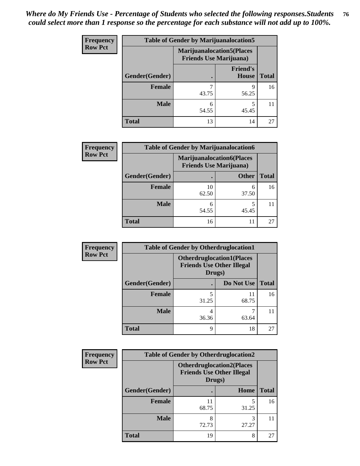| <b>Frequency</b> |                | <b>Table of Gender by Marijuanalocation5</b>                       |                          |              |  |
|------------------|----------------|--------------------------------------------------------------------|--------------------------|--------------|--|
| <b>Row Pct</b>   |                | <b>Marijuanalocation5(Places</b><br><b>Friends Use Marijuana</b> ) |                          |              |  |
|                  | Gender(Gender) |                                                                    | <b>Friend's</b><br>House | <b>Total</b> |  |
|                  | <b>Female</b>  | 43.75                                                              | Q<br>56.25               | 16           |  |
|                  | <b>Male</b>    | 6<br>54.55                                                         | 45.45                    | 11           |  |
|                  | <b>Total</b>   | 13                                                                 | 14                       | 27           |  |

| <b>Frequency</b> | <b>Table of Gender by Marijuanalocation6</b> |                                                                    |              |              |
|------------------|----------------------------------------------|--------------------------------------------------------------------|--------------|--------------|
| <b>Row Pct</b>   |                                              | <b>Marijuanalocation6(Places</b><br><b>Friends Use Marijuana</b> ) |              |              |
|                  | Gender(Gender)                               |                                                                    | <b>Other</b> | <b>Total</b> |
|                  | <b>Female</b>                                | 10<br>62.50                                                        | 6<br>37.50   | 16           |
|                  | <b>Male</b>                                  | 54.55                                                              | 45.45        |              |
|                  | <b>Total</b>                                 | 16                                                                 | 11           | 27           |

| <b>Frequency</b> | <b>Table of Gender by Otherdruglocation1</b> |                                                                                |             |              |
|------------------|----------------------------------------------|--------------------------------------------------------------------------------|-------------|--------------|
| <b>Row Pct</b>   |                                              | <b>Otherdruglocation1(Places</b><br><b>Friends Use Other Illegal</b><br>Drugs) |             |              |
|                  | Gender(Gender)                               |                                                                                | Do Not Use  | <b>Total</b> |
|                  | Female                                       | 31.25                                                                          | 11<br>68.75 | 16           |
|                  | <b>Male</b>                                  | 36.36                                                                          | 63.64       |              |
|                  | <b>Total</b>                                 | Q                                                                              | 18          | 27           |

| Frequency      | <b>Table of Gender by Otherdruglocation2</b> |                                                                                |            |              |
|----------------|----------------------------------------------|--------------------------------------------------------------------------------|------------|--------------|
| <b>Row Pct</b> |                                              | <b>Otherdruglocation2(Places</b><br><b>Friends Use Other Illegal</b><br>Drugs) |            |              |
|                | Gender(Gender)                               |                                                                                | Home       | <b>Total</b> |
|                | Female                                       | 11<br>68.75                                                                    | 31.25      | 16           |
|                | <b>Male</b>                                  | 8<br>72.73                                                                     | 3<br>27.27 | 11           |
|                | <b>Total</b>                                 | 19                                                                             | 8          | 27           |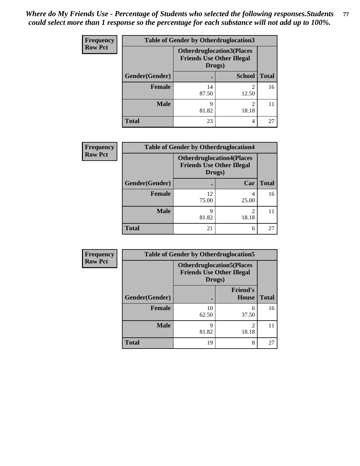| Frequency      | <b>Table of Gender by Otherdruglocation3</b> |                                                                                |               |              |
|----------------|----------------------------------------------|--------------------------------------------------------------------------------|---------------|--------------|
| <b>Row Pct</b> |                                              | <b>Otherdruglocation3(Places</b><br><b>Friends Use Other Illegal</b><br>Drugs) |               |              |
|                | Gender(Gender)                               |                                                                                | <b>School</b> | <b>Total</b> |
|                | Female                                       | 14<br>87.50                                                                    | っ<br>12.50    | 16           |
|                | <b>Male</b>                                  | q<br>81.82                                                                     | ∍<br>18.18    |              |
|                | <b>Total</b>                                 | 23                                                                             | 4             | 27           |

| <b>Frequency</b> | <b>Table of Gender by Otherdruglocation4</b> |                                                                                |                         |              |
|------------------|----------------------------------------------|--------------------------------------------------------------------------------|-------------------------|--------------|
| <b>Row Pct</b>   |                                              | <b>Otherdruglocation4(Places</b><br><b>Friends Use Other Illegal</b><br>Drugs) |                         |              |
|                  | Gender(Gender)                               |                                                                                | Car                     | <b>Total</b> |
|                  | <b>Female</b>                                | 12<br>75.00                                                                    | 4<br>25.00              | 16           |
|                  | <b>Male</b>                                  | q<br>81.82                                                                     | $\mathfrak{D}$<br>18.18 |              |
|                  | <b>Total</b>                                 | 21                                                                             | 6                       | 27           |

| Frequency      | <b>Table of Gender by Otherdruglocation5</b> |             |                                                                      |              |
|----------------|----------------------------------------------|-------------|----------------------------------------------------------------------|--------------|
| <b>Row Pct</b> |                                              | Drugs)      | <b>Otherdruglocation5(Places</b><br><b>Friends Use Other Illegal</b> |              |
|                | Gender(Gender)                               |             | <b>Friend's</b><br><b>House</b>                                      | <b>Total</b> |
|                | <b>Female</b>                                | 10<br>62.50 | 6<br>37.50                                                           | 16           |
|                | <b>Male</b>                                  | 9<br>81.82  | 2<br>18.18                                                           | 11           |
|                | <b>Total</b>                                 | 19          | 8                                                                    | 27           |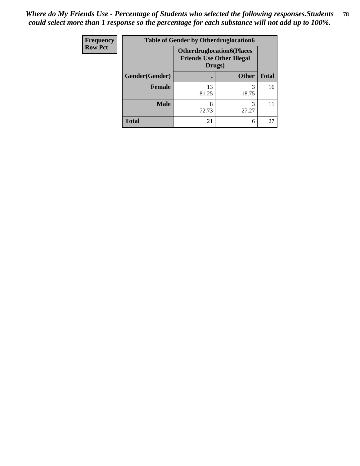| <b>Frequency</b> | <b>Table of Gender by Otherdruglocation6</b> |                                                                                |              |              |
|------------------|----------------------------------------------|--------------------------------------------------------------------------------|--------------|--------------|
| <b>Row Pct</b>   |                                              | <b>Otherdruglocation6(Places</b><br><b>Friends Use Other Illegal</b><br>Drugs) |              |              |
|                  | Gender(Gender)                               |                                                                                | <b>Other</b> | <b>Total</b> |
|                  | <b>Female</b>                                | 13<br>81.25                                                                    | 3<br>18.75   | 16           |
|                  | <b>Male</b>                                  | 8<br>72.73                                                                     | 3<br>27.27   |              |
|                  | <b>Total</b>                                 | 21                                                                             | 6            | 27           |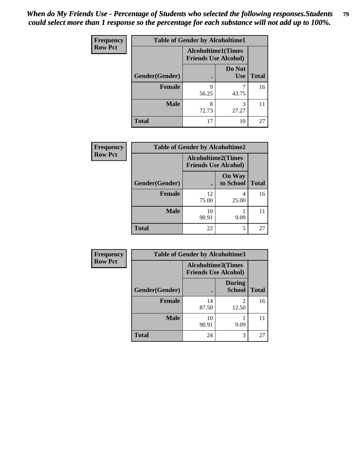| Frequency      | <b>Table of Gender by Alcoholtime1</b> |                                                          |                      |              |
|----------------|----------------------------------------|----------------------------------------------------------|----------------------|--------------|
| <b>Row Pct</b> |                                        | <b>Alcoholtime1(Times</b><br><b>Friends Use Alcohol)</b> |                      |              |
|                | Gender(Gender)                         |                                                          | Do Not<br><b>Use</b> | <b>Total</b> |
|                | <b>Female</b>                          | 9<br>56.25                                               | 43.75                | 16           |
|                | <b>Male</b>                            | 8<br>72.73                                               | 3<br>27.27           | 11           |
|                | <b>Total</b>                           | 17                                                       | 10                   | 27           |

| <b>Frequency</b> | <b>Table of Gender by Alcoholtime2</b> |                                                          |                            |              |
|------------------|----------------------------------------|----------------------------------------------------------|----------------------------|--------------|
| <b>Row Pct</b>   |                                        | <b>Alcoholtime2(Times</b><br><b>Friends Use Alcohol)</b> |                            |              |
|                  | Gender(Gender)                         |                                                          | <b>On Way</b><br>to School | <b>Total</b> |
|                  | <b>Female</b>                          | 12<br>75.00                                              | 4<br>25.00                 | 16           |
|                  | <b>Male</b>                            | 10<br>90.91                                              | 9.09                       |              |
|                  | <b>Total</b>                           | 22                                                       | 5                          | 27           |

| Frequency      | <b>Table of Gender by Alcoholtime3</b> |                                                          |                                   |              |
|----------------|----------------------------------------|----------------------------------------------------------|-----------------------------------|--------------|
| <b>Row Pct</b> |                                        | <b>Alcoholtime3(Times</b><br><b>Friends Use Alcohol)</b> |                                   |              |
|                | Gender(Gender)                         |                                                          | <b>During</b><br><b>School</b>    | <b>Total</b> |
|                | Female                                 | 14<br>87.50                                              | $\overline{\mathcal{L}}$<br>12.50 | 16           |
|                | <b>Male</b>                            | 10<br>90.91                                              | 9.09                              | 11           |
|                | <b>Total</b>                           | 24                                                       | 3                                 | 27           |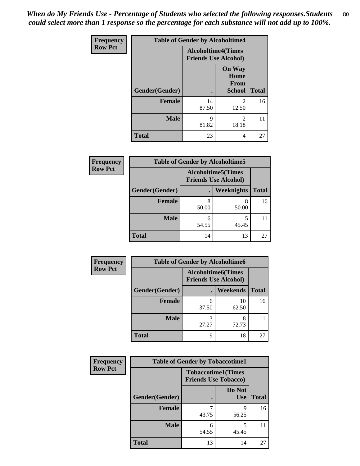*When do My Friends Use - Percentage of Students who selected the following responses.Students could select more than 1 response so the percentage for each substance will not add up to 100%.* **80**

| <b>Frequency</b> | <b>Table of Gender by Alcoholtime4</b> |                                                          |                                         |              |
|------------------|----------------------------------------|----------------------------------------------------------|-----------------------------------------|--------------|
| <b>Row Pct</b>   |                                        | <b>Alcoholtime4(Times</b><br><b>Friends Use Alcohol)</b> |                                         |              |
|                  | Gender(Gender)                         |                                                          | <b>On Way</b><br>Home<br>From<br>School | <b>Total</b> |
|                  | <b>Female</b>                          | 14<br>87.50                                              | 2<br>12.50                              | 16           |
|                  | <b>Male</b>                            | 9<br>81.82                                               | 2<br>18.18                              | 11           |
|                  | <b>Total</b>                           | 23                                                       | 4                                       | 27           |

| <b>Frequency</b> | <b>Table of Gender by Alcoholtime5</b> |                                                   |                   |              |
|------------------|----------------------------------------|---------------------------------------------------|-------------------|--------------|
| <b>Row Pct</b>   |                                        | Alcoholtime5(Times<br><b>Friends Use Alcohol)</b> |                   |              |
|                  | Gender(Gender)                         |                                                   | <b>Weeknights</b> | <b>Total</b> |
|                  | <b>Female</b>                          | 8<br>50.00                                        | 8<br>50.00        | 16           |
|                  | <b>Male</b>                            | 6<br>54.55                                        | 5<br>45.45        | 11           |
|                  | <b>Total</b>                           | 14                                                | 13                | 27           |

| <b>Frequency</b> |                | <b>Table of Gender by Alcoholtime6</b> |                             |              |  |
|------------------|----------------|----------------------------------------|-----------------------------|--------------|--|
| <b>Row Pct</b>   |                | <b>Alcoholtime6(Times</b>              | <b>Friends Use Alcohol)</b> |              |  |
|                  | Gender(Gender) |                                        | <b>Weekends</b>             | <b>Total</b> |  |
|                  | Female         | 6<br>37.50                             | 10<br>62.50                 | 16           |  |
|                  | <b>Male</b>    | 3<br>27.27                             | 8<br>72.73                  | 11           |  |
|                  | <b>Total</b>   | 9                                      | 18                          | 27           |  |

| Frequency      | <b>Table of Gender by Tobaccotime1</b> |                                                          |                      |              |
|----------------|----------------------------------------|----------------------------------------------------------|----------------------|--------------|
| <b>Row Pct</b> |                                        | <b>Tobaccotime1(Times</b><br><b>Friends Use Tobacco)</b> |                      |              |
|                | Gender(Gender)                         |                                                          | Do Not<br><b>Use</b> | <b>Total</b> |
|                | <b>Female</b>                          | 43.75                                                    | 9<br>56.25           | 16           |
|                | <b>Male</b>                            | 6<br>54.55                                               | 45.45                | 11           |
|                | <b>Total</b>                           | 13                                                       | 14                   | 27           |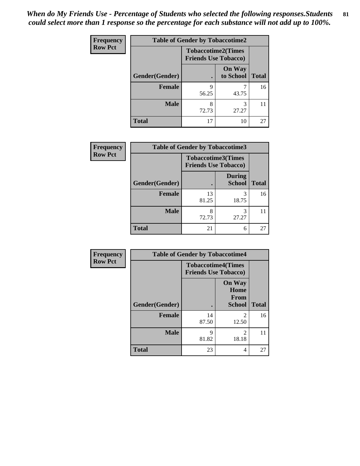*When do My Friends Use - Percentage of Students who selected the following responses.Students could select more than 1 response so the percentage for each substance will not add up to 100%.* **81**

| <b>Frequency</b> | <b>Table of Gender by Tobaccotime2</b> |                                                          |                            |              |
|------------------|----------------------------------------|----------------------------------------------------------|----------------------------|--------------|
| <b>Row Pct</b>   |                                        | <b>Tobaccotime2(Times</b><br><b>Friends Use Tobacco)</b> |                            |              |
|                  | Gender(Gender)                         | $\bullet$                                                | <b>On Way</b><br>to School | <b>Total</b> |
|                  | Female                                 | 9<br>56.25                                               | 43.75                      | 16           |
|                  | <b>Male</b>                            | 8<br>72.73                                               | 3<br>27.27                 | 11           |
|                  | <b>Total</b>                           | 17                                                       | 10                         | 27           |

| Frequency      | <b>Table of Gender by Tobaccotime3</b> |                                                          |                                |              |
|----------------|----------------------------------------|----------------------------------------------------------|--------------------------------|--------------|
| <b>Row Pct</b> |                                        | <b>Tobaccotime3(Times</b><br><b>Friends Use Tobacco)</b> |                                |              |
|                | Gender(Gender)                         |                                                          | <b>During</b><br><b>School</b> | <b>Total</b> |
|                | Female                                 | 13<br>81.25                                              | 3<br>18.75                     | 16           |
|                | <b>Male</b>                            | 8<br>72.73                                               | 3<br>27.27                     |              |
|                | <b>Total</b>                           | 21                                                       | 6                              | 27           |

| <b>Frequency</b> | <b>Table of Gender by Tobaccotime4</b> |                                                          |                                                |              |
|------------------|----------------------------------------|----------------------------------------------------------|------------------------------------------------|--------------|
| <b>Row Pct</b>   |                                        | <b>Tobaccotime4(Times</b><br><b>Friends Use Tobacco)</b> |                                                |              |
|                  | Gender(Gender)                         |                                                          | <b>On Way</b><br>Home<br>From<br><b>School</b> | <b>Total</b> |
|                  | <b>Female</b>                          | 14<br>87.50                                              | 2<br>12.50                                     | 16           |
|                  | <b>Male</b>                            | 9<br>81.82                                               | $\mathfrak{D}$<br>18.18                        | 11           |
|                  | <b>Total</b>                           | 23                                                       | 4                                              | 27           |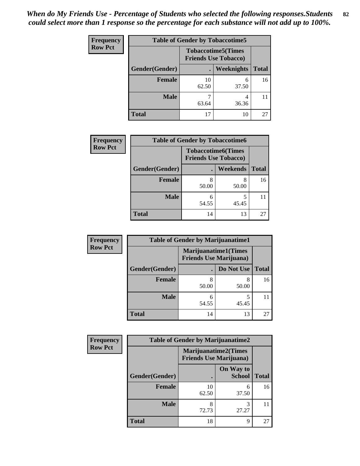| <b>Frequency</b> | <b>Table of Gender by Tobaccotime5</b> |             |                                                           |              |  |
|------------------|----------------------------------------|-------------|-----------------------------------------------------------|--------------|--|
| <b>Row Pct</b>   |                                        |             | <b>Tobaccotime5</b> (Times<br><b>Friends Use Tobacco)</b> |              |  |
|                  | Gender(Gender)                         |             | <b>Weeknights</b>                                         | <b>Total</b> |  |
|                  | <b>Female</b>                          | 10<br>62.50 | 6<br>37.50                                                | 16           |  |
|                  | <b>Male</b>                            | 63.64       | 4<br>36.36                                                | 11           |  |
|                  | <b>Total</b>                           | 17          | 10                                                        | 27           |  |

| <b>Frequency</b> | <b>Table of Gender by Tobaccotime6</b> |                             |                           |              |
|------------------|----------------------------------------|-----------------------------|---------------------------|--------------|
| <b>Row Pct</b>   |                                        | <b>Friends Use Tobacco)</b> | <b>Tobaccotime6(Times</b> |              |
|                  | Gender(Gender)                         |                             | Weekends                  | <b>Total</b> |
|                  | Female                                 | 8<br>50.00                  | 8<br>50.00                | 16           |
|                  | <b>Male</b>                            | 6<br>54.55                  | 45.45                     | 11           |
|                  | <b>Total</b>                           | 14                          | 13                        | 27           |

| <b>Frequency</b> | <b>Table of Gender by Marijuanatime1</b> |                                |                             |              |
|------------------|------------------------------------------|--------------------------------|-----------------------------|--------------|
| <b>Row Pct</b>   |                                          | <b>Friends Use Marijuana</b> ) | <b>Marijuanatime1(Times</b> |              |
|                  | Gender(Gender)                           |                                | Do Not Use                  | <b>Total</b> |
|                  | <b>Female</b>                            | 50.00                          | 8<br>50.00                  | 16           |
|                  | <b>Male</b>                              | 6<br>54.55                     | 5<br>45.45                  | 11           |
|                  | <b>Total</b>                             | 14                             | 13                          | 27           |

| <b>Frequency</b> | <b>Table of Gender by Marijuanatime2</b> |                                                               |                            |              |
|------------------|------------------------------------------|---------------------------------------------------------------|----------------------------|--------------|
| <b>Row Pct</b>   |                                          | <b>Marijuanatime2(Times</b><br><b>Friends Use Marijuana</b> ) |                            |              |
|                  | Gender(Gender)                           |                                                               | On Way to<br><b>School</b> | <b>Total</b> |
|                  | <b>Female</b>                            | 10<br>62.50                                                   | 6<br>37.50                 | 16           |
|                  | <b>Male</b>                              | 8<br>72.73                                                    | 3<br>27.27                 | 11           |
|                  | <b>Total</b>                             | 18                                                            | 9                          | 27           |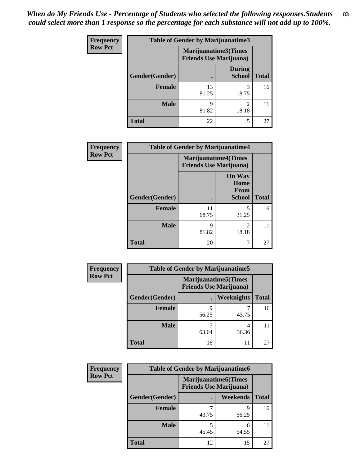| Frequency      | <b>Table of Gender by Marijuanatime3</b> |                                                        |                                |              |
|----------------|------------------------------------------|--------------------------------------------------------|--------------------------------|--------------|
| <b>Row Pct</b> |                                          | Marijuanatime3(Times<br><b>Friends Use Marijuana</b> ) |                                |              |
|                | Gender(Gender)                           |                                                        | <b>During</b><br><b>School</b> | <b>Total</b> |
|                | <b>Female</b>                            | 13<br>81.25                                            | 18.75                          | 16           |
|                | <b>Male</b>                              | q<br>81.82                                             | $\mathfrak{D}$<br>18.18        |              |
|                | <b>Total</b>                             | 22                                                     | 5                              | 27           |

| Frequency      | <b>Table of Gender by Marijuanatime4</b> |                                                               |                                                |              |
|----------------|------------------------------------------|---------------------------------------------------------------|------------------------------------------------|--------------|
| <b>Row Pct</b> |                                          | <b>Marijuanatime4(Times</b><br><b>Friends Use Marijuana</b> ) |                                                |              |
|                | Gender(Gender)                           |                                                               | <b>On Way</b><br>Home<br>From<br><b>School</b> | <b>Total</b> |
|                | <b>Female</b>                            | 11<br>68.75                                                   | 5<br>31.25                                     | 16           |
|                | <b>Male</b>                              | 9<br>81.82                                                    | $\mathfrak{D}$<br>18.18                        | 11           |
|                | <b>Total</b>                             | 20                                                            | 7                                              | 27           |

| <b>Frequency</b> | <b>Table of Gender by Marijuanatime5</b> |                                                                |            |              |  |
|------------------|------------------------------------------|----------------------------------------------------------------|------------|--------------|--|
| <b>Row Pct</b>   |                                          | <b>Marijuanatime5</b> (Times<br><b>Friends Use Marijuana</b> ) |            |              |  |
| Gender(Gender)   |                                          |                                                                | Weeknights | <b>Total</b> |  |
|                  | <b>Female</b>                            | q<br>56.25                                                     | 43.75      | 16           |  |
|                  | <b>Male</b>                              | 63.64                                                          | 4<br>36.36 | 11           |  |
|                  | <b>Total</b>                             | 16                                                             | 11         | 27           |  |

| Frequency      | <b>Table of Gender by Marijuanatime6</b> |                                                               |                 |              |  |  |
|----------------|------------------------------------------|---------------------------------------------------------------|-----------------|--------------|--|--|
| <b>Row Pct</b> |                                          | <b>Marijuanatime6(Times</b><br><b>Friends Use Marijuana</b> ) |                 |              |  |  |
|                | Gender(Gender)                           |                                                               | <b>Weekends</b> | <b>Total</b> |  |  |
|                | Female                                   | 43.75                                                         | q<br>56.25      | 16           |  |  |
|                | <b>Male</b>                              | 45.45                                                         | 6<br>54.55      |              |  |  |
|                | <b>Total</b>                             | 12                                                            | 15              | 27           |  |  |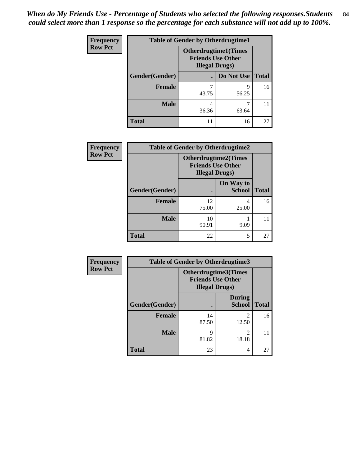| <b>Frequency</b> | <b>Table of Gender by Otherdrugtime1</b> |                                                                                   |                    |    |  |
|------------------|------------------------------------------|-----------------------------------------------------------------------------------|--------------------|----|--|
| <b>Row Pct</b>   |                                          | <b>Otherdrugtime1(Times</b><br><b>Friends Use Other</b><br><b>Illegal Drugs</b> ) |                    |    |  |
|                  | Gender(Gender)                           |                                                                                   | Do Not Use   Total |    |  |
|                  | <b>Female</b>                            | 7<br>43.75                                                                        | q<br>56.25         | 16 |  |
|                  |                                          |                                                                                   |                    |    |  |
|                  | <b>Male</b>                              | 4<br>36.36                                                                        | 63.64              |    |  |
|                  | <b>Total</b>                             | 11                                                                                | 16                 | 27 |  |

| Frequency      | <b>Table of Gender by Otherdrugtime2</b> |                                                                                   |                            |              |  |
|----------------|------------------------------------------|-----------------------------------------------------------------------------------|----------------------------|--------------|--|
| <b>Row Pct</b> |                                          | <b>Otherdrugtime2(Times</b><br><b>Friends Use Other</b><br><b>Illegal Drugs</b> ) |                            |              |  |
|                | Gender(Gender)                           |                                                                                   | On Way to<br><b>School</b> | <b>Total</b> |  |
|                | <b>Female</b>                            | 12<br>75.00                                                                       | 4<br>25.00                 | 16           |  |
|                | <b>Male</b>                              | 10<br>90.91                                                                       | 9.09                       |              |  |
|                | <b>Total</b>                             | 22                                                                                | 5                          | 27           |  |

| Frequency      | <b>Table of Gender by Otherdrugtime3</b> |                        |                                                  |              |  |
|----------------|------------------------------------------|------------------------|--------------------------------------------------|--------------|--|
| <b>Row Pct</b> |                                          | <b>Illegal Drugs</b> ) | Otherdrugtime3(Times<br><b>Friends Use Other</b> |              |  |
|                | Gender(Gender)                           |                        | <b>During</b><br><b>School</b>                   | <b>Total</b> |  |
|                | <b>Female</b>                            | 14<br>87.50            | $\mathfrak{D}$<br>12.50                          | 16           |  |
|                | <b>Male</b>                              | 81.82                  | $\mathfrak{D}$<br>18.18                          | 11           |  |
|                | <b>Total</b>                             | 23                     | 4                                                | 27           |  |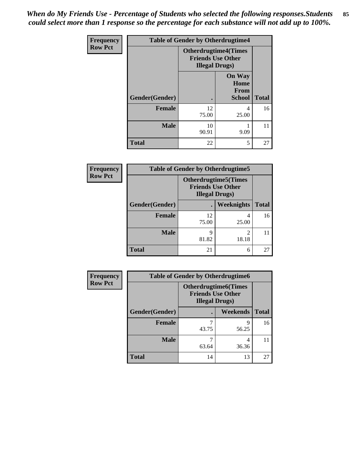*When do My Friends Use - Percentage of Students who selected the following responses.Students could select more than 1 response so the percentage for each substance will not add up to 100%.* **85**

| Frequency      | <b>Table of Gender by Otherdrugtime4</b> |                                                                                   |                                                       |              |
|----------------|------------------------------------------|-----------------------------------------------------------------------------------|-------------------------------------------------------|--------------|
| <b>Row Pct</b> |                                          | <b>Otherdrugtime4(Times</b><br><b>Friends Use Other</b><br><b>Illegal Drugs</b> ) |                                                       |              |
|                | Gender(Gender)                           |                                                                                   | <b>On Way</b><br>Home<br><b>From</b><br><b>School</b> | <b>Total</b> |
|                | <b>Female</b>                            | 12<br>75.00                                                                       | 4<br>25.00                                            | 16           |
|                | <b>Male</b>                              | 10<br>90.91                                                                       | 9.09                                                  | 11           |
|                | <b>Total</b>                             | 22                                                                                | 5                                                     | 27           |

| <b>Frequency</b> | <b>Table of Gender by Otherdrugtime5</b> |                                                                                    |            |              |  |
|------------------|------------------------------------------|------------------------------------------------------------------------------------|------------|--------------|--|
| <b>Row Pct</b>   |                                          | <b>Otherdrugtime5</b> (Times<br><b>Friends Use Other</b><br><b>Illegal Drugs</b> ) |            |              |  |
|                  | Gender(Gender)                           | $\bullet$                                                                          | Weeknights | <b>Total</b> |  |
|                  | <b>Female</b>                            | 12<br>75.00                                                                        | 25.00      | 16           |  |
|                  | <b>Male</b>                              | 9<br>81.82                                                                         | 18.18      | 11           |  |
|                  | <b>Total</b>                             | 21                                                                                 | 6          | 27           |  |

| <b>Frequency</b> | <b>Table of Gender by Otherdrugtime6</b>                                          |       |            |              |  |
|------------------|-----------------------------------------------------------------------------------|-------|------------|--------------|--|
| <b>Row Pct</b>   | <b>Otherdrugtime6(Times</b><br><b>Friends Use Other</b><br><b>Illegal Drugs</b> ) |       |            |              |  |
|                  | Gender(Gender)                                                                    |       | Weekends   | <b>Total</b> |  |
|                  | <b>Female</b>                                                                     | 43.75 | 9<br>56.25 | 16           |  |
|                  | <b>Male</b>                                                                       | 63.64 | 4<br>36.36 | 11           |  |
|                  | <b>Total</b>                                                                      | 14    | 13         | 27           |  |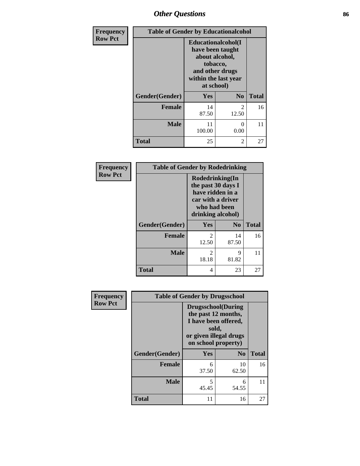# *Other Questions* **86**

| Frequency      |                | <b>Table of Gender by Educationalcohol</b>                                                                                            |                |              |  |
|----------------|----------------|---------------------------------------------------------------------------------------------------------------------------------------|----------------|--------------|--|
| <b>Row Pct</b> |                | <b>Educationalcohol</b> (I<br>have been taught<br>about alcohol,<br>tobacco,<br>and other drugs<br>within the last year<br>at school) |                |              |  |
|                | Gender(Gender) | Yes                                                                                                                                   | N <sub>0</sub> | <b>Total</b> |  |
|                | <b>Female</b>  | 14<br>87.50                                                                                                                           | 2<br>12.50     | 16           |  |
|                | <b>Male</b>    | 11<br>100.00                                                                                                                          | 0<br>0.00      | 11           |  |
|                | <b>Total</b>   | 25                                                                                                                                    | 2              | 27           |  |

| Frequency      | <b>Table of Gender by Rodedrinking</b> |                                                                                                                     |                |              |  |
|----------------|----------------------------------------|---------------------------------------------------------------------------------------------------------------------|----------------|--------------|--|
| <b>Row Pct</b> |                                        | Rodedrinking(In<br>the past 30 days I<br>have ridden in a<br>car with a driver<br>who had been<br>drinking alcohol) |                |              |  |
|                | Gender(Gender)                         | Yes                                                                                                                 | N <sub>0</sub> | <b>Total</b> |  |
|                | <b>Female</b>                          | $\mathcal{D}_{\mathcal{L}}$<br>12.50                                                                                | 14<br>87.50    | 16           |  |
|                | <b>Male</b>                            | 2<br>18.18                                                                                                          | 9<br>81.82     | 11           |  |
|                | <b>Total</b>                           | 4                                                                                                                   | 23             | 27           |  |

| Frequency      | <b>Table of Gender by Drugsschool</b> |                                                                                                                                     |                |              |
|----------------|---------------------------------------|-------------------------------------------------------------------------------------------------------------------------------------|----------------|--------------|
| <b>Row Pct</b> |                                       | <b>Drugsschool</b> (During<br>the past 12 months,<br>I have been offered,<br>sold,<br>or given illegal drugs<br>on school property) |                |              |
|                | Gender(Gender)                        | Yes                                                                                                                                 | N <sub>0</sub> | <b>Total</b> |
|                | <b>Female</b>                         | 6<br>37.50                                                                                                                          | 10<br>62.50    | 16           |
|                | <b>Male</b>                           | 5<br>45.45                                                                                                                          | 6<br>54.55     | 11           |
|                | <b>Total</b>                          | 11                                                                                                                                  | 16             | 27           |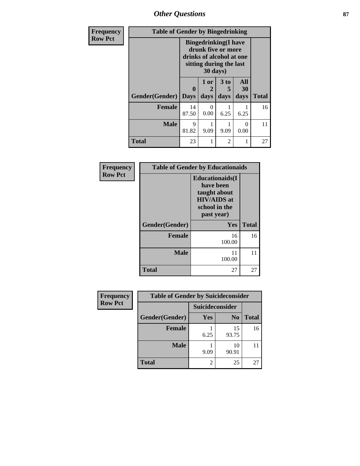*Other Questions* **87**

| Frequency      | <b>Table of Gender by Bingedrinking</b> |                                                                                                                       |              |              |                   |              |
|----------------|-----------------------------------------|-----------------------------------------------------------------------------------------------------------------------|--------------|--------------|-------------------|--------------|
| <b>Row Pct</b> |                                         | <b>Bingedrinking</b> (I have<br>drunk five or more<br>drinks of alcohol at one<br>sitting during the last<br>30 days) |              |              |                   |              |
|                | Gender(Gender)                          | $\mathbf{0}$<br><b>Days</b>                                                                                           | 1 or<br>days | 3 to<br>days | All<br>30<br>days | <b>Total</b> |
|                | <b>Female</b>                           | 14<br>87.50                                                                                                           | 0<br>0.00    | 6.25         | 6.25              | 16           |
|                | <b>Male</b>                             | 9<br>81.82                                                                                                            | 9.09         | 9.09         | $\Omega$<br>0.00  | 11           |
|                | <b>Total</b>                            | 23                                                                                                                    | 1            | 2            | 1                 | 27           |

| Frequency      | <b>Table of Gender by Educationaids</b> |                                                                                                           |              |
|----------------|-----------------------------------------|-----------------------------------------------------------------------------------------------------------|--------------|
| <b>Row Pct</b> |                                         | <b>Educationaids</b> (I<br>have been<br>taught about<br><b>HIV/AIDS</b> at<br>school in the<br>past year) |              |
|                | Gender(Gender)                          | Yes                                                                                                       | <b>Total</b> |
|                | <b>Female</b>                           | 16<br>100.00                                                                                              | 16           |
|                | <b>Male</b>                             | 11<br>100.00                                                                                              | 11           |
|                | <b>Total</b>                            | 27                                                                                                        | 27           |

| <b>Frequency</b> | <b>Table of Gender by Suicideconsider</b> |                        |                |              |
|------------------|-------------------------------------------|------------------------|----------------|--------------|
| <b>Row Pct</b>   |                                           | <b>Suicideconsider</b> |                |              |
|                  | Gender(Gender)                            | Yes                    | N <sub>0</sub> | <b>Total</b> |
|                  | <b>Female</b>                             | 6.25                   | 15<br>93.75    | 16           |
|                  | <b>Male</b>                               | 9.09                   | 10<br>90.91    |              |
|                  | <b>Total</b>                              |                        | 25             | 27           |